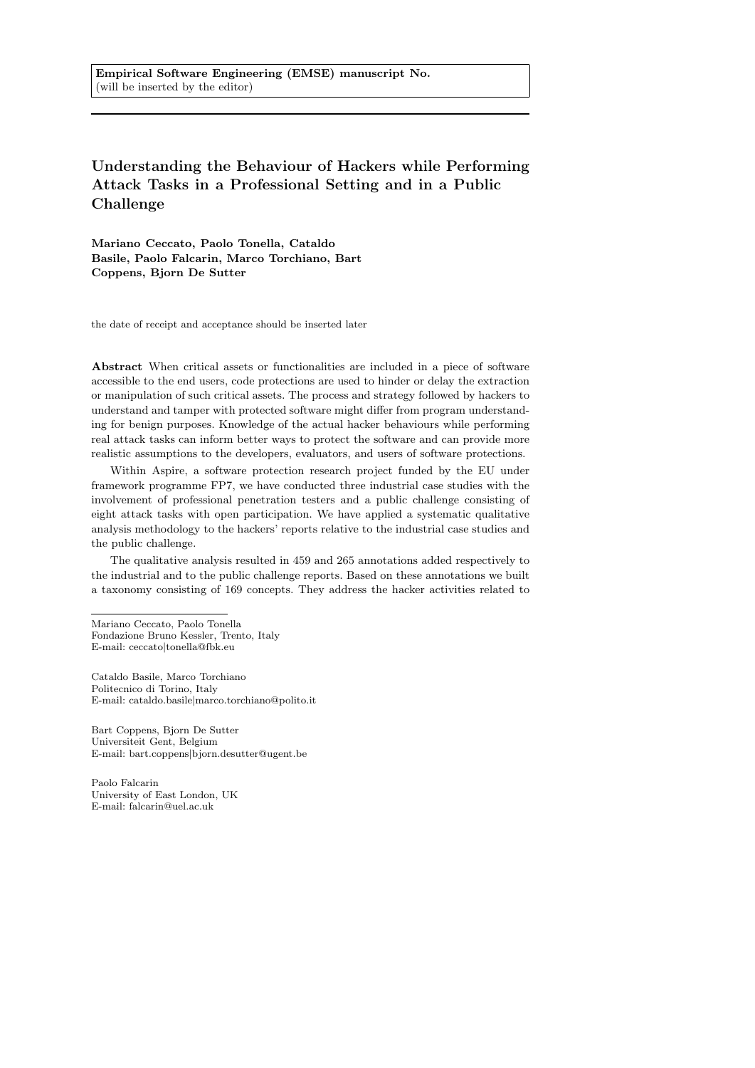Understanding the Behaviour of Hackers while Performing Attack Tasks in a Professional Setting and in a Public Challenge

Mariano Ceccato, Paolo Tonella, Cataldo Basile, Paolo Falcarin, Marco Torchiano, Bart Coppens, Bjorn De Sutter

the date of receipt and acceptance should be inserted later

Abstract When critical assets or functionalities are included in a piece of software accessible to the end users, code protections are used to hinder or delay the extraction or manipulation of such critical assets. The process and strategy followed by hackers to understand and tamper with protected software might differ from program understanding for benign purposes. Knowledge of the actual hacker behaviours while performing real attack tasks can inform better ways to protect the software and can provide more realistic assumptions to the developers, evaluators, and users of software protections.

Within Aspire, a software protection research project funded by the EU under framework programme FP7, we have conducted three industrial case studies with the involvement of professional penetration testers and a public challenge consisting of eight attack tasks with open participation. We have applied a systematic qualitative analysis methodology to the hackers' reports relative to the industrial case studies and the public challenge.

The qualitative analysis resulted in 459 and 265 annotations added respectively to the industrial and to the public challenge reports. Based on these annotations we built a taxonomy consisting of 169 concepts. They address the hacker activities related to

Paolo Falcarin University of East London, UK E-mail: falcarin@uel.ac.uk

Mariano Ceccato, Paolo Tonella Fondazione Bruno Kessler, Trento, Italy E-mail: ceccato|tonella@fbk.eu

Cataldo Basile, Marco Torchiano Politecnico di Torino, Italy E-mail: cataldo.basile|marco.torchiano@polito.it

Bart Coppens, Bjorn De Sutter Universiteit Gent, Belgium E-mail: bart.coppens|bjorn.desutter@ugent.be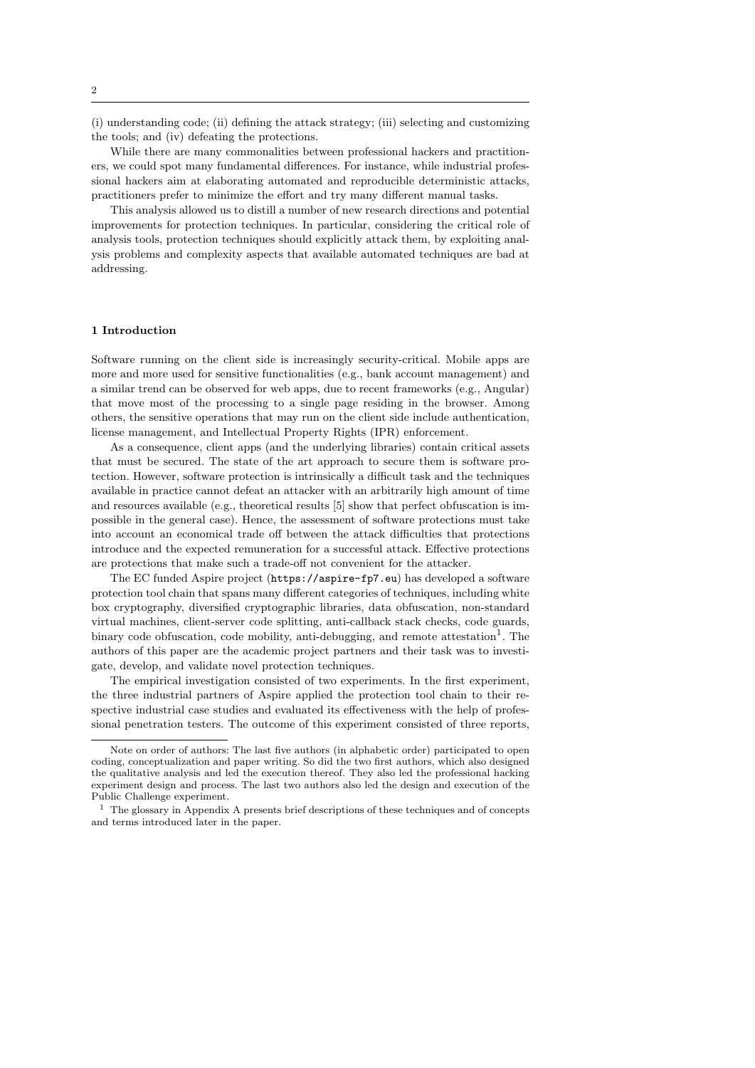(i) understanding code; (ii) defining the attack strategy; (iii) selecting and customizing the tools; and (iv) defeating the protections.

While there are many commonalities between professional hackers and practitioners, we could spot many fundamental differences. For instance, while industrial professional hackers aim at elaborating automated and reproducible deterministic attacks, practitioners prefer to minimize the effort and try many different manual tasks.

This analysis allowed us to distill a number of new research directions and potential improvements for protection techniques. In particular, considering the critical role of analysis tools, protection techniques should explicitly attack them, by exploiting analysis problems and complexity aspects that available automated techniques are bad at addressing.

#### 1 Introduction

Software running on the client side is increasingly security-critical. Mobile apps are more and more used for sensitive functionalities (e.g., bank account management) and a similar trend can be observed for web apps, due to recent frameworks (e.g., Angular) that move most of the processing to a single page residing in the browser. Among others, the sensitive operations that may run on the client side include authentication, license management, and Intellectual Property Rights (IPR) enforcement.

As a consequence, client apps (and the underlying libraries) contain critical assets that must be secured. The state of the art approach to secure them is software protection. However, software protection is intrinsically a difficult task and the techniques available in practice cannot defeat an attacker with an arbitrarily high amount of time and resources available (e.g., theoretical results [5] show that perfect obfuscation is impossible in the general case). Hence, the assessment of software protections must take into account an economical trade off between the attack difficulties that protections introduce and the expected remuneration for a successful attack. Effective protections are protections that make such a trade-off not convenient for the attacker.

The EC funded Aspire project (https://aspire-fp7.eu) has developed a software protection tool chain that spans many different categories of techniques, including white box cryptography, diversified cryptographic libraries, data obfuscation, non-standard virtual machines, client-server code splitting, anti-callback stack checks, code guards, binary code obfuscation, code mobility, anti-debugging, and remote attestation<sup>1</sup>. The authors of this paper are the academic project partners and their task was to investigate, develop, and validate novel protection techniques.

The empirical investigation consisted of two experiments. In the first experiment, the three industrial partners of Aspire applied the protection tool chain to their respective industrial case studies and evaluated its effectiveness with the help of professional penetration testers. The outcome of this experiment consisted of three reports,

Note on order of authors: The last five authors (in alphabetic order) participated to open coding, conceptualization and paper writing. So did the two first authors, which also designed the qualitative analysis and led the execution thereof. They also led the professional hacking experiment design and process. The last two authors also led the design and execution of the Public Challenge experiment.

 $^{\rm 1}$  The glossary in Appendix A presents brief descriptions of these techniques and of concepts and terms introduced later in the paper.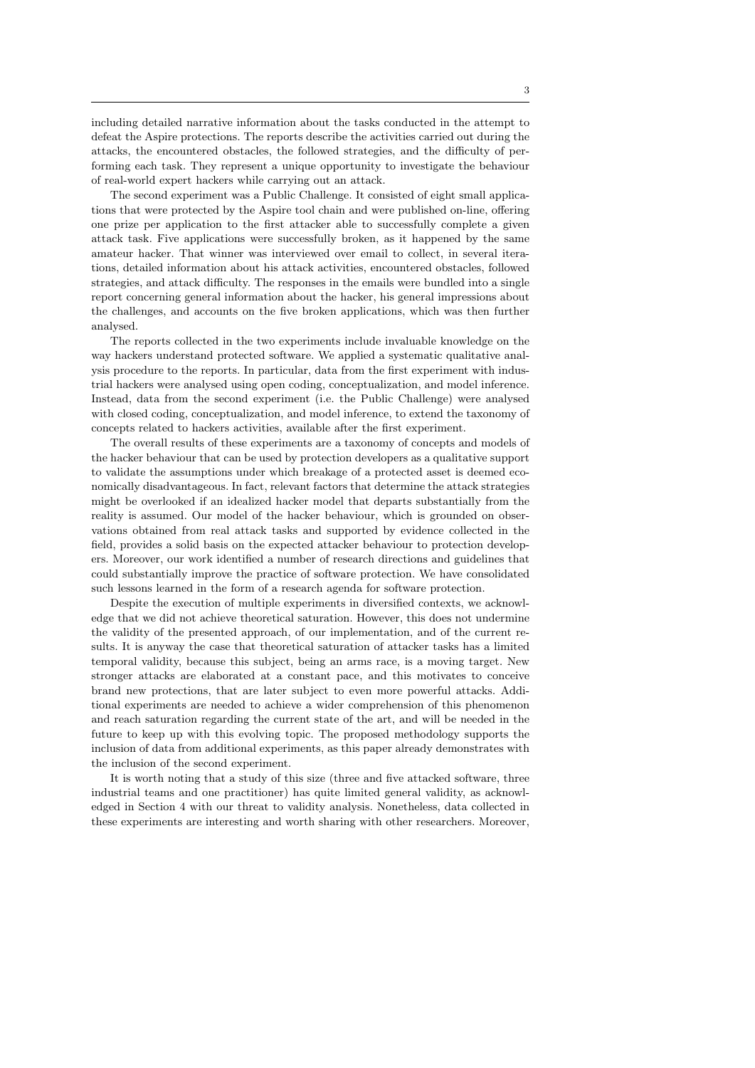including detailed narrative information about the tasks conducted in the attempt to defeat the Aspire protections. The reports describe the activities carried out during the attacks, the encountered obstacles, the followed strategies, and the difficulty of performing each task. They represent a unique opportunity to investigate the behaviour of real-world expert hackers while carrying out an attack.

The second experiment was a Public Challenge. It consisted of eight small applications that were protected by the Aspire tool chain and were published on-line, offering one prize per application to the first attacker able to successfully complete a given attack task. Five applications were successfully broken, as it happened by the same amateur hacker. That winner was interviewed over email to collect, in several iterations, detailed information about his attack activities, encountered obstacles, followed strategies, and attack difficulty. The responses in the emails were bundled into a single report concerning general information about the hacker, his general impressions about the challenges, and accounts on the five broken applications, which was then further analysed.

The reports collected in the two experiments include invaluable knowledge on the way hackers understand protected software. We applied a systematic qualitative analysis procedure to the reports. In particular, data from the first experiment with industrial hackers were analysed using open coding, conceptualization, and model inference. Instead, data from the second experiment (i.e. the Public Challenge) were analysed with closed coding, conceptualization, and model inference, to extend the taxonomy of concepts related to hackers activities, available after the first experiment.

The overall results of these experiments are a taxonomy of concepts and models of the hacker behaviour that can be used by protection developers as a qualitative support to validate the assumptions under which breakage of a protected asset is deemed economically disadvantageous. In fact, relevant factors that determine the attack strategies might be overlooked if an idealized hacker model that departs substantially from the reality is assumed. Our model of the hacker behaviour, which is grounded on observations obtained from real attack tasks and supported by evidence collected in the field, provides a solid basis on the expected attacker behaviour to protection developers. Moreover, our work identified a number of research directions and guidelines that could substantially improve the practice of software protection. We have consolidated such lessons learned in the form of a research agenda for software protection.

Despite the execution of multiple experiments in diversified contexts, we acknowledge that we did not achieve theoretical saturation. However, this does not undermine the validity of the presented approach, of our implementation, and of the current results. It is anyway the case that theoretical saturation of attacker tasks has a limited temporal validity, because this subject, being an arms race, is a moving target. New stronger attacks are elaborated at a constant pace, and this motivates to conceive brand new protections, that are later subject to even more powerful attacks. Additional experiments are needed to achieve a wider comprehension of this phenomenon and reach saturation regarding the current state of the art, and will be needed in the future to keep up with this evolving topic. The proposed methodology supports the inclusion of data from additional experiments, as this paper already demonstrates with the inclusion of the second experiment.

It is worth noting that a study of this size (three and five attacked software, three industrial teams and one practitioner) has quite limited general validity, as acknowledged in Section 4 with our threat to validity analysis. Nonetheless, data collected in these experiments are interesting and worth sharing with other researchers. Moreover,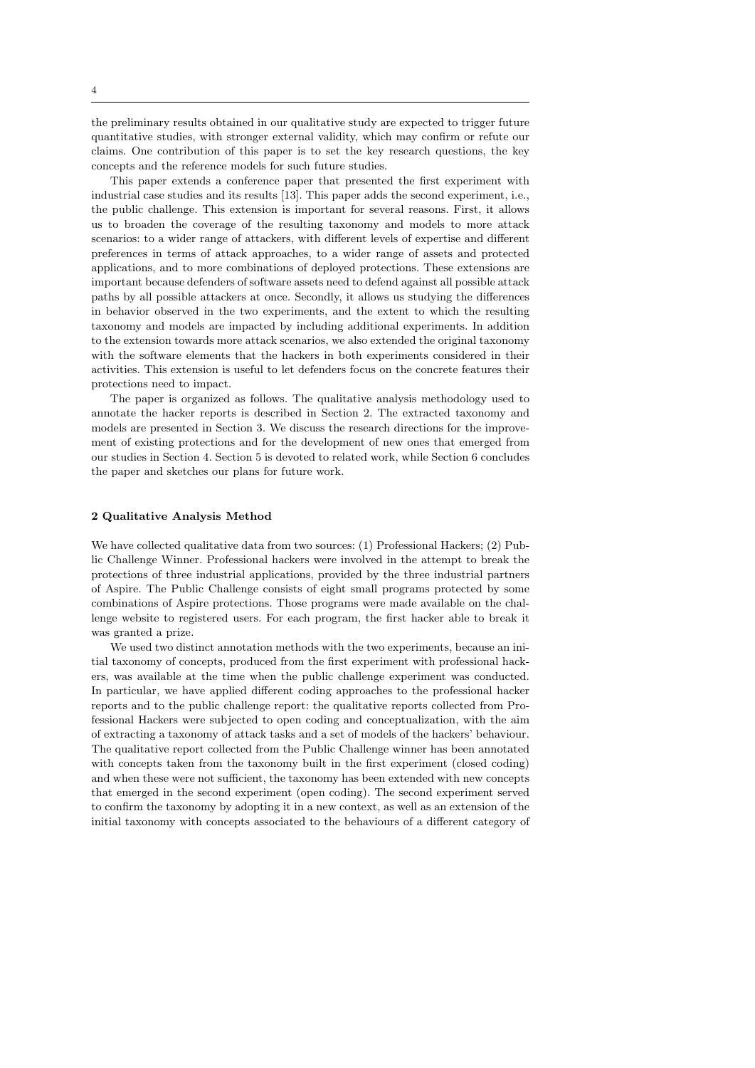the preliminary results obtained in our qualitative study are expected to trigger future quantitative studies, with stronger external validity, which may confirm or refute our claims. One contribution of this paper is to set the key research questions, the key concepts and the reference models for such future studies.

This paper extends a conference paper that presented the first experiment with industrial case studies and its results [13]. This paper adds the second experiment, i.e., the public challenge. This extension is important for several reasons. First, it allows us to broaden the coverage of the resulting taxonomy and models to more attack scenarios: to a wider range of attackers, with different levels of expertise and different preferences in terms of attack approaches, to a wider range of assets and protected applications, and to more combinations of deployed protections. These extensions are important because defenders of software assets need to defend against all possible attack paths by all possible attackers at once. Secondly, it allows us studying the differences in behavior observed in the two experiments, and the extent to which the resulting taxonomy and models are impacted by including additional experiments. In addition to the extension towards more attack scenarios, we also extended the original taxonomy with the software elements that the hackers in both experiments considered in their activities. This extension is useful to let defenders focus on the concrete features their protections need to impact.

The paper is organized as follows. The qualitative analysis methodology used to annotate the hacker reports is described in Section 2. The extracted taxonomy and models are presented in Section 3. We discuss the research directions for the improvement of existing protections and for the development of new ones that emerged from our studies in Section 4. Section 5 is devoted to related work, while Section 6 concludes the paper and sketches our plans for future work.

### 2 Qualitative Analysis Method

We have collected qualitative data from two sources: (1) Professional Hackers; (2) Public Challenge Winner. Professional hackers were involved in the attempt to break the protections of three industrial applications, provided by the three industrial partners of Aspire. The Public Challenge consists of eight small programs protected by some combinations of Aspire protections. Those programs were made available on the challenge website to registered users. For each program, the first hacker able to break it was granted a prize.

We used two distinct annotation methods with the two experiments, because an initial taxonomy of concepts, produced from the first experiment with professional hackers, was available at the time when the public challenge experiment was conducted. In particular, we have applied different coding approaches to the professional hacker reports and to the public challenge report: the qualitative reports collected from Professional Hackers were subjected to open coding and conceptualization, with the aim of extracting a taxonomy of attack tasks and a set of models of the hackers' behaviour. The qualitative report collected from the Public Challenge winner has been annotated with concepts taken from the taxonomy built in the first experiment (closed coding) and when these were not sufficient, the taxonomy has been extended with new concepts that emerged in the second experiment (open coding). The second experiment served to confirm the taxonomy by adopting it in a new context, as well as an extension of the initial taxonomy with concepts associated to the behaviours of a different category of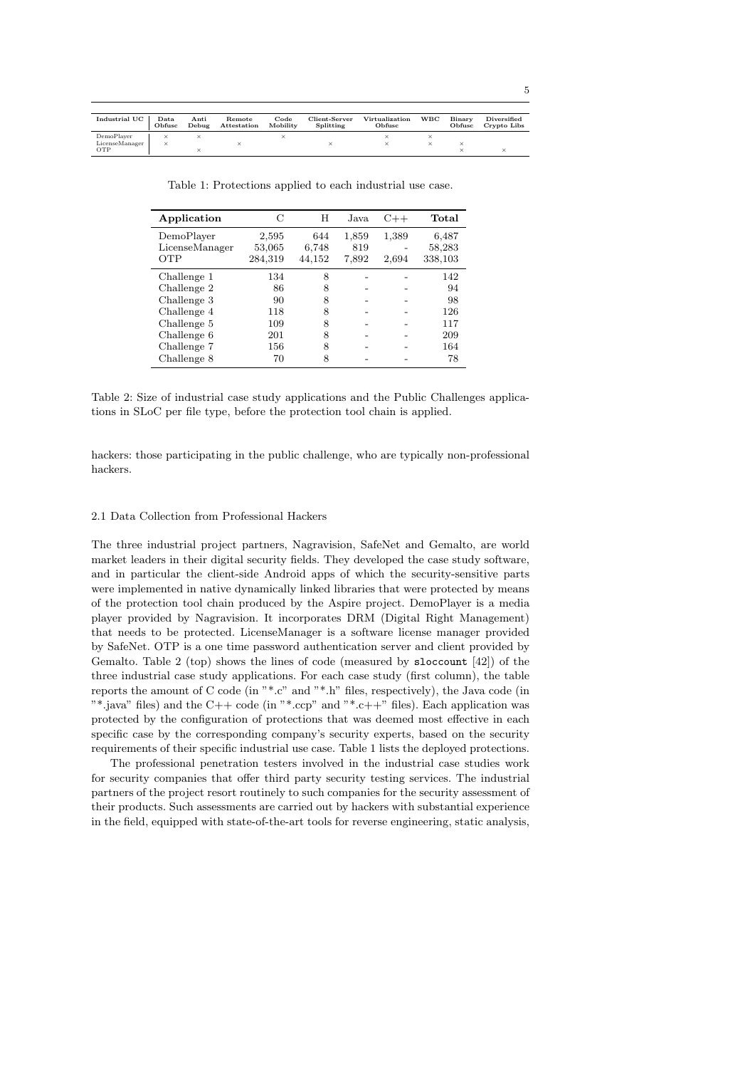|   | I       |
|---|---------|
|   | ۹       |
| × | ٦<br>۰, |
|   |         |
|   |         |

| Industrial UC  | Data<br>Obfusc | Anti<br>Debug | Remote<br>Attestation | Code<br>Mobility | Client-Server<br>Splitting | Virtualization<br>Obfusc | <b>WBC</b> | Binary<br>Obfusc | Diversified<br>Crypto Libs |
|----------------|----------------|---------------|-----------------------|------------------|----------------------------|--------------------------|------------|------------------|----------------------------|
| DemoPlayer     |                |               |                       |                  |                            |                          |            |                  |                            |
| LicenseManager | ×              |               |                       |                  |                            |                          |            |                  |                            |
| OTP            |                |               |                       |                  |                            |                          |            |                  |                            |

Table 1: Protections applied to each industrial use case.

| Application    | C       | H      | Java. | $C++$ | Total   |
|----------------|---------|--------|-------|-------|---------|
| DemoPlayer     | 2,595   | 644    | 1,859 | 1,389 | 6,487   |
| LicenseManager | 53,065  | 6,748  | 819   |       | 58,283  |
| OTP            | 284,319 | 44,152 | 7,892 | 2,694 | 338,103 |
| Challenge 1    | 134     | 8      |       |       | 142     |
| Challenge 2    | 86      | 8      |       |       | 94      |
| Challenge 3    | 90      | 8      |       |       | 98      |
| Challenge 4    | 118     | 8      |       |       | 126     |
| Challenge 5    | 109     | 8      |       |       | 117     |
| Challenge 6    | 201     | 8      |       |       | 209     |
| Challenge 7    | 156     | 8      |       |       | 164     |
| Challenge 8    | 70      | 8      |       |       | 78      |

Table 2: Size of industrial case study applications and the Public Challenges applications in SLoC per file type, before the protection tool chain is applied.

hackers: those participating in the public challenge, who are typically non-professional hackers.

## 2.1 Data Collection from Professional Hackers

The three industrial project partners, Nagravision, SafeNet and Gemalto, are world market leaders in their digital security fields. They developed the case study software, and in particular the client-side Android apps of which the security-sensitive parts were implemented in native dynamically linked libraries that were protected by means of the protection tool chain produced by the Aspire project. DemoPlayer is a media player provided by Nagravision. It incorporates DRM (Digital Right Management) that needs to be protected. LicenseManager is a software license manager provided by SafeNet. OTP is a one time password authentication server and client provided by Gemalto. Table 2 (top) shows the lines of code (measured by sloccount [42]) of the three industrial case study applications. For each case study (first column), the table reports the amount of C code (in  $"*.c"$  and  $"*.h"$  files, respectively), the Java code (in "\*, iava" files) and the C++ code (in "\*, ccp" and "\*, c++" files). Each application was protected by the configuration of protections that was deemed most effective in each specific case by the corresponding company's security experts, based on the security requirements of their specific industrial use case. Table 1 lists the deployed protections.

The professional penetration testers involved in the industrial case studies work for security companies that offer third party security testing services. The industrial partners of the project resort routinely to such companies for the security assessment of their products. Such assessments are carried out by hackers with substantial experience in the field, equipped with state-of-the-art tools for reverse engineering, static analysis,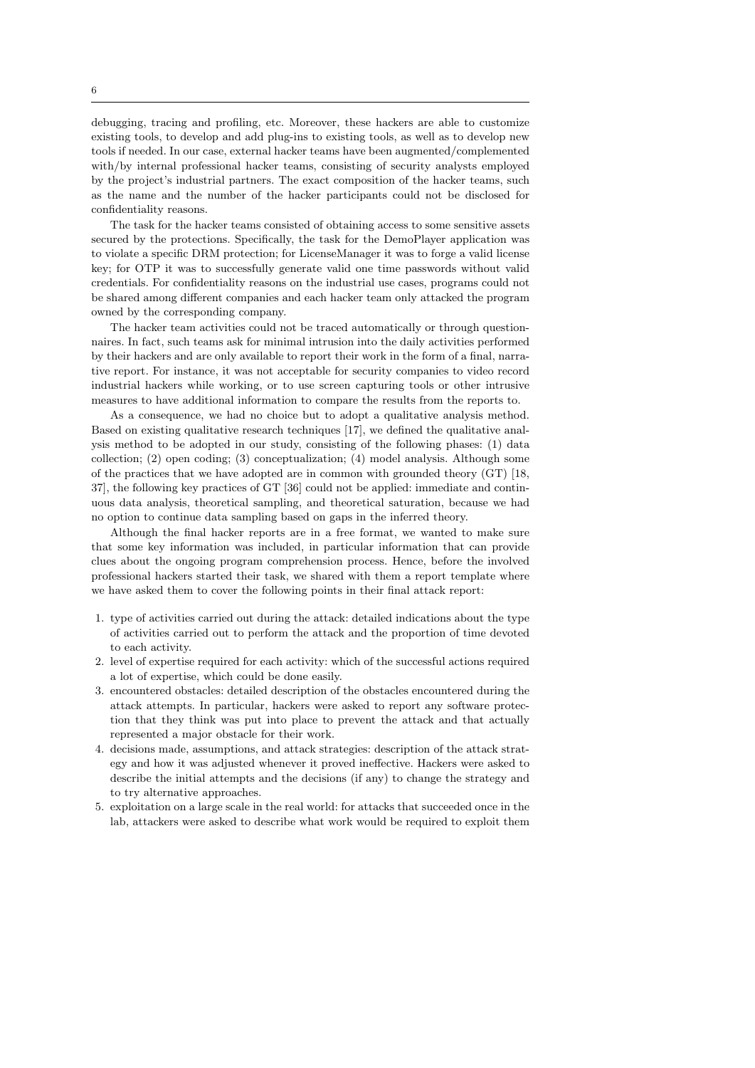debugging, tracing and profiling, etc. Moreover, these hackers are able to customize existing tools, to develop and add plug-ins to existing tools, as well as to develop new tools if needed. In our case, external hacker teams have been augmented/complemented with/by internal professional hacker teams, consisting of security analysts employed by the project's industrial partners. The exact composition of the hacker teams, such as the name and the number of the hacker participants could not be disclosed for confidentiality reasons.

The task for the hacker teams consisted of obtaining access to some sensitive assets secured by the protections. Specifically, the task for the DemoPlayer application was to violate a specific DRM protection; for LicenseManager it was to forge a valid license key; for OTP it was to successfully generate valid one time passwords without valid credentials. For confidentiality reasons on the industrial use cases, programs could not be shared among different companies and each hacker team only attacked the program owned by the corresponding company.

The hacker team activities could not be traced automatically or through questionnaires. In fact, such teams ask for minimal intrusion into the daily activities performed by their hackers and are only available to report their work in the form of a final, narrative report. For instance, it was not acceptable for security companies to video record industrial hackers while working, or to use screen capturing tools or other intrusive measures to have additional information to compare the results from the reports to.

As a consequence, we had no choice but to adopt a qualitative analysis method. Based on existing qualitative research techniques [17], we defined the qualitative analysis method to be adopted in our study, consisting of the following phases: (1) data collection; (2) open coding; (3) conceptualization; (4) model analysis. Although some of the practices that we have adopted are in common with grounded theory (GT) [18, 37], the following key practices of GT [36] could not be applied: immediate and continuous data analysis, theoretical sampling, and theoretical saturation, because we had no option to continue data sampling based on gaps in the inferred theory.

Although the final hacker reports are in a free format, we wanted to make sure that some key information was included, in particular information that can provide clues about the ongoing program comprehension process. Hence, before the involved professional hackers started their task, we shared with them a report template where we have asked them to cover the following points in their final attack report:

- 1. type of activities carried out during the attack: detailed indications about the type of activities carried out to perform the attack and the proportion of time devoted to each activity.
- 2. level of expertise required for each activity: which of the successful actions required a lot of expertise, which could be done easily.
- 3. encountered obstacles: detailed description of the obstacles encountered during the attack attempts. In particular, hackers were asked to report any software protection that they think was put into place to prevent the attack and that actually represented a major obstacle for their work.
- 4. decisions made, assumptions, and attack strategies: description of the attack strategy and how it was adjusted whenever it proved ineffective. Hackers were asked to describe the initial attempts and the decisions (if any) to change the strategy and to try alternative approaches.
- 5. exploitation on a large scale in the real world: for attacks that succeeded once in the lab, attackers were asked to describe what work would be required to exploit them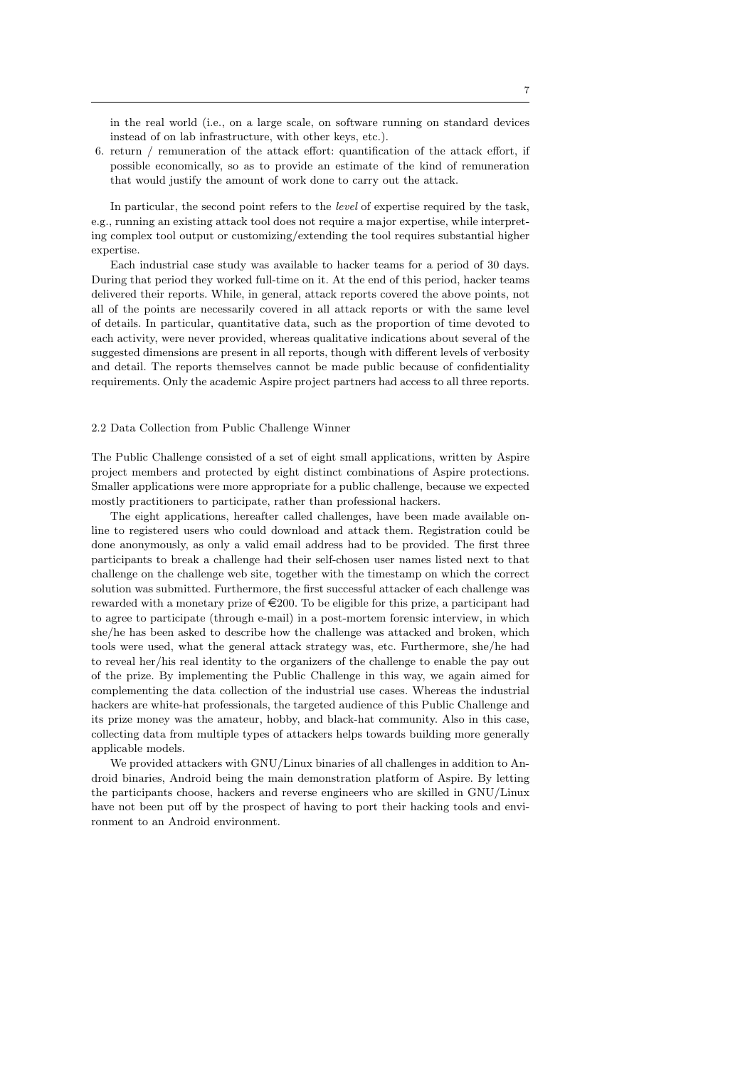in the real world (i.e., on a large scale, on software running on standard devices instead of on lab infrastructure, with other keys, etc.).

6. return / remuneration of the attack effort: quantification of the attack effort, if possible economically, so as to provide an estimate of the kind of remuneration that would justify the amount of work done to carry out the attack.

In particular, the second point refers to the *level* of expertise required by the task. e.g., running an existing attack tool does not require a major expertise, while interpreting complex tool output or customizing/extending the tool requires substantial higher expertise.

Each industrial case study was available to hacker teams for a period of 30 days. During that period they worked full-time on it. At the end of this period, hacker teams delivered their reports. While, in general, attack reports covered the above points, not all of the points are necessarily covered in all attack reports or with the same level of details. In particular, quantitative data, such as the proportion of time devoted to each activity, were never provided, whereas qualitative indications about several of the suggested dimensions are present in all reports, though with different levels of verbosity and detail. The reports themselves cannot be made public because of confidentiality requirements. Only the academic Aspire project partners had access to all three reports.

# 2.2 Data Collection from Public Challenge Winner

The Public Challenge consisted of a set of eight small applications, written by Aspire project members and protected by eight distinct combinations of Aspire protections. Smaller applications were more appropriate for a public challenge, because we expected mostly practitioners to participate, rather than professional hackers.

The eight applications, hereafter called challenges, have been made available online to registered users who could download and attack them. Registration could be done anonymously, as only a valid email address had to be provided. The first three participants to break a challenge had their self-chosen user names listed next to that challenge on the challenge web site, together with the timestamp on which the correct solution was submitted. Furthermore, the first successful attacker of each challenge was rewarded with a monetary prize of  $\in 200$ . To be eligible for this prize, a participant had to agree to participate (through e-mail) in a post-mortem forensic interview, in which she/he has been asked to describe how the challenge was attacked and broken, which tools were used, what the general attack strategy was, etc. Furthermore, she/he had to reveal her/his real identity to the organizers of the challenge to enable the pay out of the prize. By implementing the Public Challenge in this way, we again aimed for complementing the data collection of the industrial use cases. Whereas the industrial hackers are white-hat professionals, the targeted audience of this Public Challenge and its prize money was the amateur, hobby, and black-hat community. Also in this case, collecting data from multiple types of attackers helps towards building more generally applicable models.

We provided attackers with GNU/Linux binaries of all challenges in addition to Android binaries, Android being the main demonstration platform of Aspire. By letting the participants choose, hackers and reverse engineers who are skilled in GNU/Linux have not been put off by the prospect of having to port their hacking tools and environment to an Android environment.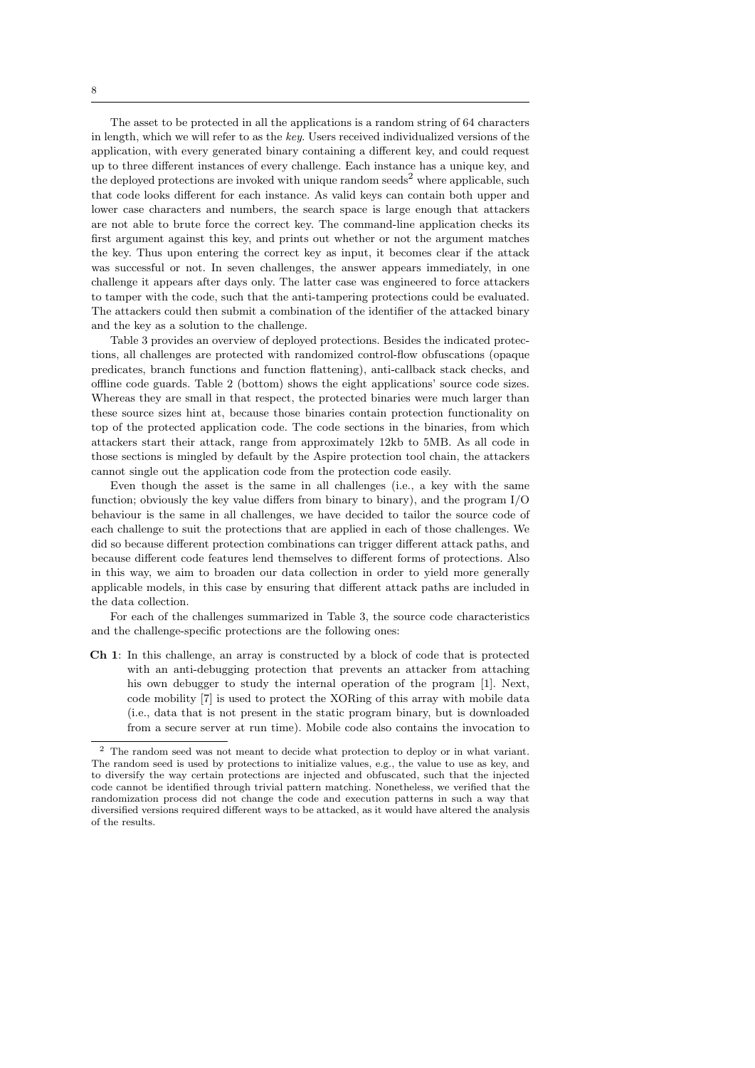The asset to be protected in all the applications is a random string of 64 characters in length, which we will refer to as the key. Users received individualized versions of the application, with every generated binary containing a different key, and could request up to three different instances of every challenge. Each instance has a unique key, and the deployed protections are invoked with unique random seeds<sup>2</sup> where applicable, such that code looks different for each instance. As valid keys can contain both upper and lower case characters and numbers, the search space is large enough that attackers are not able to brute force the correct key. The command-line application checks its first argument against this key, and prints out whether or not the argument matches the key. Thus upon entering the correct key as input, it becomes clear if the attack was successful or not. In seven challenges, the answer appears immediately, in one challenge it appears after days only. The latter case was engineered to force attackers to tamper with the code, such that the anti-tampering protections could be evaluated. The attackers could then submit a combination of the identifier of the attacked binary and the key as a solution to the challenge.

Table 3 provides an overview of deployed protections. Besides the indicated protections, all challenges are protected with randomized control-flow obfuscations (opaque predicates, branch functions and function flattening), anti-callback stack checks, and offline code guards. Table 2 (bottom) shows the eight applications' source code sizes. Whereas they are small in that respect, the protected binaries were much larger than these source sizes hint at, because those binaries contain protection functionality on top of the protected application code. The code sections in the binaries, from which attackers start their attack, range from approximately 12kb to 5MB. As all code in those sections is mingled by default by the Aspire protection tool chain, the attackers cannot single out the application code from the protection code easily.

Even though the asset is the same in all challenges (i.e., a key with the same function; obviously the key value differs from binary to binary), and the program I/O behaviour is the same in all challenges, we have decided to tailor the source code of each challenge to suit the protections that are applied in each of those challenges. We did so because different protection combinations can trigger different attack paths, and because different code features lend themselves to different forms of protections. Also in this way, we aim to broaden our data collection in order to yield more generally applicable models, in this case by ensuring that different attack paths are included in the data collection.

For each of the challenges summarized in Table 3, the source code characteristics and the challenge-specific protections are the following ones:

Ch 1: In this challenge, an array is constructed by a block of code that is protected with an anti-debugging protection that prevents an attacker from attaching his own debugger to study the internal operation of the program [1]. Next, code mobility [7] is used to protect the XORing of this array with mobile data (i.e., data that is not present in the static program binary, but is downloaded from a secure server at run time). Mobile code also contains the invocation to

<sup>2</sup> The random seed was not meant to decide what protection to deploy or in what variant. The random seed is used by protections to initialize values, e.g., the value to use as key, and to diversify the way certain protections are injected and obfuscated, such that the injected code cannot be identified through trivial pattern matching. Nonetheless, we verified that the randomization process did not change the code and execution patterns in such a way that diversified versions required different ways to be attacked, as it would have altered the analysis of the results.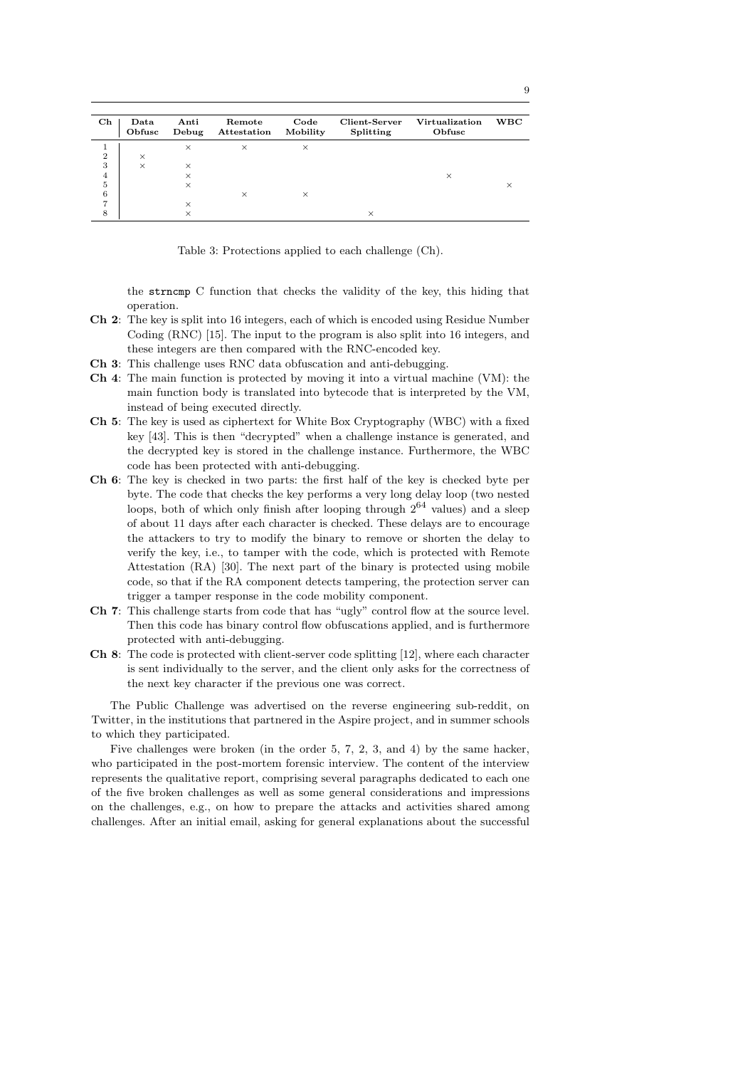| $\mathbf{Ch}$  | Data<br>Obfusc | Anti<br>Debug | Remote<br>Attestation | Code<br>Mobility | Client-Server<br>Splitting | Virtualization<br>Obfusc | WBC |
|----------------|----------------|---------------|-----------------------|------------------|----------------------------|--------------------------|-----|
|                |                | $\times$      | $\times$              | ×                |                            |                          |     |
| $\overline{2}$ | $\times$       |               |                       |                  |                            |                          |     |
| 3              | $\times$       | $\times$      |                       |                  |                            |                          |     |
| 4              |                | $\times$      |                       |                  |                            | $\times$                 |     |
| 5              |                | $\times$      |                       |                  |                            |                          |     |
| 6              |                |               | $\times$              | $\times$         |                            |                          |     |
| ⇁              |                | $\times$      |                       |                  |                            |                          |     |
| 8              |                |               |                       |                  |                            |                          |     |

Table 3: Protections applied to each challenge (Ch).

the strncmp C function that checks the validity of the key, this hiding that operation.

- Ch 2: The key is split into 16 integers, each of which is encoded using Residue Number Coding (RNC) [15]. The input to the program is also split into 16 integers, and these integers are then compared with the RNC-encoded key.
- Ch 3: This challenge uses RNC data obfuscation and anti-debugging.
- Ch 4: The main function is protected by moving it into a virtual machine (VM): the main function body is translated into bytecode that is interpreted by the VM, instead of being executed directly.
- Ch 5: The key is used as ciphertext for White Box Cryptography (WBC) with a fixed key [43]. This is then "decrypted" when a challenge instance is generated, and the decrypted key is stored in the challenge instance. Furthermore, the WBC code has been protected with anti-debugging.
- Ch 6: The key is checked in two parts: the first half of the key is checked byte per byte. The code that checks the key performs a very long delay loop (two nested loops, both of which only finish after looping through  $2^{64}$  values) and a sleep of about 11 days after each character is checked. These delays are to encourage the attackers to try to modify the binary to remove or shorten the delay to verify the key, i.e., to tamper with the code, which is protected with Remote Attestation (RA) [30]. The next part of the binary is protected using mobile code, so that if the RA component detects tampering, the protection server can trigger a tamper response in the code mobility component.
- Ch 7: This challenge starts from code that has "ugly" control flow at the source level. Then this code has binary control flow obfuscations applied, and is furthermore protected with anti-debugging.
- Ch 8: The code is protected with client-server code splitting [12], where each character is sent individually to the server, and the client only asks for the correctness of the next key character if the previous one was correct.

The Public Challenge was advertised on the reverse engineering sub-reddit, on Twitter, in the institutions that partnered in the Aspire project, and in summer schools to which they participated.

Five challenges were broken (in the order 5, 7, 2, 3, and 4) by the same hacker, who participated in the post-mortem forensic interview. The content of the interview represents the qualitative report, comprising several paragraphs dedicated to each one of the five broken challenges as well as some general considerations and impressions on the challenges, e.g., on how to prepare the attacks and activities shared among challenges. After an initial email, asking for general explanations about the successful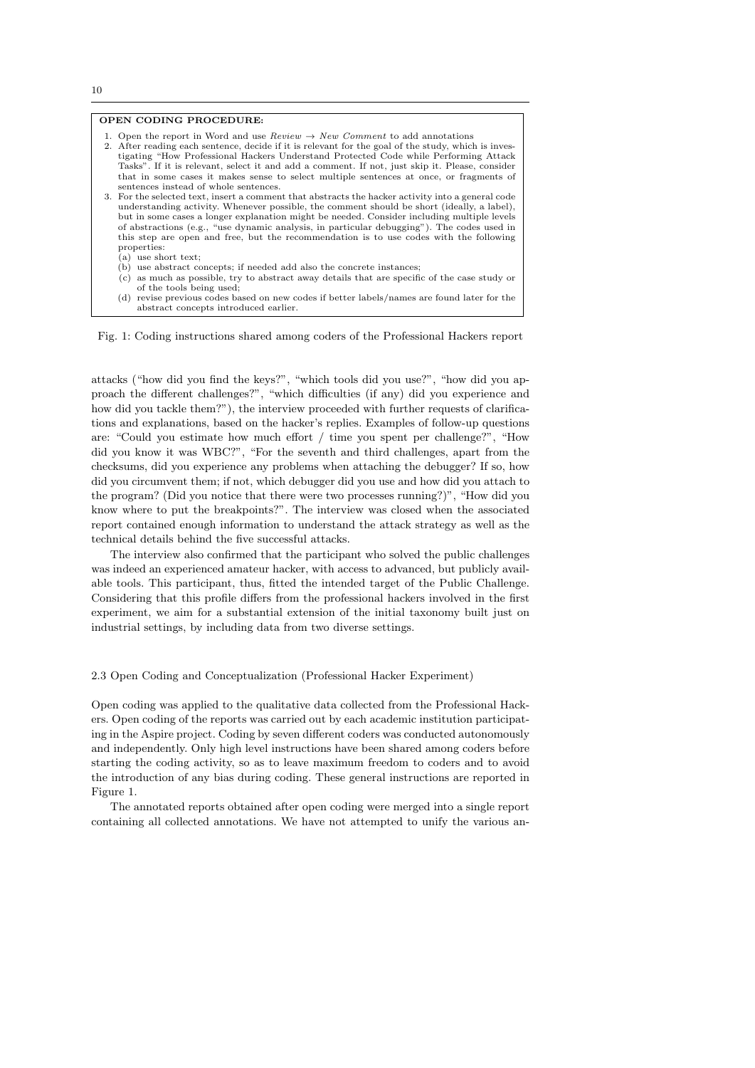# OPEN CODING PROCEDURE:

- 1. Open the report in Word and use Review  $\rightarrow$  New Comment to add annotations
- 2. After reading each sentence, decide if it is relevant for the goal of the study, which is investigating "How Professional Hackers Understand Protected Code while Performing Attack Tasks". If it is relevant, select it and add a comment. If not, just skip it. Please, consider that in some cases it makes sense to select multiple sentences at once, or fragments of sentences instead of whole sentences.
- 3. For the selected text, insert a comment that abstracts the hacker activity into a general code understanding activity. Whenever possible, the comment should be short (ideally, a label), but in some cases a longer explanation might be needed. Consider including multiple levels of abstractions (e.g., "use dynamic analysis, in particular debugging"). The codes used in this step are open and free, but the recommendation is to use codes with the following properties:
	- (a) use short text;
	- (b) use abstract concepts; if needed add also the concrete instances;
	- (c) as much as possible, try to abstract away details that are specific of the case study or of the tools being used;
	- (d) revise previous codes based on new codes if better labels/names are found later for the abstract concepts introduced earlier.

Fig. 1: Coding instructions shared among coders of the Professional Hackers report

attacks ("how did you find the keys?", "which tools did you use?", "how did you approach the different challenges?", "which difficulties (if any) did you experience and how did you tackle them?"), the interview proceeded with further requests of clarifications and explanations, based on the hacker's replies. Examples of follow-up questions are: "Could you estimate how much effort / time you spent per challenge?", "How did you know it was WBC?", "For the seventh and third challenges, apart from the checksums, did you experience any problems when attaching the debugger? If so, how did you circumvent them; if not, which debugger did you use and how did you attach to the program? (Did you notice that there were two processes running?)", "How did you know where to put the breakpoints?". The interview was closed when the associated report contained enough information to understand the attack strategy as well as the technical details behind the five successful attacks.

The interview also confirmed that the participant who solved the public challenges was indeed an experienced amateur hacker, with access to advanced, but publicly available tools. This participant, thus, fitted the intended target of the Public Challenge. Considering that this profile differs from the professional hackers involved in the first experiment, we aim for a substantial extension of the initial taxonomy built just on industrial settings, by including data from two diverse settings.

2.3 Open Coding and Conceptualization (Professional Hacker Experiment)

Open coding was applied to the qualitative data collected from the Professional Hackers. Open coding of the reports was carried out by each academic institution participating in the Aspire project. Coding by seven different coders was conducted autonomously and independently. Only high level instructions have been shared among coders before starting the coding activity, so as to leave maximum freedom to coders and to avoid the introduction of any bias during coding. These general instructions are reported in Figure 1.

The annotated reports obtained after open coding were merged into a single report containing all collected annotations. We have not attempted to unify the various an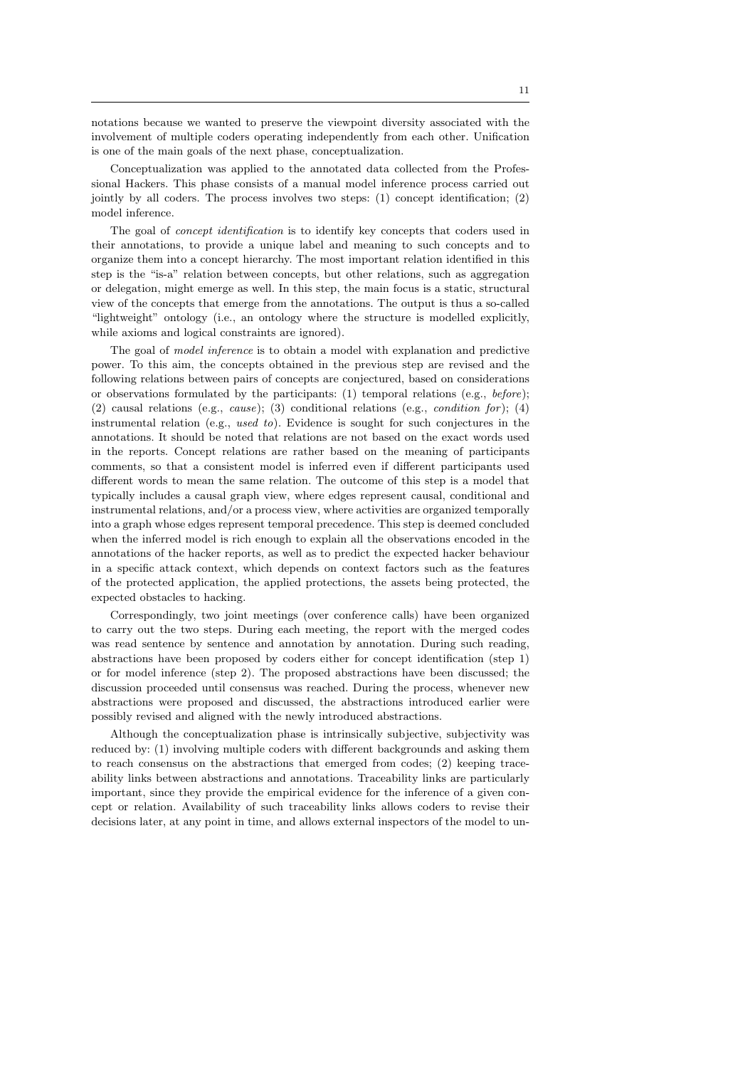notations because we wanted to preserve the viewpoint diversity associated with the involvement of multiple coders operating independently from each other. Unification is one of the main goals of the next phase, conceptualization.

Conceptualization was applied to the annotated data collected from the Professional Hackers. This phase consists of a manual model inference process carried out jointly by all coders. The process involves two steps: (1) concept identification; (2) model inference.

The goal of *concept identification* is to identify key concepts that coders used in their annotations, to provide a unique label and meaning to such concepts and to organize them into a concept hierarchy. The most important relation identified in this step is the "is-a" relation between concepts, but other relations, such as aggregation or delegation, might emerge as well. In this step, the main focus is a static, structural view of the concepts that emerge from the annotations. The output is thus a so-called "lightweight" ontology (i.e., an ontology where the structure is modelled explicitly, while axioms and logical constraints are ignored).

The goal of model inference is to obtain a model with explanation and predictive power. To this aim, the concepts obtained in the previous step are revised and the following relations between pairs of concepts are conjectured, based on considerations or observations formulated by the participants: (1) temporal relations (e.g.,  $before$ ); (2) causal relations (e.g., cause); (3) conditional relations (e.g., condition for ); (4) instrumental relation (e.g., used to). Evidence is sought for such conjectures in the annotations. It should be noted that relations are not based on the exact words used in the reports. Concept relations are rather based on the meaning of participants comments, so that a consistent model is inferred even if different participants used different words to mean the same relation. The outcome of this step is a model that typically includes a causal graph view, where edges represent causal, conditional and instrumental relations, and/or a process view, where activities are organized temporally into a graph whose edges represent temporal precedence. This step is deemed concluded when the inferred model is rich enough to explain all the observations encoded in the annotations of the hacker reports, as well as to predict the expected hacker behaviour in a specific attack context, which depends on context factors such as the features of the protected application, the applied protections, the assets being protected, the expected obstacles to hacking.

Correspondingly, two joint meetings (over conference calls) have been organized to carry out the two steps. During each meeting, the report with the merged codes was read sentence by sentence and annotation by annotation. During such reading, abstractions have been proposed by coders either for concept identification (step 1) or for model inference (step 2). The proposed abstractions have been discussed; the discussion proceeded until consensus was reached. During the process, whenever new abstractions were proposed and discussed, the abstractions introduced earlier were possibly revised and aligned with the newly introduced abstractions.

Although the conceptualization phase is intrinsically subjective, subjectivity was reduced by: (1) involving multiple coders with different backgrounds and asking them to reach consensus on the abstractions that emerged from codes; (2) keeping traceability links between abstractions and annotations. Traceability links are particularly important, since they provide the empirical evidence for the inference of a given concept or relation. Availability of such traceability links allows coders to revise their decisions later, at any point in time, and allows external inspectors of the model to un-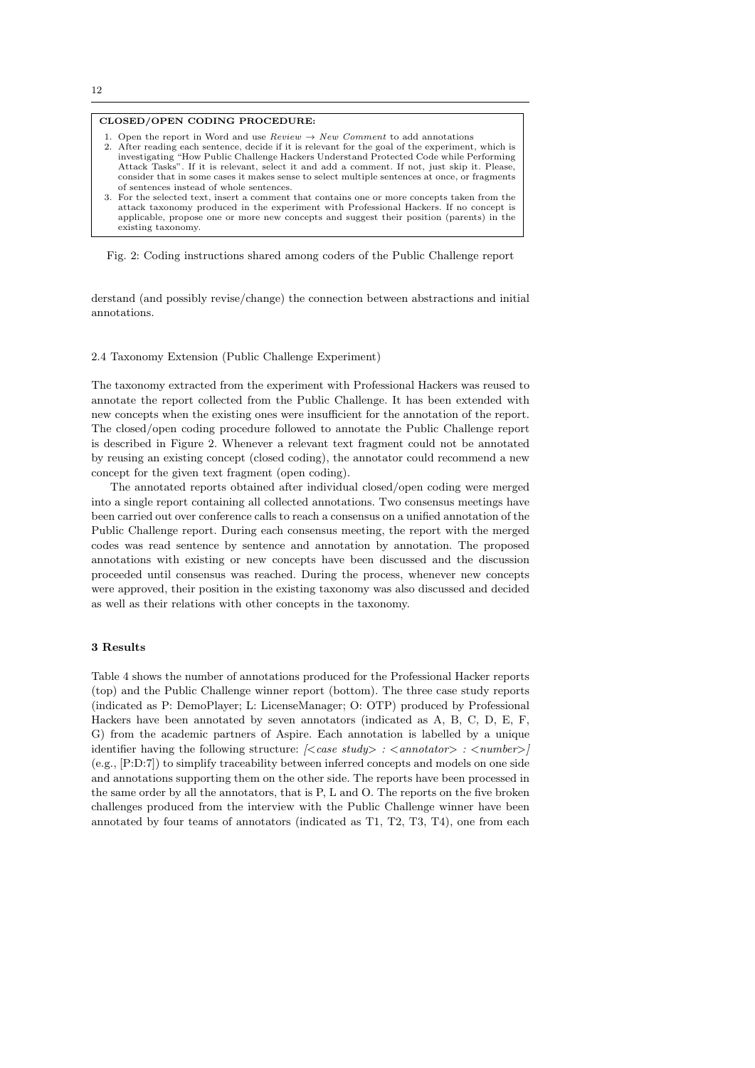## CLOSED/OPEN CODING PROCEDURE:

- 1. Open the report in Word and use  $Review \rightarrow New Comment$  to add annotations 2. After reading each sentence, decide if it is relevant for the goal of the experiment, which is investigating "How Public Challenge Hackers Understand Protected Code while Performing Attack Tasks". If it is relevant, select it and add a comment. If not, just skip it. Please, consider that in some cases it makes sense to select multiple sentences at once, or fragments of sentences instead of whole sentences.
- 3. For the selected text, insert a comment that contains one or more concepts taken from the attack taxonomy produced in the experiment with Professional Hackers. If no concept is applicable, propose one or more new concepts and suggest their position (parents) in the existing taxonomy.

Fig. 2: Coding instructions shared among coders of the Public Challenge report

derstand (and possibly revise/change) the connection between abstractions and initial annotations.

# 2.4 Taxonomy Extension (Public Challenge Experiment)

The taxonomy extracted from the experiment with Professional Hackers was reused to annotate the report collected from the Public Challenge. It has been extended with new concepts when the existing ones were insufficient for the annotation of the report. The closed/open coding procedure followed to annotate the Public Challenge report is described in Figure 2. Whenever a relevant text fragment could not be annotated by reusing an existing concept (closed coding), the annotator could recommend a new concept for the given text fragment (open coding).

The annotated reports obtained after individual closed/open coding were merged into a single report containing all collected annotations. Two consensus meetings have been carried out over conference calls to reach a consensus on a unified annotation of the Public Challenge report. During each consensus meeting, the report with the merged codes was read sentence by sentence and annotation by annotation. The proposed annotations with existing or new concepts have been discussed and the discussion proceeded until consensus was reached. During the process, whenever new concepts were approved, their position in the existing taxonomy was also discussed and decided as well as their relations with other concepts in the taxonomy.

# 3 Results

Table 4 shows the number of annotations produced for the Professional Hacker reports (top) and the Public Challenge winner report (bottom). The three case study reports (indicated as P: DemoPlayer; L: LicenseManager; O: OTP) produced by Professional Hackers have been annotated by seven annotators (indicated as A, B, C, D, E, F, G) from the academic partners of Aspire. Each annotation is labelled by a unique identifier having the following structure:  $\langle \langle \text{case study} \rangle : \langle \text{annotator} \rangle : \langle \text{number} \rangle$ (e.g., [P:D:7]) to simplify traceability between inferred concepts and models on one side and annotations supporting them on the other side. The reports have been processed in the same order by all the annotators, that is P, L and O. The reports on the five broken challenges produced from the interview with the Public Challenge winner have been annotated by four teams of annotators (indicated as T1, T2, T3, T4), one from each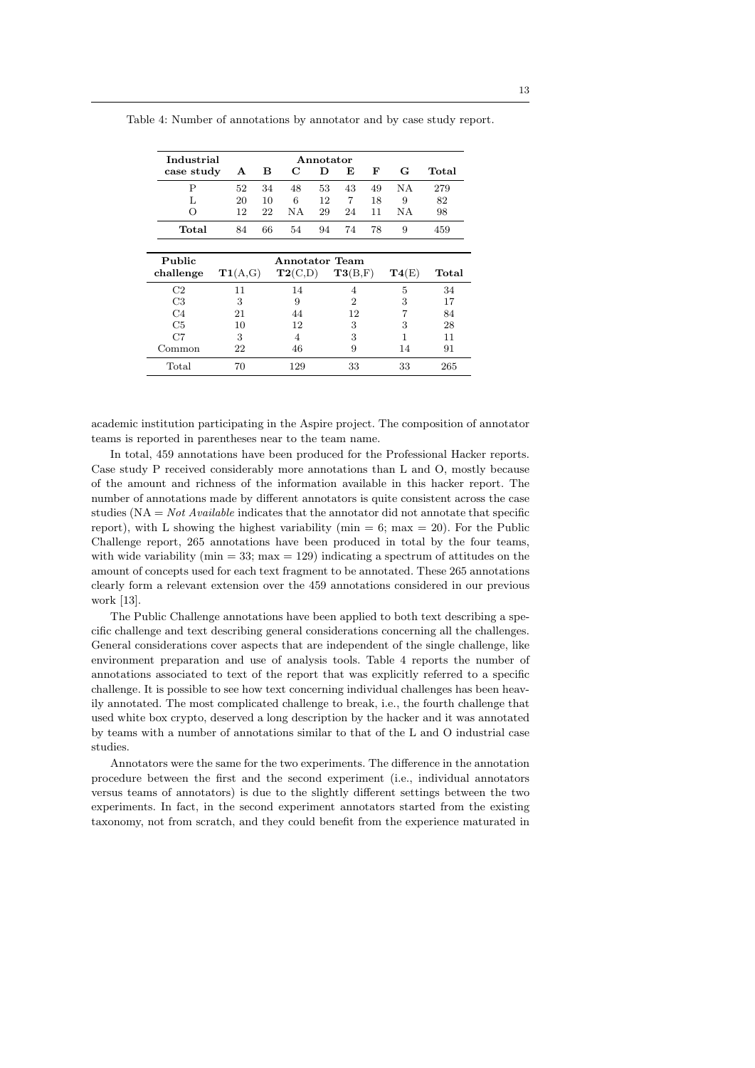| Industrial       |    | Annotator |     |    |    |    |     |       |
|------------------|----|-----------|-----|----|----|----|-----|-------|
| case study       | A  | в         | C   | D  | Е  | F  | G   | Total |
| P                | 52 | 34        | 48  | 53 | 43 | 49 | N A | 279   |
| L                | 20 | 10        | 6   | 12 | 7  | 18 | 9   | 82    |
| $\left( \right)$ | 12 | 22        | N A | 29 | 24 | 11 | ΝA  | 98    |
| Total            | 84 | 66        | 54  | 94 | 74 | 78 | 9   | 459   |
|                  |    |           |     |    |    |    |     |       |

Table 4: Number of annotations by annotator and by case study report.

| Public         |         | Annotator Team |         |       |       |
|----------------|---------|----------------|---------|-------|-------|
| challenge      | T1(A,G) | T2(C,D)        | T3(B,F) | T4(E) | Total |
| C2             | 11      | 14             |         | 5     | 34    |
| C <sub>3</sub> | 3       | 9              | 2       | 3     | 17    |
| C4             | 21      | 44             | 12      |       | 84    |
| C <sub>5</sub> | 10      | 12             | 3       | 3     | 28    |
| C7             | 3       | 4              | 3       |       | 11    |
| Common         | 22      | 46             | 9       | 14    | 91    |
| Total          |         | 129            | 33      | 33    | 265   |

academic institution participating in the Aspire project. The composition of annotator teams is reported in parentheses near to the team name.

In total, 459 annotations have been produced for the Professional Hacker reports. Case study P received considerably more annotations than L and O, mostly because of the amount and richness of the information available in this hacker report. The number of annotations made by different annotators is quite consistent across the case studies ( $NA = Not \, Available \, indicates \, that \, the \, annotation \, did \, not \, annotate \, that \, specific \, does \, do.$ report), with L showing the highest variability ( $min = 6$ ;  $max = 20$ ). For the Public Challenge report, 265 annotations have been produced in total by the four teams, with wide variability ( $min = 33$ ;  $max = 129$ ) indicating a spectrum of attitudes on the amount of concepts used for each text fragment to be annotated. These 265 annotations clearly form a relevant extension over the 459 annotations considered in our previous work [13].

The Public Challenge annotations have been applied to both text describing a specific challenge and text describing general considerations concerning all the challenges. General considerations cover aspects that are independent of the single challenge, like environment preparation and use of analysis tools. Table 4 reports the number of annotations associated to text of the report that was explicitly referred to a specific challenge. It is possible to see how text concerning individual challenges has been heavily annotated. The most complicated challenge to break, i.e., the fourth challenge that used white box crypto, deserved a long description by the hacker and it was annotated by teams with a number of annotations similar to that of the L and O industrial case studies.

Annotators were the same for the two experiments. The difference in the annotation procedure between the first and the second experiment (i.e., individual annotators versus teams of annotators) is due to the slightly different settings between the two experiments. In fact, in the second experiment annotators started from the existing taxonomy, not from scratch, and they could benefit from the experience maturated in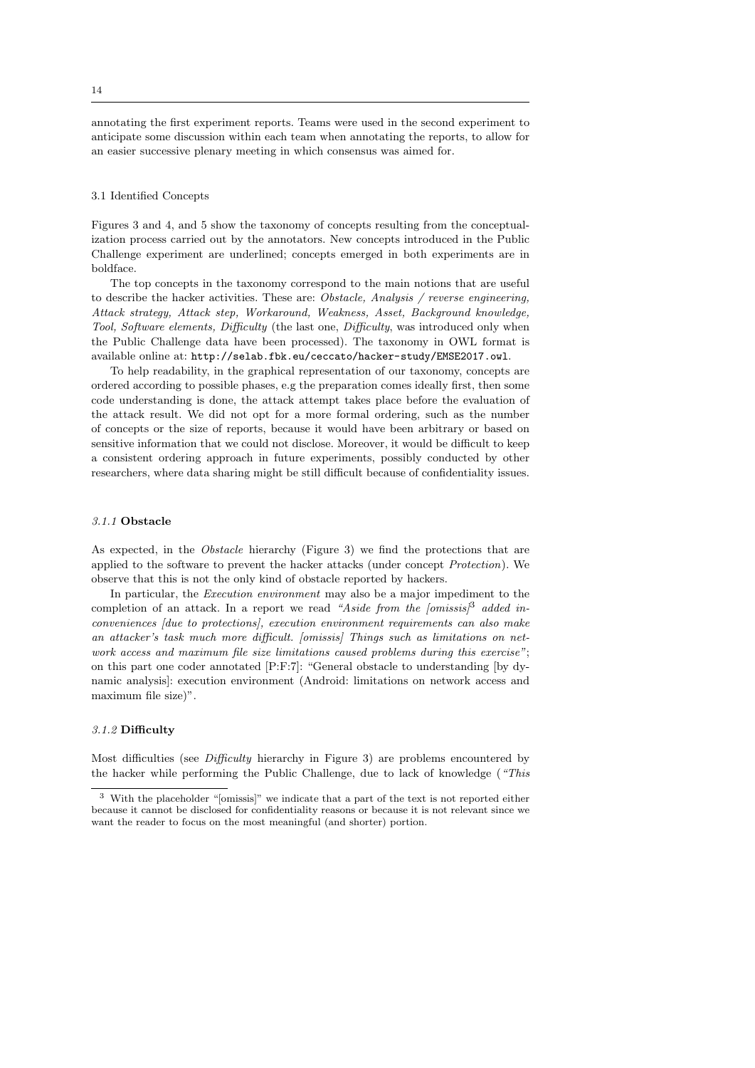annotating the first experiment reports. Teams were used in the second experiment to anticipate some discussion within each team when annotating the reports, to allow for an easier successive plenary meeting in which consensus was aimed for.

## 3.1 Identified Concepts

Figures 3 and 4, and 5 show the taxonomy of concepts resulting from the conceptualization process carried out by the annotators. New concepts introduced in the Public Challenge experiment are underlined; concepts emerged in both experiments are in boldface.

The top concepts in the taxonomy correspond to the main notions that are useful to describe the hacker activities. These are: Obstacle, Analysis / reverse engineering, Attack strategy, Attack step, Workaround, Weakness, Asset, Background knowledge, Tool, Software elements, Difficulty (the last one, Difficulty, was introduced only when the Public Challenge data have been processed). The taxonomy in OWL format is available online at: http://selab.fbk.eu/ceccato/hacker-study/EMSE2017.owl.

To help readability, in the graphical representation of our taxonomy, concepts are ordered according to possible phases, e.g the preparation comes ideally first, then some code understanding is done, the attack attempt takes place before the evaluation of the attack result. We did not opt for a more formal ordering, such as the number of concepts or the size of reports, because it would have been arbitrary or based on sensitive information that we could not disclose. Moreover, it would be difficult to keep a consistent ordering approach in future experiments, possibly conducted by other researchers, where data sharing might be still difficult because of confidentiality issues.

# 3.1.1 Obstacle

As expected, in the *Obstacle* hierarchy (Figure 3) we find the protections that are applied to the software to prevent the hacker attacks (under concept Protection). We observe that this is not the only kind of obstacle reported by hackers.

In particular, the Execution environment may also be a major impediment to the completion of an attack. In a report we read "Aside from the  $\{omissis\}$ " added inconveniences [due to protections], execution environment requirements can also make an attacker's task much more difficult. [omissis] Things such as limitations on network access and maximum file size limitations caused problems during this exercise"; on this part one coder annotated [P:F:7]: "General obstacle to understanding [by dynamic analysis]: execution environment (Android: limitations on network access and maximum file size)".

# 3.1.2 Difficulty

Most difficulties (see Difficulty hierarchy in Figure 3) are problems encountered by the hacker while performing the Public Challenge, due to lack of knowledge ("This

<sup>3</sup> With the placeholder "[omissis]" we indicate that a part of the text is not reported either because it cannot be disclosed for confidentiality reasons or because it is not relevant since we want the reader to focus on the most meaningful (and shorter) portion.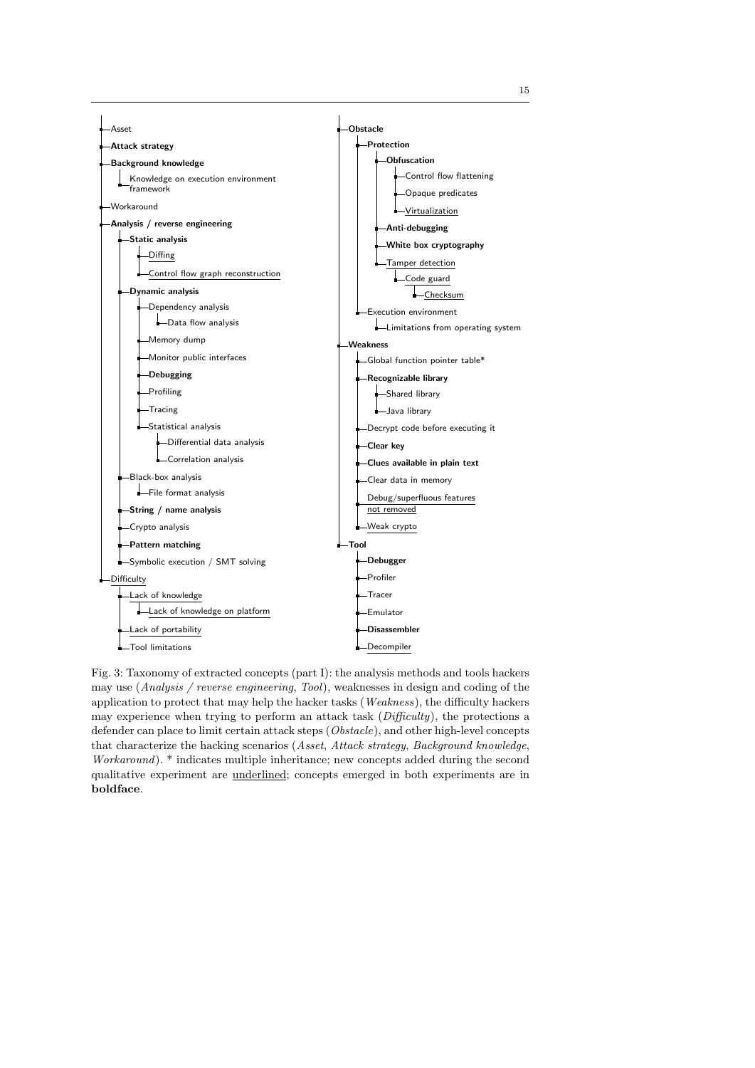

Fig. 3: Taxonomy of extracted concepts (part I): the analysis methods and tools hackers may use (Analysis / reverse engineering, Tool), weaknesses in design and coding of the application to protect that may help the hacker tasks (Weakness), the difficulty hackers may experience when trying to perform an attack task (Difficulty), the protections a defender can place to limit certain attack steps (Obstacle), and other high-level concepts that characterize the hacking scenarios (Asset, Attack strategy, Background knowledge, Workaround). \* indicates multiple inheritance; new concepts added during the second qualitative experiment are underlined; concepts emerged in both experiments are in boldface.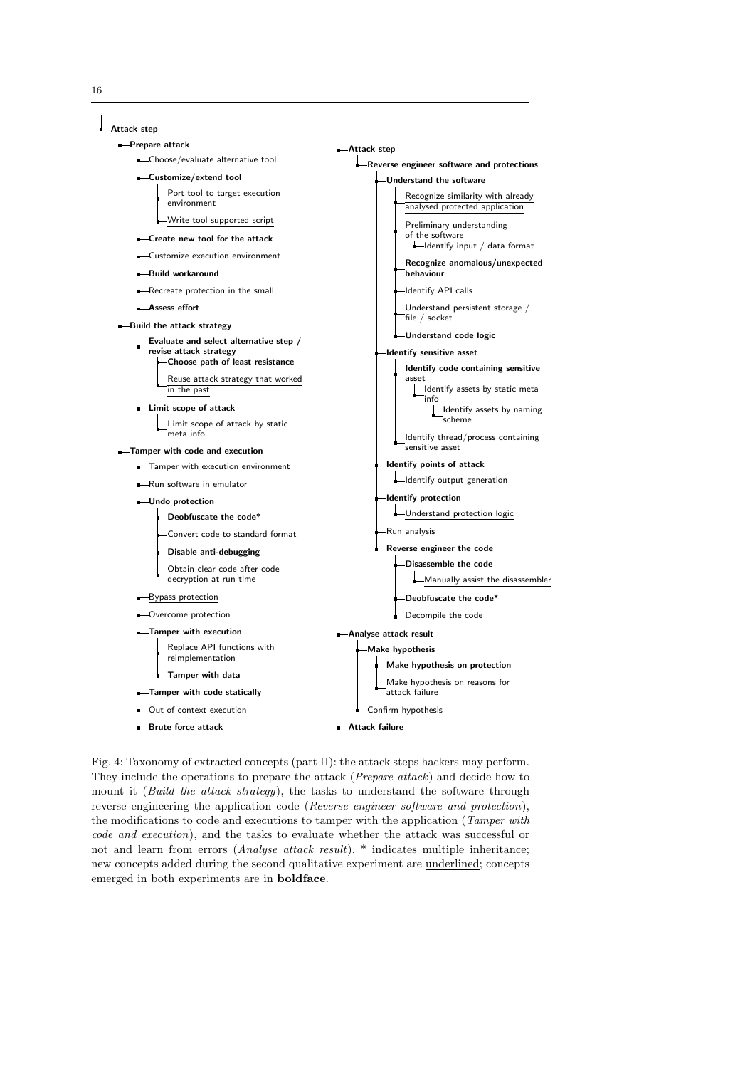

Fig. 4: Taxonomy of extracted concepts (part II): the attack steps hackers may perform. They include the operations to prepare the attack (Prepare attack) and decide how to mount it (Build the attack strategy), the tasks to understand the software through reverse engineering the application code (Reverse engineer software and protection), the modifications to code and executions to tamper with the application (Tamper with code and execution), and the tasks to evaluate whether the attack was successful or not and learn from errors (Analyse attack result). \* indicates multiple inheritance; new concepts added during the second qualitative experiment are underlined; concepts emerged in both experiments are in boldface.

16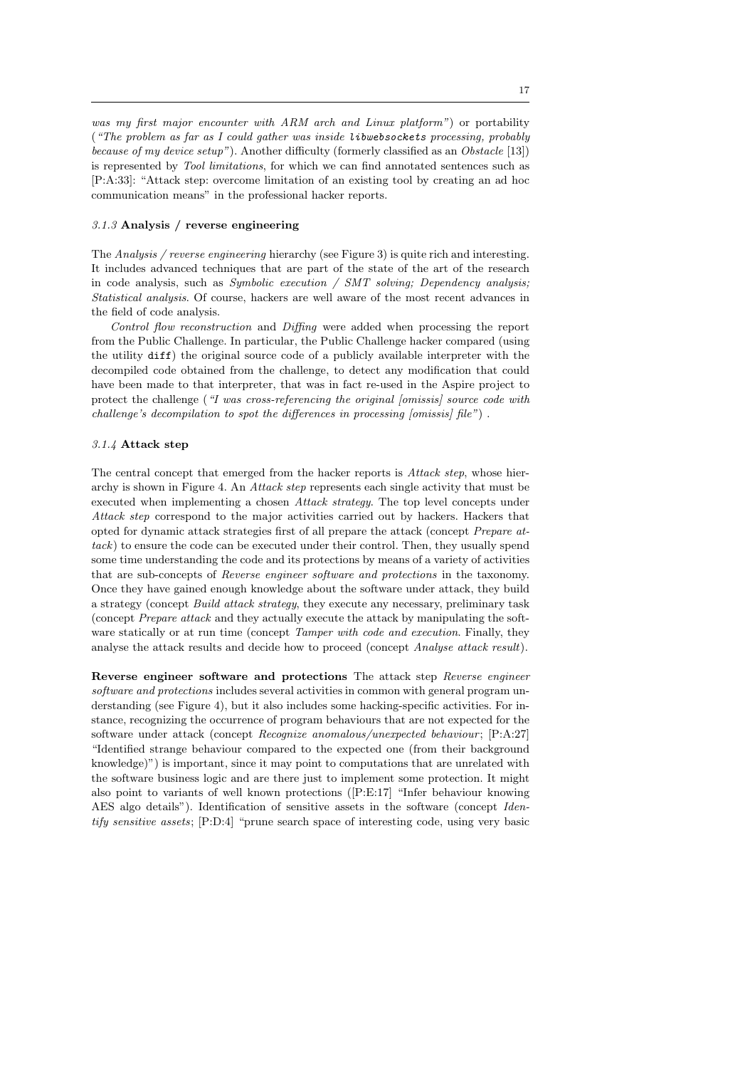was my first major encounter with ARM arch and Linux platform") or portability ("The problem as far as I could gather was inside libwebsockets processing, probably because of my device setup"). Another difficulty (formerly classified as an Obstacle  $[13]$ ) is represented by Tool limitations, for which we can find annotated sentences such as [P:A:33]: "Attack step: overcome limitation of an existing tool by creating an ad hoc communication means" in the professional hacker reports.

## 3.1.3 Analysis / reverse engineering

The Analysis / reverse engineering hierarchy (see Figure 3) is quite rich and interesting. It includes advanced techniques that are part of the state of the art of the research in code analysis, such as Symbolic execution / SMT solving; Dependency analysis; Statistical analysis. Of course, hackers are well aware of the most recent advances in the field of code analysis.

Control flow reconstruction and Diffing were added when processing the report from the Public Challenge. In particular, the Public Challenge hacker compared (using the utility diff) the original source code of a publicly available interpreter with the decompiled code obtained from the challenge, to detect any modification that could have been made to that interpreter, that was in fact re-used in the Aspire project to protect the challenge ("I was cross-referencing the original [omissis] source code with challenge's decompilation to spot the differences in processing  $\{omissis\}$  file").

# 3.1.4 Attack step

The central concept that emerged from the hacker reports is Attack step, whose hierarchy is shown in Figure 4. An Attack step represents each single activity that must be executed when implementing a chosen Attack strategy. The top level concepts under Attack step correspond to the major activities carried out by hackers. Hackers that opted for dynamic attack strategies first of all prepare the attack (concept Prepare attack) to ensure the code can be executed under their control. Then, they usually spend some time understanding the code and its protections by means of a variety of activities that are sub-concepts of Reverse engineer software and protections in the taxonomy. Once they have gained enough knowledge about the software under attack, they build a strategy (concept Build attack strategy, they execute any necessary, preliminary task (concept Prepare attack and they actually execute the attack by manipulating the software statically or at run time (concept *Tamper with code and execution*. Finally, they analyse the attack results and decide how to proceed (concept Analyse attack result).

Reverse engineer software and protections The attack step Reverse engineer software and protections includes several activities in common with general program understanding (see Figure 4), but it also includes some hacking-specific activities. For instance, recognizing the occurrence of program behaviours that are not expected for the software under attack (concept Recognize anomalous/unexpected behaviour; [P:A:27] "Identified strange behaviour compared to the expected one (from their background knowledge)") is important, since it may point to computations that are unrelated with the software business logic and are there just to implement some protection. It might also point to variants of well known protections ([P:E:17] "Infer behaviour knowing AES algo details"). Identification of sensitive assets in the software (concept Identify sensitive assets; [P:D:4] "prune search space of interesting code, using very basic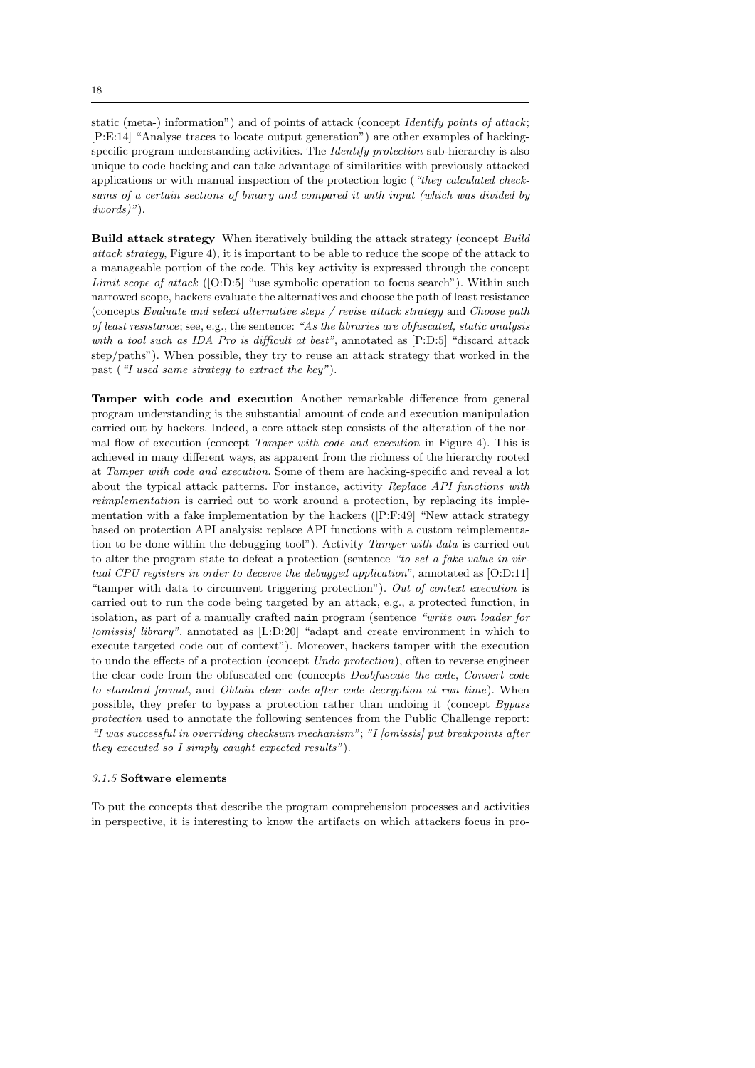static (meta-) information") and of points of attack (concept *Identify points of attack*; [P:E:14] "Analyse traces to locate output generation") are other examples of hackingspecific program understanding activities. The *Identify protection* sub-hierarchy is also unique to code hacking and can take advantage of similarities with previously attacked applications or with manual inspection of the protection logic ("they calculated checksums of a certain sections of binary and compared it with input (which was divided by dwords)").

Build attack strategy When iteratively building the attack strategy (concept Build attack strategy, Figure 4), it is important to be able to reduce the scope of the attack to a manageable portion of the code. This key activity is expressed through the concept Limit scope of attack ([O:D:5] "use symbolic operation to focus search"). Within such narrowed scope, hackers evaluate the alternatives and choose the path of least resistance (concepts Evaluate and select alternative steps / revise attack strategy and Choose path of least resistance; see, e.g., the sentence: "As the libraries are obfuscated, static analysis with a tool such as IDA Pro is difficult at best", annotated as [P:D:5] "discard attack step/paths"). When possible, they try to reuse an attack strategy that worked in the past ("I used same strategy to extract the key").

Tamper with code and execution Another remarkable difference from general program understanding is the substantial amount of code and execution manipulation carried out by hackers. Indeed, a core attack step consists of the alteration of the normal flow of execution (concept Tamper with code and execution in Figure 4). This is achieved in many different ways, as apparent from the richness of the hierarchy rooted at Tamper with code and execution. Some of them are hacking-specific and reveal a lot about the typical attack patterns. For instance, activity Replace API functions with reimplementation is carried out to work around a protection, by replacing its implementation with a fake implementation by the hackers  $([P:F:49]$  "New attack strategy based on protection API analysis: replace API functions with a custom reimplementation to be done within the debugging tool"). Activity Tamper with data is carried out to alter the program state to defeat a protection (sentence "to set a fake value in virtual CPU registers in order to deceive the debugged application", annotated as [O:D:11] "tamper with data to circumvent triggering protection"). Out of context execution is carried out to run the code being targeted by an attack, e.g., a protected function, in isolation, as part of a manually crafted main program (sentence "write own loader for [omissis] library", annotated as [L:D:20] "adapt and create environment in which to execute targeted code out of context"). Moreover, hackers tamper with the execution to undo the effects of a protection (concept Undo protection), often to reverse engineer the clear code from the obfuscated one (concepts Deobfuscate the code, Convert code to standard format, and Obtain clear code after code decryption at run time). When possible, they prefer to bypass a protection rather than undoing it (concept Bypass protection used to annotate the following sentences from the Public Challenge report: "I was successful in overriding checksum mechanism"; "I [omissis] put breakpoints after they executed so I simply caught expected results").

# 3.1.5 Software elements

To put the concepts that describe the program comprehension processes and activities in perspective, it is interesting to know the artifacts on which attackers focus in pro-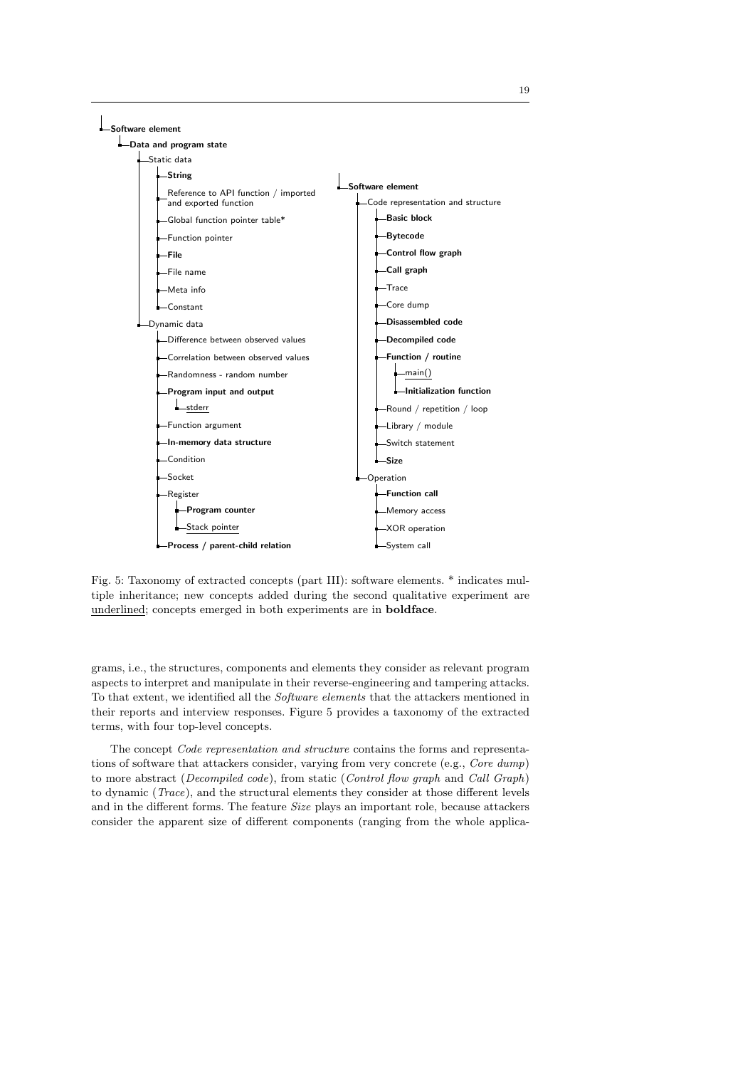

Fig. 5: Taxonomy of extracted concepts (part III): software elements. \* indicates multiple inheritance; new concepts added during the second qualitative experiment are underlined; concepts emerged in both experiments are in boldface.

grams, i.e., the structures, components and elements they consider as relevant program aspects to interpret and manipulate in their reverse-engineering and tampering attacks. To that extent, we identified all the Software elements that the attackers mentioned in their reports and interview responses. Figure 5 provides a taxonomy of the extracted terms, with four top-level concepts.

The concept Code representation and structure contains the forms and representations of software that attackers consider, varying from very concrete (e.g., Core dump) to more abstract (Decompiled code), from static (Control flow graph and Call Graph) to dynamic (Trace), and the structural elements they consider at those different levels and in the different forms. The feature Size plays an important role, because attackers consider the apparent size of different components (ranging from the whole applica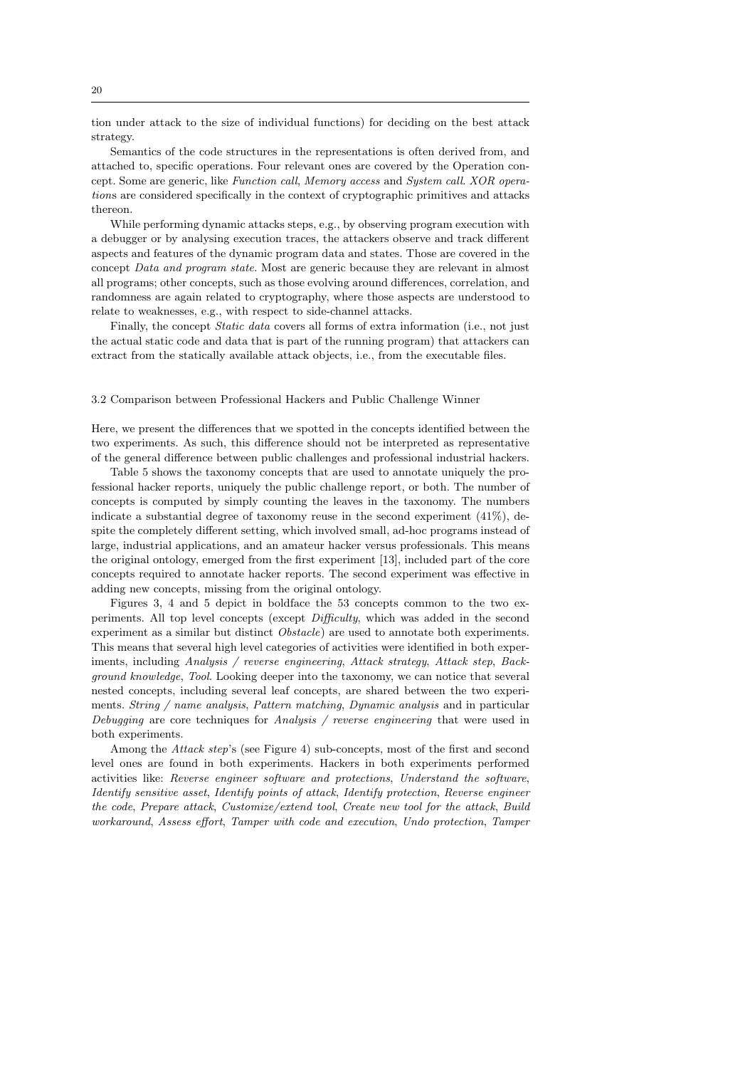tion under attack to the size of individual functions) for deciding on the best attack strategy.

Semantics of the code structures in the representations is often derived from, and attached to, specific operations. Four relevant ones are covered by the Operation concept. Some are generic, like Function call, Memory access and System call. XOR operations are considered specifically in the context of cryptographic primitives and attacks thereon.

While performing dynamic attacks steps, e.g., by observing program execution with a debugger or by analysing execution traces, the attackers observe and track different aspects and features of the dynamic program data and states. Those are covered in the concept Data and program state. Most are generic because they are relevant in almost all programs; other concepts, such as those evolving around differences, correlation, and randomness are again related to cryptography, where those aspects are understood to relate to weaknesses, e.g., with respect to side-channel attacks.

Finally, the concept *Static data* covers all forms of extra information (i.e., not just the actual static code and data that is part of the running program) that attackers can extract from the statically available attack objects, i.e., from the executable files.

# 3.2 Comparison between Professional Hackers and Public Challenge Winner

Here, we present the differences that we spotted in the concepts identified between the two experiments. As such, this difference should not be interpreted as representative of the general difference between public challenges and professional industrial hackers.

Table 5 shows the taxonomy concepts that are used to annotate uniquely the professional hacker reports, uniquely the public challenge report, or both. The number of concepts is computed by simply counting the leaves in the taxonomy. The numbers indicate a substantial degree of taxonomy reuse in the second experiment  $(41\%)$ , despite the completely different setting, which involved small, ad-hoc programs instead of large, industrial applications, and an amateur hacker versus professionals. This means the original ontology, emerged from the first experiment [13], included part of the core concepts required to annotate hacker reports. The second experiment was effective in adding new concepts, missing from the original ontology.

Figures 3, 4 and 5 depict in boldface the 53 concepts common to the two experiments. All top level concepts (except Difficulty, which was added in the second experiment as a similar but distinct *Obstacle*) are used to annotate both experiments. This means that several high level categories of activities were identified in both experiments, including Analysis / reverse engineering, Attack strategy, Attack step, Background knowledge, Tool. Looking deeper into the taxonomy, we can notice that several nested concepts, including several leaf concepts, are shared between the two experiments. String / name analysis, Pattern matching, Dynamic analysis and in particular Debugging are core techniques for Analysis / reverse engineering that were used in both experiments.

Among the Attack step's (see Figure 4) sub-concepts, most of the first and second level ones are found in both experiments. Hackers in both experiments performed activities like: Reverse engineer software and protections, Understand the software, Identify sensitive asset, Identify points of attack, Identify protection, Reverse engineer the code, Prepare attack, Customize/extend tool, Create new tool for the attack, Build workaround, Assess effort, Tamper with code and execution, Undo protection, Tamper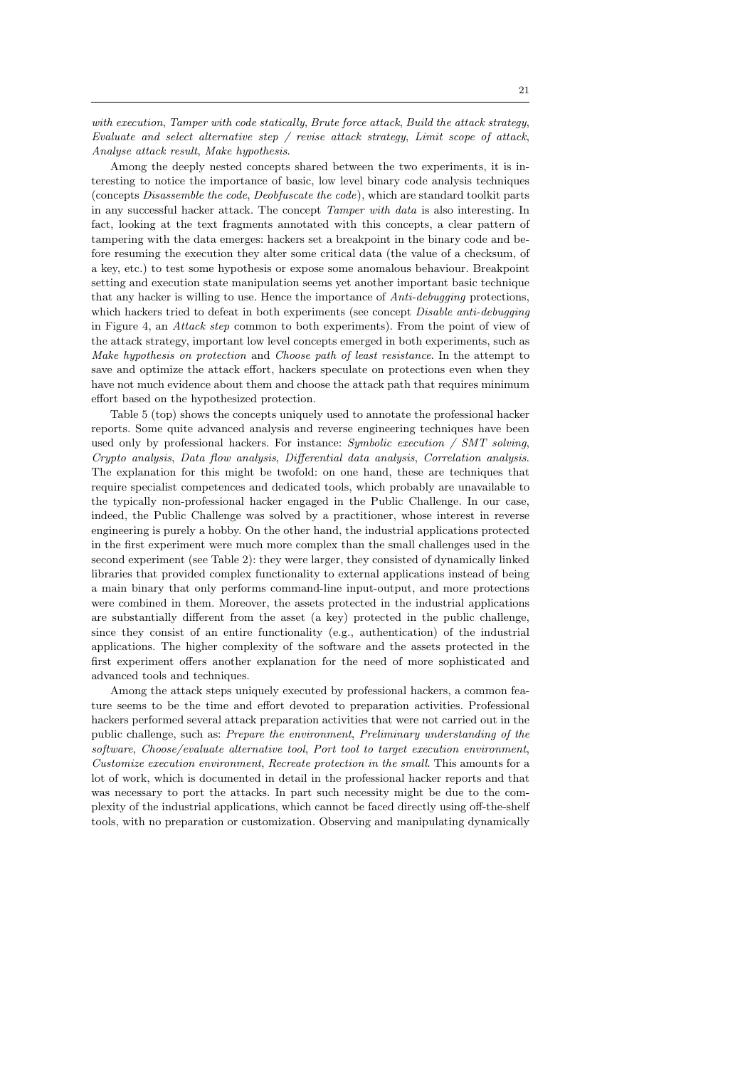with execution, Tamper with code statically, Brute force attack, Build the attack strategy, Evaluate and select alternative step / revise attack strategy, Limit scope of attack, Analyse attack result, Make hypothesis.

Among the deeply nested concepts shared between the two experiments, it is interesting to notice the importance of basic, low level binary code analysis techniques (concepts Disassemble the code, Deobfuscate the code), which are standard toolkit parts in any successful hacker attack. The concept Tamper with data is also interesting. In fact, looking at the text fragments annotated with this concepts, a clear pattern of tampering with the data emerges: hackers set a breakpoint in the binary code and before resuming the execution they alter some critical data (the value of a checksum, of a key, etc.) to test some hypothesis or expose some anomalous behaviour. Breakpoint setting and execution state manipulation seems yet another important basic technique that any hacker is willing to use. Hence the importance of Anti-debugging protections, which hackers tried to defeat in both experiments (see concept Disable anti-debugging in Figure 4, an Attack step common to both experiments). From the point of view of the attack strategy, important low level concepts emerged in both experiments, such as Make hypothesis on protection and Choose path of least resistance. In the attempt to save and optimize the attack effort, hackers speculate on protections even when they have not much evidence about them and choose the attack path that requires minimum effort based on the hypothesized protection.

Table 5 (top) shows the concepts uniquely used to annotate the professional hacker reports. Some quite advanced analysis and reverse engineering techniques have been used only by professional hackers. For instance:  $Symbolic execution / SMT solving$ , Crypto analysis, Data flow analysis, Differential data analysis, Correlation analysis. The explanation for this might be twofold: on one hand, these are techniques that require specialist competences and dedicated tools, which probably are unavailable to the typically non-professional hacker engaged in the Public Challenge. In our case, indeed, the Public Challenge was solved by a practitioner, whose interest in reverse engineering is purely a hobby. On the other hand, the industrial applications protected in the first experiment were much more complex than the small challenges used in the second experiment (see Table 2): they were larger, they consisted of dynamically linked libraries that provided complex functionality to external applications instead of being a main binary that only performs command-line input-output, and more protections were combined in them. Moreover, the assets protected in the industrial applications are substantially different from the asset (a key) protected in the public challenge, since they consist of an entire functionality (e.g., authentication) of the industrial applications. The higher complexity of the software and the assets protected in the first experiment offers another explanation for the need of more sophisticated and advanced tools and techniques.

Among the attack steps uniquely executed by professional hackers, a common feature seems to be the time and effort devoted to preparation activities. Professional hackers performed several attack preparation activities that were not carried out in the public challenge, such as: Prepare the environment, Preliminary understanding of the software, Choose/evaluate alternative tool, Port tool to target execution environment, Customize execution environment, Recreate protection in the small. This amounts for a lot of work, which is documented in detail in the professional hacker reports and that was necessary to port the attacks. In part such necessity might be due to the complexity of the industrial applications, which cannot be faced directly using off-the-shelf tools, with no preparation or customization. Observing and manipulating dynamically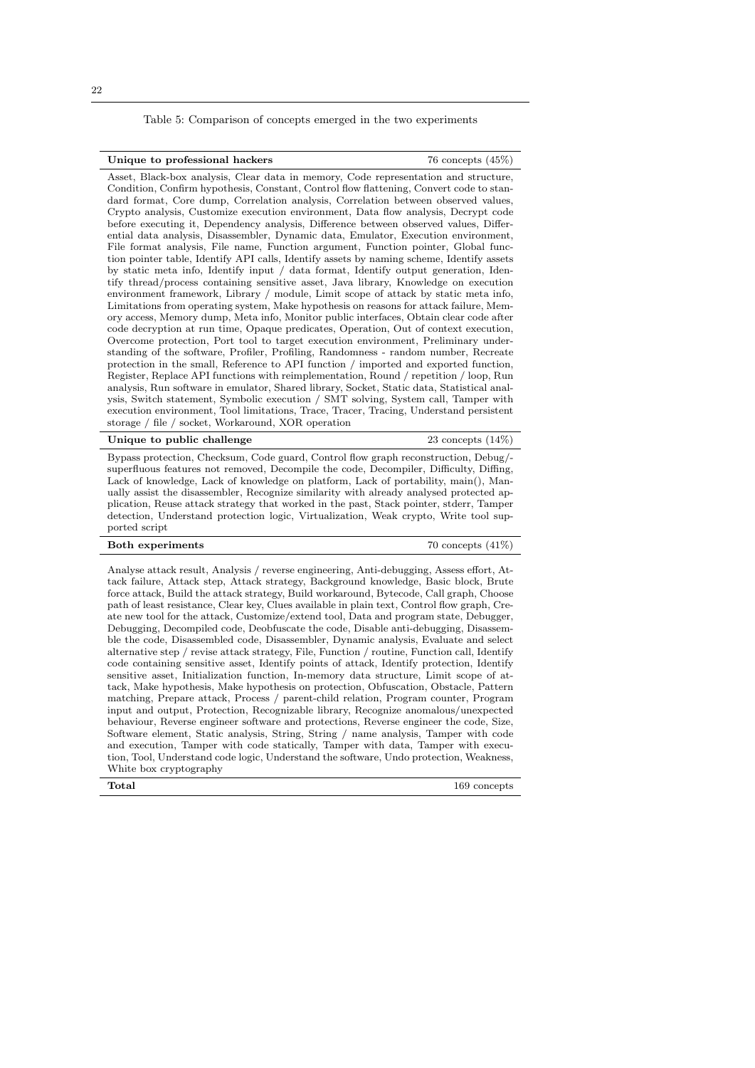Table 5: Comparison of concepts emerged in the two experiments

| Unique to professional hackers |  |
|--------------------------------|--|
|--------------------------------|--|

Asset, Black-box analysis, Clear data in memory, Code representation and structure, Condition, Confirm hypothesis, Constant, Control flow flattening, Convert code to standard format, Core dump, Correlation analysis, Correlation between observed values, Crypto analysis, Customize execution environment, Data flow analysis, Decrypt code before executing it, Dependency analysis, Difference between observed values, Differential data analysis, Disassembler, Dynamic data, Emulator, Execution environment, File format analysis, File name, Function argument, Function pointer, Global function pointer table, Identify API calls, Identify assets by naming scheme, Identify assets by static meta info, Identify input / data format, Identify output generation, Identify thread/process containing sensitive asset, Java library, Knowledge on execution environment framework, Library / module, Limit scope of attack by static meta info, Limitations from operating system, Make hypothesis on reasons for attack failure, Memory access, Memory dump, Meta info, Monitor public interfaces, Obtain clear code after code decryption at run time, Opaque predicates, Operation, Out of context execution, Overcome protection, Port tool to target execution environment, Preliminary understanding of the software, Profiler, Profiling, Randomness - random number, Recreate protection in the small, Reference to API function / imported and exported function, Register, Replace API functions with reimplementation, Round / repetition / loop, Run analysis, Run software in emulator, Shared library, Socket, Static data, Statistical analysis, Switch statement, Symbolic execution / SMT solving, System call, Tamper with execution environment, Tool limitations, Trace, Tracer, Tracing, Understand persistent storage / file / socket, Workaround, XOR operation

| Unique to public challenge                                                             | 23 concepts $(14\%)$ |
|----------------------------------------------------------------------------------------|----------------------|
| Bypass protection, Checksum, Code guard, Control flow graph reconstruction, Debug/-    |                      |
| superfluous features not removed, Decompile the code, Decompiler, Difficulty, Diffing, |                      |
| TI CI TI CI II II TI CIII CHANG                                                        |                      |

superfluous features not removed, Decompile the code, Decompiler, Difficulty, Diffing, Lack of knowledge, Lack of knowledge on platform, Lack of portability, main(), Manually assist the disassembler, Recognize similarity with already analysed protected application, Reuse attack strategy that worked in the past, Stack pointer, stderr, Tamper detection, Understand protection logic, Virtualization, Weak crypto, Write tool supported script

| <b>Both experiments</b> | 70 concepts $(41\%)$ |
|-------------------------|----------------------|
|-------------------------|----------------------|

Analyse attack result, Analysis / reverse engineering, Anti-debugging, Assess effort, Attack failure, Attack step, Attack strategy, Background knowledge, Basic block, Brute force attack, Build the attack strategy, Build workaround, Bytecode, Call graph, Choose path of least resistance, Clear key, Clues available in plain text, Control flow graph, Create new tool for the attack, Customize/extend tool, Data and program state, Debugger, Debugging, Decompiled code, Deobfuscate the code, Disable anti-debugging, Disassemble the code, Disassembled code, Disassembler, Dynamic analysis, Evaluate and select alternative step / revise attack strategy, File, Function / routine, Function call, Identify code containing sensitive asset, Identify points of attack, Identify protection, Identify sensitive asset, Initialization function, In-memory data structure, Limit scope of attack, Make hypothesis, Make hypothesis on protection, Obfuscation, Obstacle, Pattern matching, Prepare attack, Process / parent-child relation, Program counter, Program input and output, Protection, Recognizable library, Recognize anomalous/unexpected behaviour, Reverse engineer software and protections, Reverse engineer the code, Size, Software element, Static analysis, String, String / name analysis, Tamper with code and execution, Tamper with code statically, Tamper with data, Tamper with execution, Tool, Understand code logic, Understand the software, Undo protection, Weakness, White box cryptography

Total 169 concepts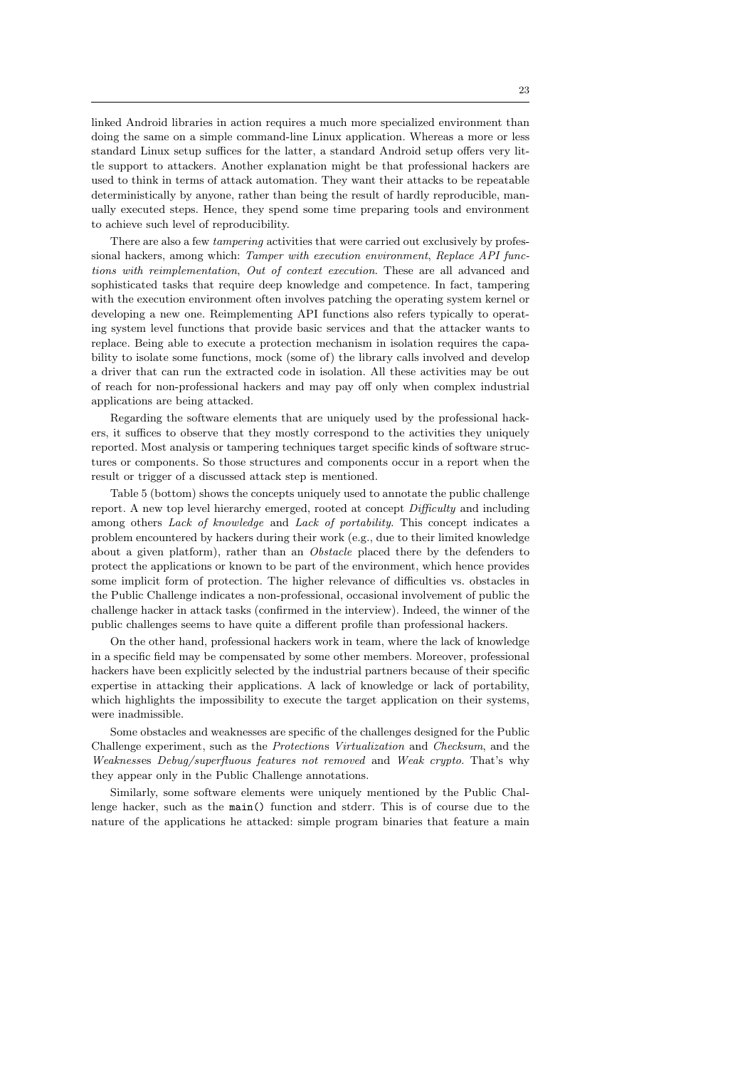linked Android libraries in action requires a much more specialized environment than doing the same on a simple command-line Linux application. Whereas a more or less standard Linux setup suffices for the latter, a standard Android setup offers very little support to attackers. Another explanation might be that professional hackers are used to think in terms of attack automation. They want their attacks to be repeatable deterministically by anyone, rather than being the result of hardly reproducible, manually executed steps. Hence, they spend some time preparing tools and environment to achieve such level of reproducibility.

There are also a few *tampering* activities that were carried out exclusively by professional hackers, among which: Tamper with execution environment, Replace API functions with reimplementation, Out of context execution. These are all advanced and sophisticated tasks that require deep knowledge and competence. In fact, tampering with the execution environment often involves patching the operating system kernel or developing a new one. Reimplementing API functions also refers typically to operating system level functions that provide basic services and that the attacker wants to replace. Being able to execute a protection mechanism in isolation requires the capability to isolate some functions, mock (some of) the library calls involved and develop a driver that can run the extracted code in isolation. All these activities may be out of reach for non-professional hackers and may pay off only when complex industrial applications are being attacked.

Regarding the software elements that are uniquely used by the professional hackers, it suffices to observe that they mostly correspond to the activities they uniquely reported. Most analysis or tampering techniques target specific kinds of software structures or components. So those structures and components occur in a report when the result or trigger of a discussed attack step is mentioned.

Table 5 (bottom) shows the concepts uniquely used to annotate the public challenge report. A new top level hierarchy emerged, rooted at concept Difficulty and including among others Lack of knowledge and Lack of portability. This concept indicates a problem encountered by hackers during their work (e.g., due to their limited knowledge about a given platform), rather than an *Obstacle* placed there by the defenders to protect the applications or known to be part of the environment, which hence provides some implicit form of protection. The higher relevance of difficulties vs. obstacles in the Public Challenge indicates a non-professional, occasional involvement of public the challenge hacker in attack tasks (confirmed in the interview). Indeed, the winner of the public challenges seems to have quite a different profile than professional hackers.

On the other hand, professional hackers work in team, where the lack of knowledge in a specific field may be compensated by some other members. Moreover, professional hackers have been explicitly selected by the industrial partners because of their specific expertise in attacking their applications. A lack of knowledge or lack of portability, which highlights the impossibility to execute the target application on their systems, were inadmissible.

Some obstacles and weaknesses are specific of the challenges designed for the Public Challenge experiment, such as the Protections Virtualization and Checksum, and the Weaknesses Debug/superfluous features not removed and Weak crypto. That's why they appear only in the Public Challenge annotations.

Similarly, some software elements were uniquely mentioned by the Public Challenge hacker, such as the main() function and stderr. This is of course due to the nature of the applications he attacked: simple program binaries that feature a main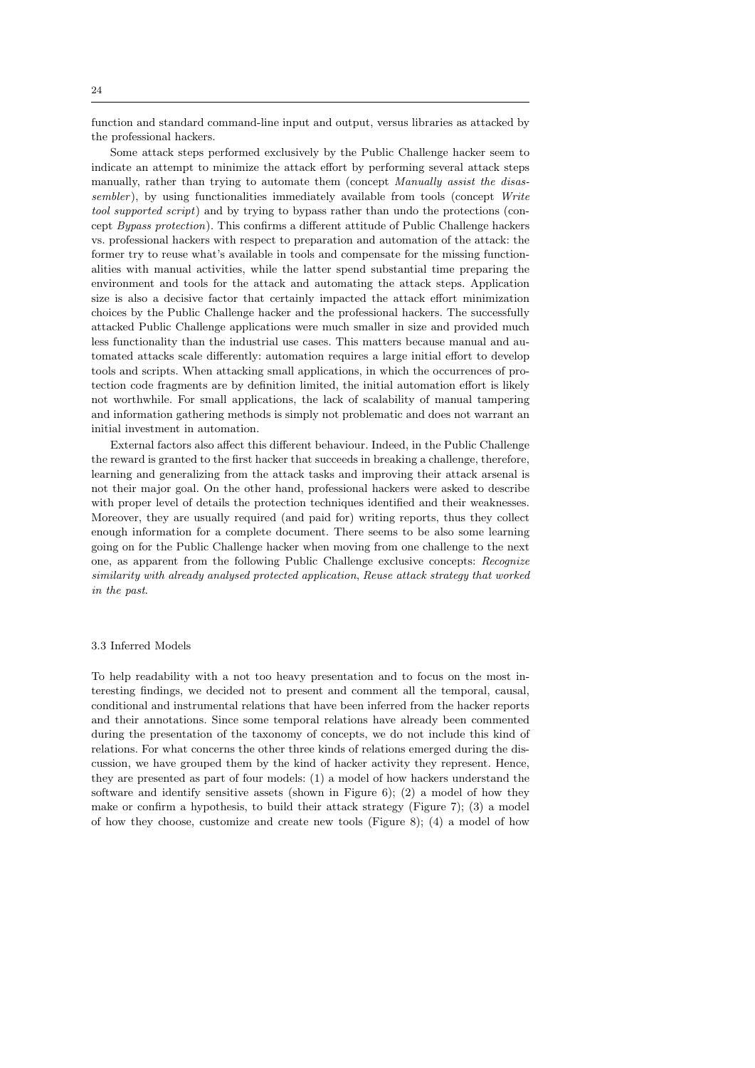function and standard command-line input and output, versus libraries as attacked by the professional hackers.

Some attack steps performed exclusively by the Public Challenge hacker seem to indicate an attempt to minimize the attack effort by performing several attack steps manually, rather than trying to automate them (concept *Manually assist the disas*sembler), by using functionalities immediately available from tools (concept Write tool supported script) and by trying to bypass rather than undo the protections (concept Bypass protection). This confirms a different attitude of Public Challenge hackers vs. professional hackers with respect to preparation and automation of the attack: the former try to reuse what's available in tools and compensate for the missing functionalities with manual activities, while the latter spend substantial time preparing the environment and tools for the attack and automating the attack steps. Application size is also a decisive factor that certainly impacted the attack effort minimization choices by the Public Challenge hacker and the professional hackers. The successfully attacked Public Challenge applications were much smaller in size and provided much less functionality than the industrial use cases. This matters because manual and automated attacks scale differently: automation requires a large initial effort to develop tools and scripts. When attacking small applications, in which the occurrences of protection code fragments are by definition limited, the initial automation effort is likely not worthwhile. For small applications, the lack of scalability of manual tampering and information gathering methods is simply not problematic and does not warrant an initial investment in automation.

External factors also affect this different behaviour. Indeed, in the Public Challenge the reward is granted to the first hacker that succeeds in breaking a challenge, therefore, learning and generalizing from the attack tasks and improving their attack arsenal is not their major goal. On the other hand, professional hackers were asked to describe with proper level of details the protection techniques identified and their weaknesses. Moreover, they are usually required (and paid for) writing reports, thus they collect enough information for a complete document. There seems to be also some learning going on for the Public Challenge hacker when moving from one challenge to the next one, as apparent from the following Public Challenge exclusive concepts: Recognize similarity with already analysed protected application, Reuse attack strategy that worked in the past.

## 3.3 Inferred Models

To help readability with a not too heavy presentation and to focus on the most interesting findings, we decided not to present and comment all the temporal, causal, conditional and instrumental relations that have been inferred from the hacker reports and their annotations. Since some temporal relations have already been commented during the presentation of the taxonomy of concepts, we do not include this kind of relations. For what concerns the other three kinds of relations emerged during the discussion, we have grouped them by the kind of hacker activity they represent. Hence, they are presented as part of four models: (1) a model of how hackers understand the software and identify sensitive assets (shown in Figure 6); (2) a model of how they make or confirm a hypothesis, to build their attack strategy (Figure 7); (3) a model of how they choose, customize and create new tools (Figure 8); (4) a model of how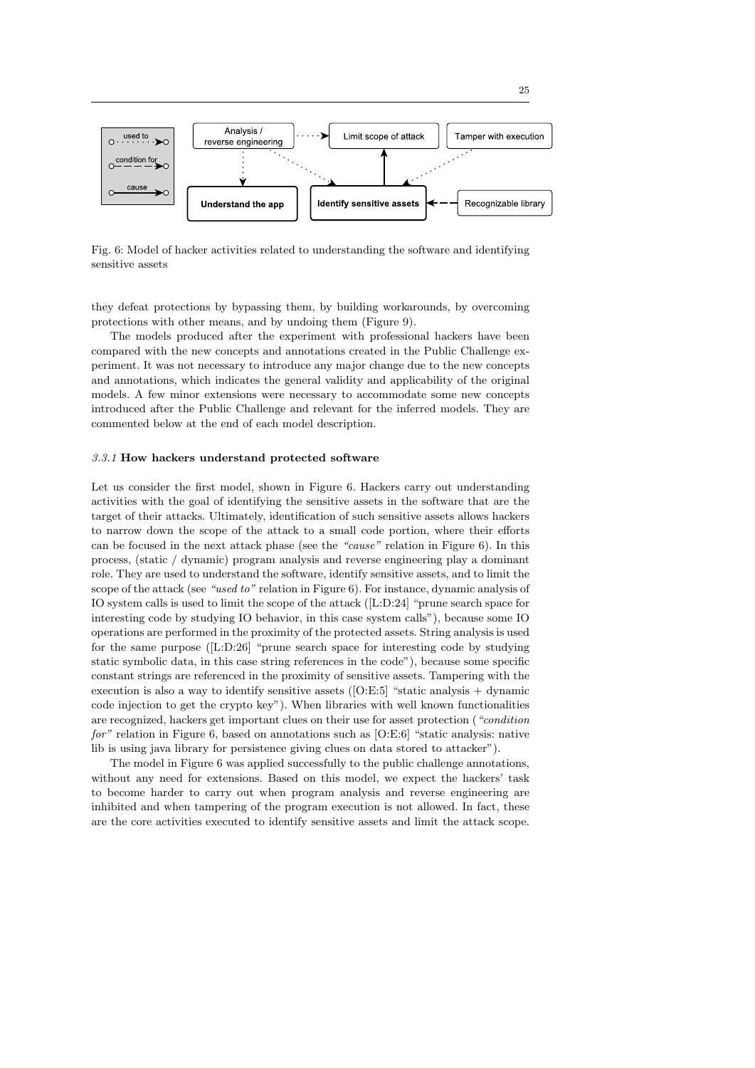

Fig. 6: Model of hacker activities related to understanding the software and identifying sensitive assets

they defeat protections by bypassing them, by building workarounds, by overcoming protections with other means, and by undoing them (Figure 9).

The models produced after the experiment with professional hackers have been compared with the new concepts and annotations created in the Public Challenge experiment. It was not necessary to introduce any major change due to the new concepts and annotations, which indicates the general validity and applicability of the original models. A few minor extensions were necessary to accommodate some new concepts introduced after the Public Challenge and relevant for the inferred models. They are commented below at the end of each model description.

### 3.3.1 How hackers understand protected software

Let us consider the first model, shown in Figure 6. Hackers carry out understanding activities with the goal of identifying the sensitive assets in the software that are the target of their attacks. Ultimately, identification of such sensitive assets allows hackers to narrow down the scope of the attack to a small code portion, where their efforts can be focused in the next attack phase (see the "cause" relation in Figure 6). In this process, (static / dynamic) program analysis and reverse engineering play a dominant role. They are used to understand the software, identify sensitive assets, and to limit the scope of the attack (see "used to" relation in Figure 6). For instance, dynamic analysis of IO system calls is used to limit the scope of the attack ([L:D:24] "prune search space for interesting code by studying IO behavior, in this case system calls"), because some IO operations are performed in the proximity of the protected assets. String analysis is used for the same purpose ([L:D:26] "prune search space for interesting code by studying static symbolic data, in this case string references in the code"), because some specific constant strings are referenced in the proximity of sensitive assets. Tampering with the execution is also a way to identify sensitive assets  $([O:E:5]$  "static analysis  $+$  dynamic code injection to get the crypto key"). When libraries with well known functionalities are recognized, hackers get important clues on their use for asset protection ("condition  $for$ " relation in Figure 6, based on annotations such as [O:E:6] "static analysis: native lib is using java library for persistence giving clues on data stored to attacker").

The model in Figure 6 was applied successfully to the public challenge annotations, without any need for extensions. Based on this model, we expect the hackers' task to become harder to carry out when program analysis and reverse engineering are inhibited and when tampering of the program execution is not allowed. In fact, these are the core activities executed to identify sensitive assets and limit the attack scope.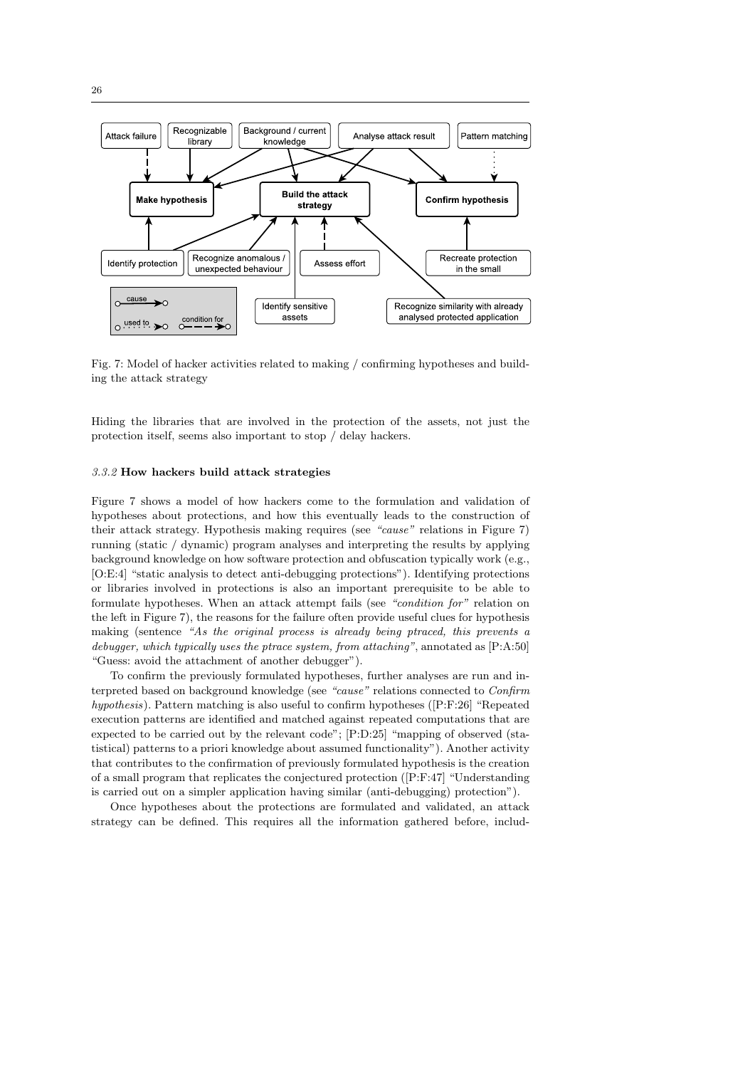

Fig. 7: Model of hacker activities related to making / confirming hypotheses and building the attack strategy

Hiding the libraries that are involved in the protection of the assets, not just the protection itself, seems also important to stop / delay hackers.

# 3.3.2 How hackers build attack strategies

Figure 7 shows a model of how hackers come to the formulation and validation of hypotheses about protections, and how this eventually leads to the construction of their attack strategy. Hypothesis making requires (see "cause" relations in Figure 7) running (static / dynamic) program analyses and interpreting the results by applying background knowledge on how software protection and obfuscation typically work (e.g., [O:E:4] "static analysis to detect anti-debugging protections"). Identifying protections or libraries involved in protections is also an important prerequisite to be able to formulate hypotheses. When an attack attempt fails (see "condition for" relation on the left in Figure 7), the reasons for the failure often provide useful clues for hypothesis making (sentence "As the original process is already being ptraced, this prevents a debugger, which typically uses the ptrace system, from attaching", annotated as [P:A:50] "Guess: avoid the attachment of another debugger").

To confirm the previously formulated hypotheses, further analyses are run and interpreted based on background knowledge (see "cause" relations connected to Confirm hypothesis). Pattern matching is also useful to confirm hypotheses ([P:F:26] "Repeated execution patterns are identified and matched against repeated computations that are expected to be carried out by the relevant code"; [P:D:25] "mapping of observed (statistical) patterns to a priori knowledge about assumed functionality"). Another activity that contributes to the confirmation of previously formulated hypothesis is the creation of a small program that replicates the conjectured protection ([P:F:47] "Understanding is carried out on a simpler application having similar (anti-debugging) protection").

Once hypotheses about the protections are formulated and validated, an attack strategy can be defined. This requires all the information gathered before, includ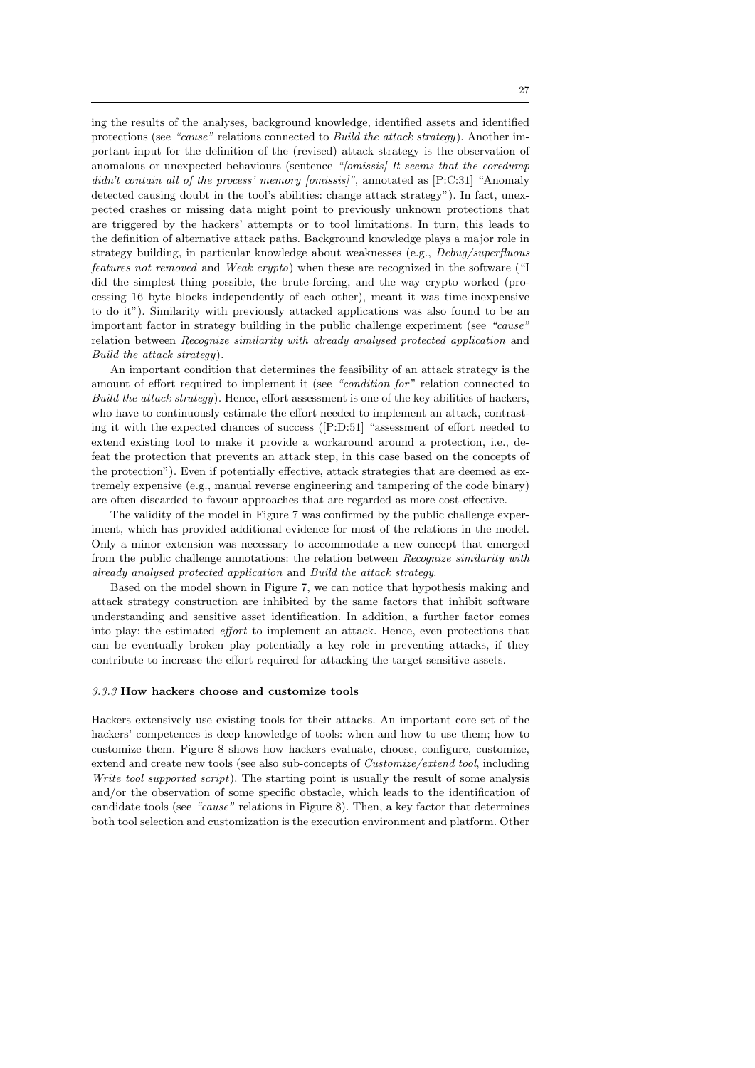ing the results of the analyses, background knowledge, identified assets and identified protections (see "cause" relations connected to Build the attack strategy). Another important input for the definition of the (revised) attack strategy is the observation of anomalous or unexpected behaviours (sentence "[omissis] It seems that the coredump didn't contain all of the process' memory [omissis]", annotated as [P:C:31] "Anomaly detected causing doubt in the tool's abilities: change attack strategy"). In fact, unexpected crashes or missing data might point to previously unknown protections that are triggered by the hackers' attempts or to tool limitations. In turn, this leads to the definition of alternative attack paths. Background knowledge plays a major role in strategy building, in particular knowledge about weaknesses (e.g., Debug/superfluous features not removed and Weak crypto) when these are recognized in the software ("I did the simplest thing possible, the brute-forcing, and the way crypto worked (processing 16 byte blocks independently of each other), meant it was time-inexpensive to do it"). Similarity with previously attacked applications was also found to be an important factor in strategy building in the public challenge experiment (see "cause" relation between Recognize similarity with already analysed protected application and Build the attack strategy).

An important condition that determines the feasibility of an attack strategy is the amount of effort required to implement it (see "condition for" relation connected to Build the attack strategy). Hence, effort assessment is one of the key abilities of hackers, who have to continuously estimate the effort needed to implement an attack, contrasting it with the expected chances of success ([P:D:51] "assessment of effort needed to extend existing tool to make it provide a workaround around a protection, i.e., defeat the protection that prevents an attack step, in this case based on the concepts of the protection"). Even if potentially effective, attack strategies that are deemed as extremely expensive (e.g., manual reverse engineering and tampering of the code binary) are often discarded to favour approaches that are regarded as more cost-effective.

The validity of the model in Figure 7 was confirmed by the public challenge experiment, which has provided additional evidence for most of the relations in the model. Only a minor extension was necessary to accommodate a new concept that emerged from the public challenge annotations: the relation between Recognize similarity with already analysed protected application and Build the attack strategy.

Based on the model shown in Figure 7, we can notice that hypothesis making and attack strategy construction are inhibited by the same factors that inhibit software understanding and sensitive asset identification. In addition, a further factor comes into play: the estimated effort to implement an attack. Hence, even protections that can be eventually broken play potentially a key role in preventing attacks, if they contribute to increase the effort required for attacking the target sensitive assets.

## 3.3.3 How hackers choose and customize tools

Hackers extensively use existing tools for their attacks. An important core set of the hackers' competences is deep knowledge of tools: when and how to use them; how to customize them. Figure 8 shows how hackers evaluate, choose, configure, customize, extend and create new tools (see also sub-concepts of Customize/extend tool, including Write tool supported script). The starting point is usually the result of some analysis and/or the observation of some specific obstacle, which leads to the identification of candidate tools (see "cause" relations in Figure 8). Then, a key factor that determines both tool selection and customization is the execution environment and platform. Other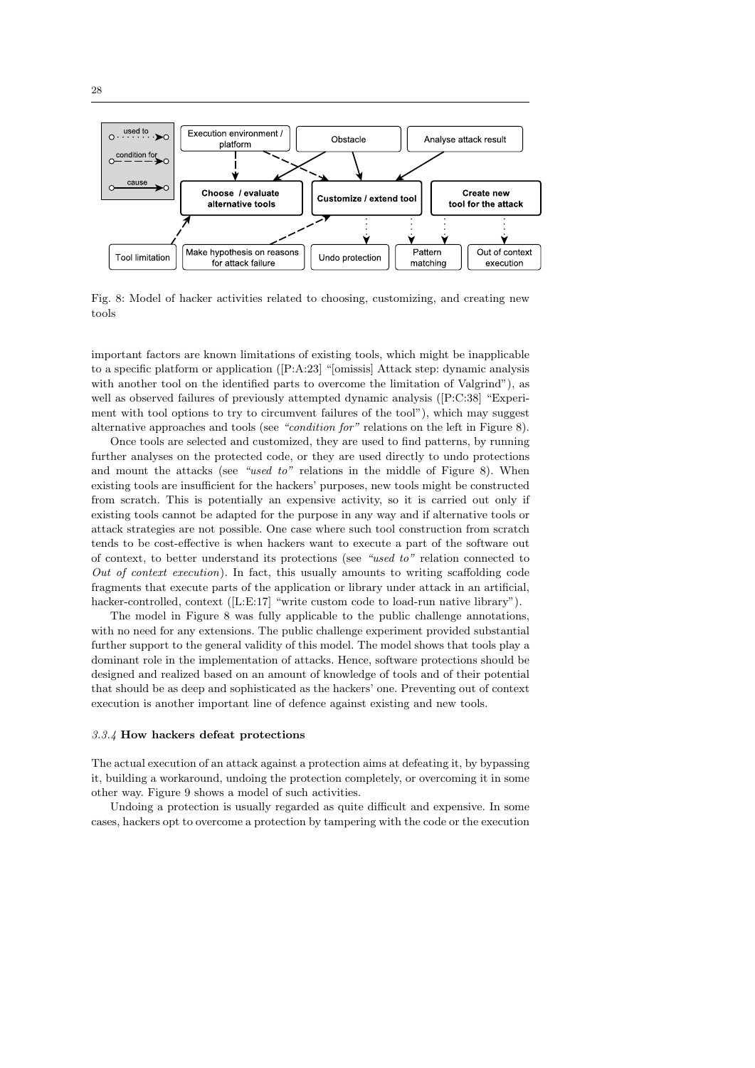

Fig. 8: Model of hacker activities related to choosing, customizing, and creating new tools

important factors are known limitations of existing tools, which might be inapplicable to a specific platform or application ([P:A:23] "[omissis] Attack step: dynamic analysis with another tool on the identified parts to overcome the limitation of Valgrind"), as well as observed failures of previously attempted dynamic analysis ([P:C:38] "Experiment with tool options to try to circumvent failures of the tool"), which may suggest alternative approaches and tools (see "condition for" relations on the left in Figure 8).

Once tools are selected and customized, they are used to find patterns, by running further analyses on the protected code, or they are used directly to undo protections and mount the attacks (see "used to" relations in the middle of Figure 8). When existing tools are insufficient for the hackers' purposes, new tools might be constructed from scratch. This is potentially an expensive activity, so it is carried out only if existing tools cannot be adapted for the purpose in any way and if alternative tools or attack strategies are not possible. One case where such tool construction from scratch tends to be cost-effective is when hackers want to execute a part of the software out of context, to better understand its protections (see "used to" relation connected to Out of context execution). In fact, this usually amounts to writing scaffolding code fragments that execute parts of the application or library under attack in an artificial, hacker-controlled, context ([L:E:17] "write custom code to load-run native library").

The model in Figure 8 was fully applicable to the public challenge annotations, with no need for any extensions. The public challenge experiment provided substantial further support to the general validity of this model. The model shows that tools play a dominant role in the implementation of attacks. Hence, software protections should be designed and realized based on an amount of knowledge of tools and of their potential that should be as deep and sophisticated as the hackers' one. Preventing out of context execution is another important line of defence against existing and new tools.

#### 3.3.4 How hackers defeat protections

The actual execution of an attack against a protection aims at defeating it, by bypassing it, building a workaround, undoing the protection completely, or overcoming it in some other way. Figure 9 shows a model of such activities.

Undoing a protection is usually regarded as quite difficult and expensive. In some cases, hackers opt to overcome a protection by tampering with the code or the execution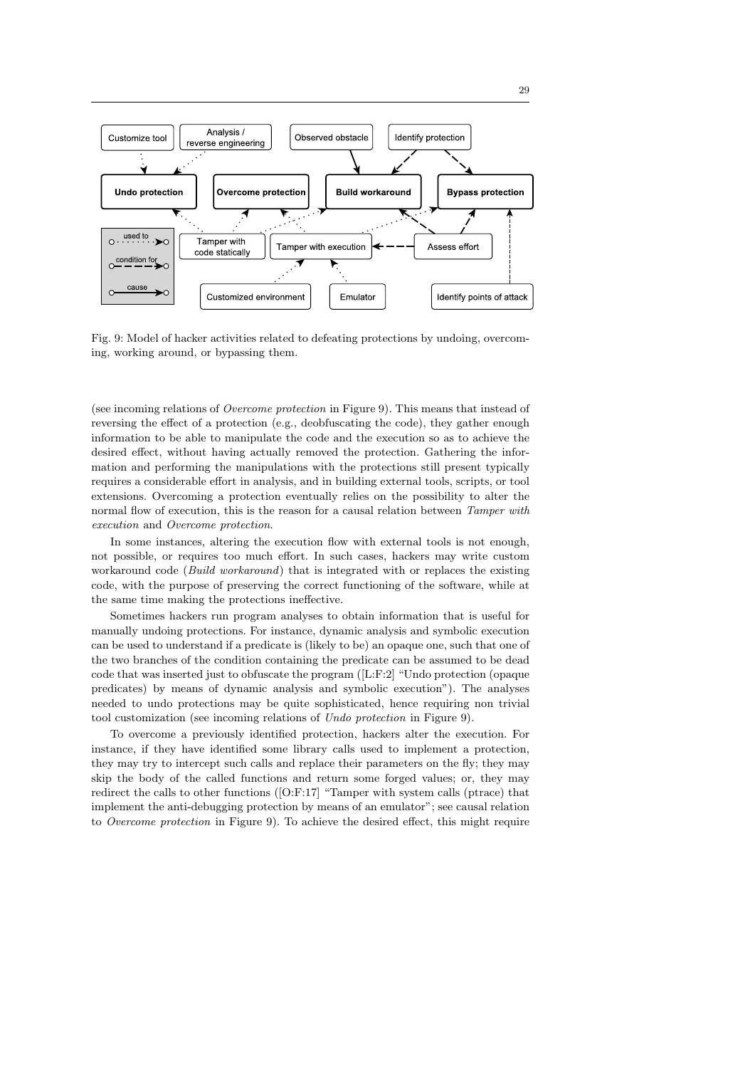

Fig. 9: Model of hacker activities related to defeating protections by undoing, overcoming, working around, or bypassing them.

(see incoming relations of Overcome protection in Figure 9). This means that instead of reversing the effect of a protection (e.g., deobfuscating the code), they gather enough information to be able to manipulate the code and the execution so as to achieve the desired effect, without having actually removed the protection. Gathering the information and performing the manipulations with the protections still present typically requires a considerable effort in analysis, and in building external tools, scripts, or tool extensions. Overcoming a protection eventually relies on the possibility to alter the normal flow of execution, this is the reason for a causal relation between Tamper with execution and Overcome protection.

In some instances, altering the execution flow with external tools is not enough, not possible, or requires too much effort. In such cases, hackers may write custom workaround code (Build workaround) that is integrated with or replaces the existing code, with the purpose of preserving the correct functioning of the software, while at the same time making the protections ineffective.

Sometimes hackers run program analyses to obtain information that is useful for manually undoing protections. For instance, dynamic analysis and symbolic execution can be used to understand if a predicate is (likely to be) an opaque one, such that one of the two branches of the condition containing the predicate can be assumed to be dead code that was inserted just to obfuscate the program ([L:F:2] "Undo protection (opaque predicates) by means of dynamic analysis and symbolic execution"). The analyses needed to undo protections may be quite sophisticated, hence requiring non trivial tool customization (see incoming relations of Undo protection in Figure 9).

To overcome a previously identified protection, hackers alter the execution. For instance, if they have identified some library calls used to implement a protection, they may try to intercept such calls and replace their parameters on the fly; they may skip the body of the called functions and return some forged values; or, they may redirect the calls to other functions ([O:F:17] "Tamper with system calls (ptrace) that implement the anti-debugging protection by means of an emulator"; see causal relation to Overcome protection in Figure 9). To achieve the desired effect, this might require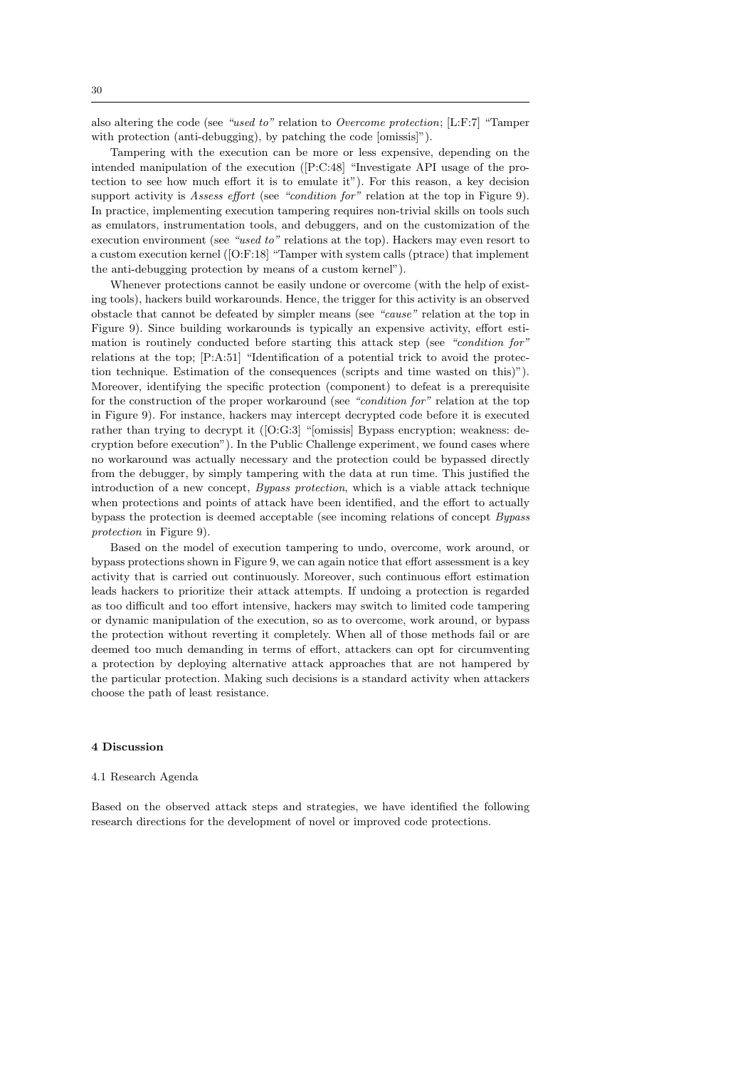also altering the code (see "used to" relation to Overcome protection; [L:F:7] "Tamper with protection (anti-debugging), by patching the code [omissis]").

Tampering with the execution can be more or less expensive, depending on the intended manipulation of the execution ([P:C:48] "Investigate API usage of the protection to see how much effort it is to emulate it"). For this reason, a key decision support activity is Assess effort (see "condition for" relation at the top in Figure 9). In practice, implementing execution tampering requires non-trivial skills on tools such as emulators, instrumentation tools, and debuggers, and on the customization of the execution environment (see "used to" relations at the top). Hackers may even resort to a custom execution kernel ([O:F:18] "Tamper with system calls (ptrace) that implement the anti-debugging protection by means of a custom kernel").

Whenever protections cannot be easily undone or overcome (with the help of existing tools), hackers build workarounds. Hence, the trigger for this activity is an observed obstacle that cannot be defeated by simpler means (see "cause" relation at the top in Figure 9). Since building workarounds is typically an expensive activity, effort estimation is routinely conducted before starting this attack step (see "condition for" relations at the top; [P:A:51] "Identification of a potential trick to avoid the protection technique. Estimation of the consequences (scripts and time wasted on this)"). Moreover, identifying the specific protection (component) to defeat is a prerequisite for the construction of the proper workaround (see "condition for" relation at the top in Figure 9). For instance, hackers may intercept decrypted code before it is executed rather than trying to decrypt it ([O:G:3] "[omissis] Bypass encryption; weakness: decryption before execution"). In the Public Challenge experiment, we found cases where no workaround was actually necessary and the protection could be bypassed directly from the debugger, by simply tampering with the data at run time. This justified the introduction of a new concept, Bypass protection, which is a viable attack technique when protections and points of attack have been identified, and the effort to actually bypass the protection is deemed acceptable (see incoming relations of concept Bypass protection in Figure 9).

Based on the model of execution tampering to undo, overcome, work around, or bypass protections shown in Figure 9, we can again notice that effort assessment is a key activity that is carried out continuously. Moreover, such continuous effort estimation leads hackers to prioritize their attack attempts. If undoing a protection is regarded as too difficult and too effort intensive, hackers may switch to limited code tampering or dynamic manipulation of the execution, so as to overcome, work around, or bypass the protection without reverting it completely. When all of those methods fail or are deemed too much demanding in terms of effort, attackers can opt for circumventing a protection by deploying alternative attack approaches that are not hampered by the particular protection. Making such decisions is a standard activity when attackers choose the path of least resistance.

## 4 Discussion

#### 4.1 Research Agenda

Based on the observed attack steps and strategies, we have identified the following research directions for the development of novel or improved code protections.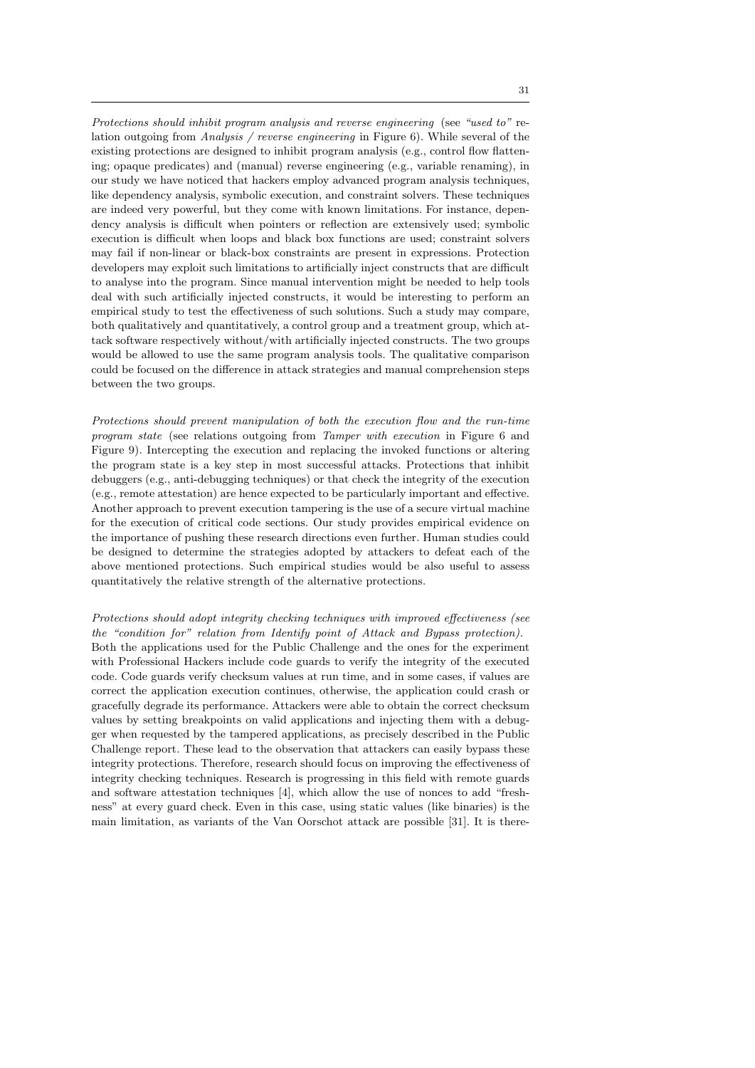Protections should inhibit program analysis and reverse engineering (see "used to" relation outgoing from Analysis / reverse engineering in Figure 6). While several of the existing protections are designed to inhibit program analysis (e.g., control flow flattening; opaque predicates) and (manual) reverse engineering (e.g., variable renaming), in our study we have noticed that hackers employ advanced program analysis techniques, like dependency analysis, symbolic execution, and constraint solvers. These techniques are indeed very powerful, but they come with known limitations. For instance, dependency analysis is difficult when pointers or reflection are extensively used; symbolic execution is difficult when loops and black box functions are used; constraint solvers may fail if non-linear or black-box constraints are present in expressions. Protection developers may exploit such limitations to artificially inject constructs that are difficult to analyse into the program. Since manual intervention might be needed to help tools deal with such artificially injected constructs, it would be interesting to perform an empirical study to test the effectiveness of such solutions. Such a study may compare, both qualitatively and quantitatively, a control group and a treatment group, which attack software respectively without/with artificially injected constructs. The two groups would be allowed to use the same program analysis tools. The qualitative comparison could be focused on the difference in attack strategies and manual comprehension steps between the two groups.

Protections should prevent manipulation of both the execution flow and the run-time program state (see relations outgoing from Tamper with execution in Figure 6 and Figure 9). Intercepting the execution and replacing the invoked functions or altering the program state is a key step in most successful attacks. Protections that inhibit debuggers (e.g., anti-debugging techniques) or that check the integrity of the execution (e.g., remote attestation) are hence expected to be particularly important and effective. Another approach to prevent execution tampering is the use of a secure virtual machine for the execution of critical code sections. Our study provides empirical evidence on the importance of pushing these research directions even further. Human studies could be designed to determine the strategies adopted by attackers to defeat each of the above mentioned protections. Such empirical studies would be also useful to assess quantitatively the relative strength of the alternative protections.

# Protections should adopt integrity checking techniques with improved effectiveness (see the "condition for" relation from Identify point of Attack and Bypass protection).

Both the applications used for the Public Challenge and the ones for the experiment with Professional Hackers include code guards to verify the integrity of the executed code. Code guards verify checksum values at run time, and in some cases, if values are correct the application execution continues, otherwise, the application could crash or gracefully degrade its performance. Attackers were able to obtain the correct checksum values by setting breakpoints on valid applications and injecting them with a debugger when requested by the tampered applications, as precisely described in the Public Challenge report. These lead to the observation that attackers can easily bypass these integrity protections. Therefore, research should focus on improving the effectiveness of integrity checking techniques. Research is progressing in this field with remote guards and software attestation techniques [4], which allow the use of nonces to add "freshness" at every guard check. Even in this case, using static values (like binaries) is the main limitation, as variants of the Van Oorschot attack are possible [31]. It is there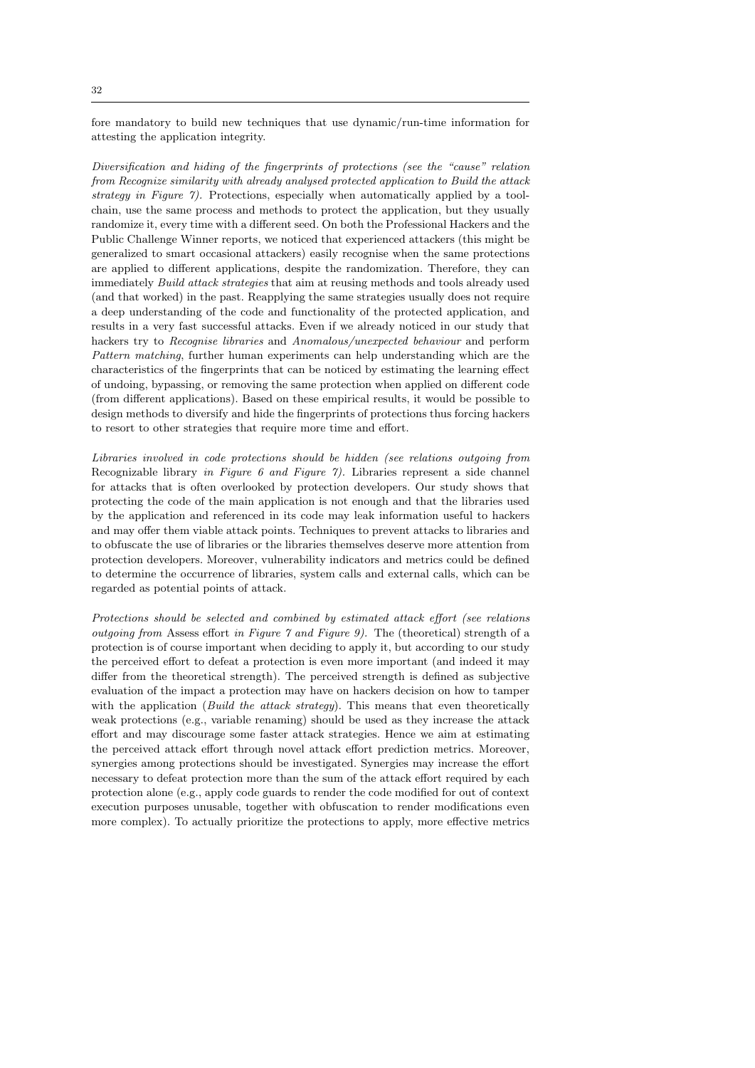fore mandatory to build new techniques that use dynamic/run-time information for attesting the application integrity.

Diversification and hiding of the fingerprints of protections (see the "cause" relation from Recognize similarity with already analysed protected application to Build the attack strategy in Figure 7). Protections, especially when automatically applied by a toolchain, use the same process and methods to protect the application, but they usually randomize it, every time with a different seed. On both the Professional Hackers and the Public Challenge Winner reports, we noticed that experienced attackers (this might be generalized to smart occasional attackers) easily recognise when the same protections are applied to different applications, despite the randomization. Therefore, they can immediately Build attack strategies that aim at reusing methods and tools already used (and that worked) in the past. Reapplying the same strategies usually does not require a deep understanding of the code and functionality of the protected application, and results in a very fast successful attacks. Even if we already noticed in our study that hackers try to Recognise libraries and Anomalous/unexpected behaviour and perform Pattern matching, further human experiments can help understanding which are the characteristics of the fingerprints that can be noticed by estimating the learning effect of undoing, bypassing, or removing the same protection when applied on different code (from different applications). Based on these empirical results, it would be possible to design methods to diversify and hide the fingerprints of protections thus forcing hackers to resort to other strategies that require more time and effort.

Libraries involved in code protections should be hidden (see relations outgoing from Recognizable library in Figure 6 and Figure 7). Libraries represent a side channel for attacks that is often overlooked by protection developers. Our study shows that protecting the code of the main application is not enough and that the libraries used by the application and referenced in its code may leak information useful to hackers and may offer them viable attack points. Techniques to prevent attacks to libraries and to obfuscate the use of libraries or the libraries themselves deserve more attention from protection developers. Moreover, vulnerability indicators and metrics could be defined to determine the occurrence of libraries, system calls and external calls, which can be regarded as potential points of attack.

Protections should be selected and combined by estimated attack effort (see relations outgoing from Assess effort in Figure  $\gamma$  and Figure 9). The (theoretical) strength of a protection is of course important when deciding to apply it, but according to our study the perceived effort to defeat a protection is even more important (and indeed it may differ from the theoretical strength). The perceived strength is defined as subjective evaluation of the impact a protection may have on hackers decision on how to tamper with the application (Build the attack strategy). This means that even theoretically weak protections (e.g., variable renaming) should be used as they increase the attack effort and may discourage some faster attack strategies. Hence we aim at estimating the perceived attack effort through novel attack effort prediction metrics. Moreover, synergies among protections should be investigated. Synergies may increase the effort necessary to defeat protection more than the sum of the attack effort required by each protection alone (e.g., apply code guards to render the code modified for out of context execution purposes unusable, together with obfuscation to render modifications even more complex). To actually prioritize the protections to apply, more effective metrics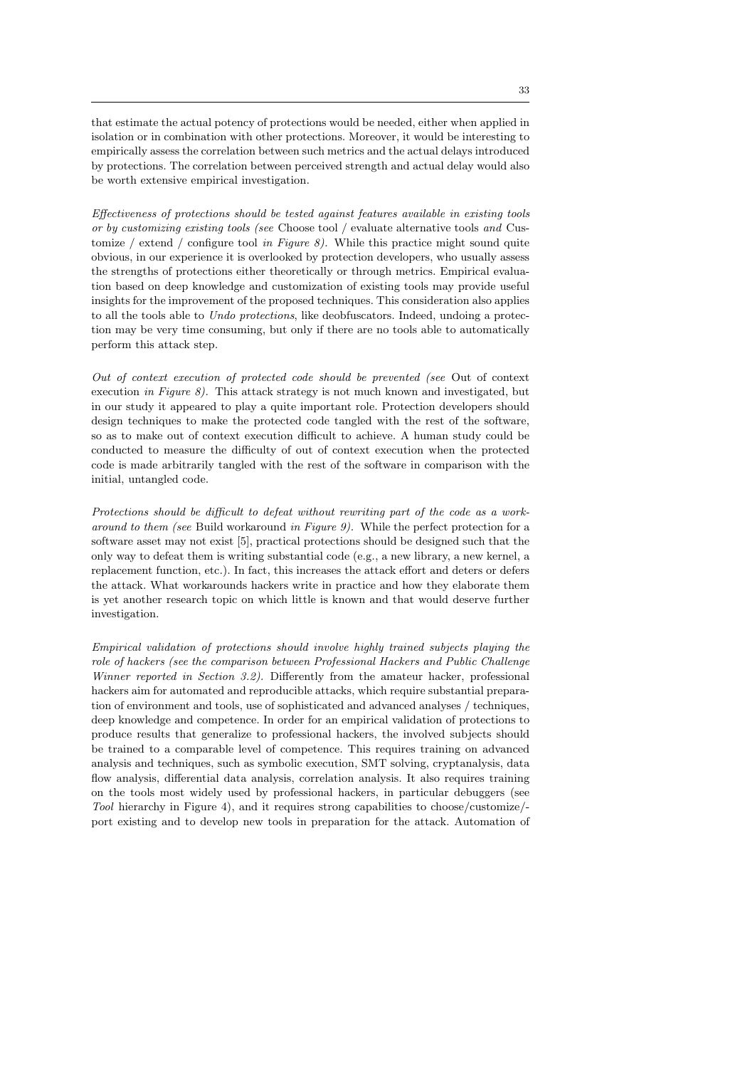that estimate the actual potency of protections would be needed, either when applied in isolation or in combination with other protections. Moreover, it would be interesting to empirically assess the correlation between such metrics and the actual delays introduced by protections. The correlation between perceived strength and actual delay would also be worth extensive empirical investigation.

Effectiveness of protections should be tested against features available in existing tools or by customizing existing tools (see Choose tool / evaluate alternative tools and Customize / extend / configure tool in Figure 8). While this practice might sound quite obvious, in our experience it is overlooked by protection developers, who usually assess the strengths of protections either theoretically or through metrics. Empirical evaluation based on deep knowledge and customization of existing tools may provide useful insights for the improvement of the proposed techniques. This consideration also applies to all the tools able to Undo protections, like deobfuscators. Indeed, undoing a protection may be very time consuming, but only if there are no tools able to automatically perform this attack step.

Out of context execution of protected code should be prevented (see Out of context execution in Figure 8). This attack strategy is not much known and investigated, but in our study it appeared to play a quite important role. Protection developers should design techniques to make the protected code tangled with the rest of the software, so as to make out of context execution difficult to achieve. A human study could be conducted to measure the difficulty of out of context execution when the protected code is made arbitrarily tangled with the rest of the software in comparison with the initial, untangled code.

Protections should be difficult to defeat without rewriting part of the code as a workaround to them (see Build workaround in Figure 9). While the perfect protection for a software asset may not exist [5], practical protections should be designed such that the only way to defeat them is writing substantial code (e.g., a new library, a new kernel, a replacement function, etc.). In fact, this increases the attack effort and deters or defers the attack. What workarounds hackers write in practice and how they elaborate them is yet another research topic on which little is known and that would deserve further investigation.

Empirical validation of protections should involve highly trained subjects playing the role of hackers (see the comparison between Professional Hackers and Public Challenge Winner reported in Section 3.2). Differently from the amateur hacker, professional hackers aim for automated and reproducible attacks, which require substantial preparation of environment and tools, use of sophisticated and advanced analyses / techniques, deep knowledge and competence. In order for an empirical validation of protections to produce results that generalize to professional hackers, the involved subjects should be trained to a comparable level of competence. This requires training on advanced analysis and techniques, such as symbolic execution, SMT solving, cryptanalysis, data flow analysis, differential data analysis, correlation analysis. It also requires training on the tools most widely used by professional hackers, in particular debuggers (see Tool hierarchy in Figure 4), and it requires strong capabilities to choose/customize/ port existing and to develop new tools in preparation for the attack. Automation of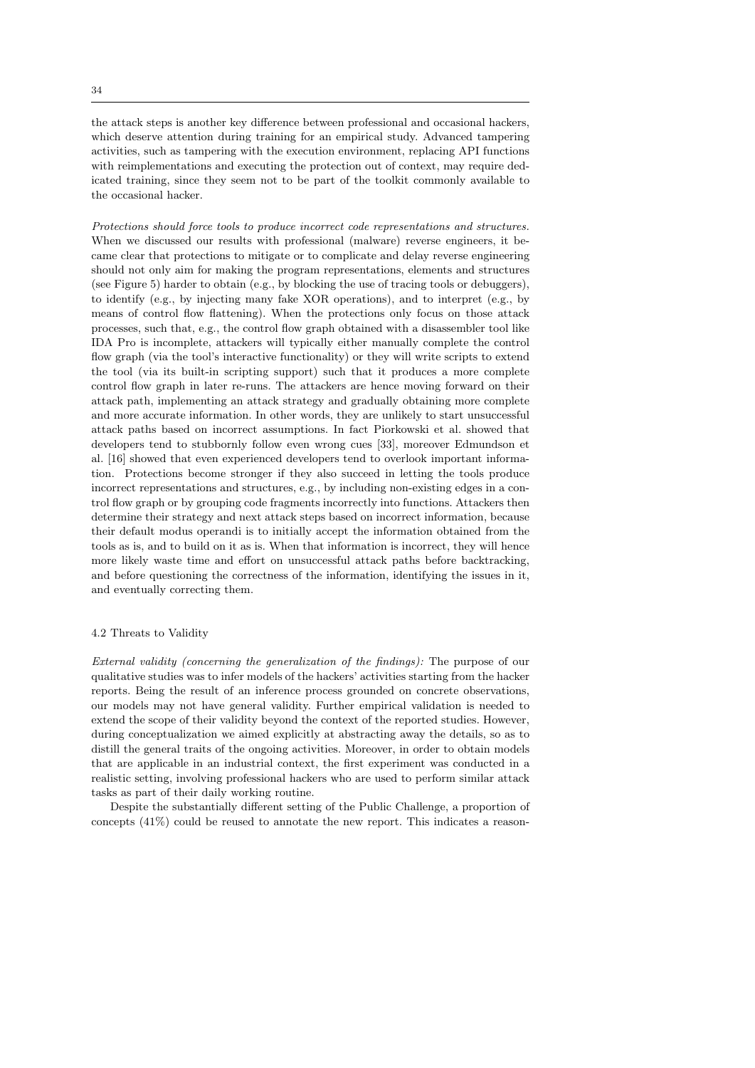the attack steps is another key difference between professional and occasional hackers, which deserve attention during training for an empirical study. Advanced tampering activities, such as tampering with the execution environment, replacing API functions with reimplementations and executing the protection out of context, may require dedicated training, since they seem not to be part of the toolkit commonly available to the occasional hacker.

Protections should force tools to produce incorrect code representations and structures. When we discussed our results with professional (malware) reverse engineers, it became clear that protections to mitigate or to complicate and delay reverse engineering should not only aim for making the program representations, elements and structures (see Figure 5) harder to obtain (e.g., by blocking the use of tracing tools or debuggers), to identify (e.g., by injecting many fake XOR operations), and to interpret (e.g., by means of control flow flattening). When the protections only focus on those attack processes, such that, e.g., the control flow graph obtained with a disassembler tool like IDA Pro is incomplete, attackers will typically either manually complete the control flow graph (via the tool's interactive functionality) or they will write scripts to extend the tool (via its built-in scripting support) such that it produces a more complete control flow graph in later re-runs. The attackers are hence moving forward on their attack path, implementing an attack strategy and gradually obtaining more complete and more accurate information. In other words, they are unlikely to start unsuccessful attack paths based on incorrect assumptions. In fact Piorkowski et al. showed that developers tend to stubbornly follow even wrong cues [33], moreover Edmundson et al. [16] showed that even experienced developers tend to overlook important information. Protections become stronger if they also succeed in letting the tools produce incorrect representations and structures, e.g., by including non-existing edges in a control flow graph or by grouping code fragments incorrectly into functions. Attackers then determine their strategy and next attack steps based on incorrect information, because their default modus operandi is to initially accept the information obtained from the tools as is, and to build on it as is. When that information is incorrect, they will hence more likely waste time and effort on unsuccessful attack paths before backtracking, and before questioning the correctness of the information, identifying the issues in it, and eventually correcting them.

# 4.2 Threats to Validity

External validity (concerning the generalization of the findings): The purpose of our qualitative studies was to infer models of the hackers' activities starting from the hacker reports. Being the result of an inference process grounded on concrete observations, our models may not have general validity. Further empirical validation is needed to extend the scope of their validity beyond the context of the reported studies. However, during conceptualization we aimed explicitly at abstracting away the details, so as to distill the general traits of the ongoing activities. Moreover, in order to obtain models that are applicable in an industrial context, the first experiment was conducted in a realistic setting, involving professional hackers who are used to perform similar attack tasks as part of their daily working routine.

Despite the substantially different setting of the Public Challenge, a proportion of concepts (41%) could be reused to annotate the new report. This indicates a reason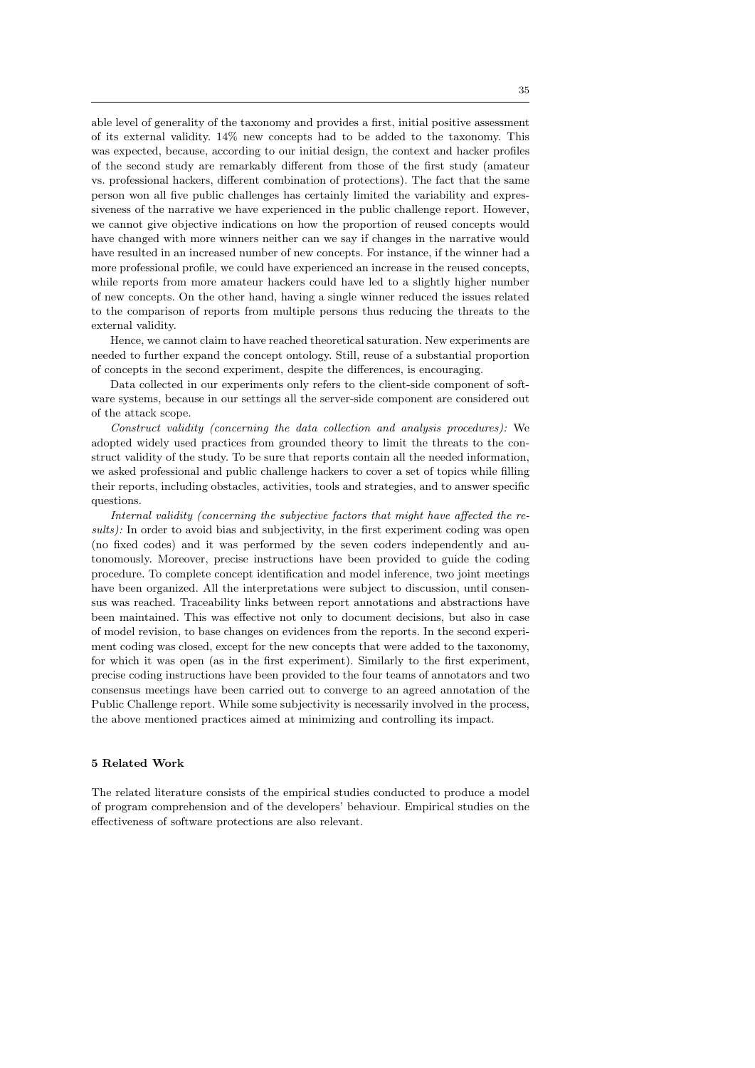able level of generality of the taxonomy and provides a first, initial positive assessment of its external validity. 14% new concepts had to be added to the taxonomy. This was expected, because, according to our initial design, the context and hacker profiles of the second study are remarkably different from those of the first study (amateur vs. professional hackers, different combination of protections). The fact that the same person won all five public challenges has certainly limited the variability and expressiveness of the narrative we have experienced in the public challenge report. However, we cannot give objective indications on how the proportion of reused concepts would have changed with more winners neither can we say if changes in the narrative would have resulted in an increased number of new concepts. For instance, if the winner had a more professional profile, we could have experienced an increase in the reused concepts, while reports from more amateur hackers could have led to a slightly higher number of new concepts. On the other hand, having a single winner reduced the issues related to the comparison of reports from multiple persons thus reducing the threats to the external validity.

Hence, we cannot claim to have reached theoretical saturation. New experiments are needed to further expand the concept ontology. Still, reuse of a substantial proportion of concepts in the second experiment, despite the differences, is encouraging.

Data collected in our experiments only refers to the client-side component of software systems, because in our settings all the server-side component are considered out of the attack scope.

Construct validity (concerning the data collection and analysis procedures): We adopted widely used practices from grounded theory to limit the threats to the construct validity of the study. To be sure that reports contain all the needed information, we asked professional and public challenge hackers to cover a set of topics while filling their reports, including obstacles, activities, tools and strategies, and to answer specific questions.

Internal validity (concerning the subjective factors that might have affected the results): In order to avoid bias and subjectivity, in the first experiment coding was open (no fixed codes) and it was performed by the seven coders independently and autonomously. Moreover, precise instructions have been provided to guide the coding procedure. To complete concept identification and model inference, two joint meetings have been organized. All the interpretations were subject to discussion, until consensus was reached. Traceability links between report annotations and abstractions have been maintained. This was effective not only to document decisions, but also in case of model revision, to base changes on evidences from the reports. In the second experiment coding was closed, except for the new concepts that were added to the taxonomy, for which it was open (as in the first experiment). Similarly to the first experiment, precise coding instructions have been provided to the four teams of annotators and two consensus meetings have been carried out to converge to an agreed annotation of the Public Challenge report. While some subjectivity is necessarily involved in the process, the above mentioned practices aimed at minimizing and controlling its impact.

## 5 Related Work

The related literature consists of the empirical studies conducted to produce a model of program comprehension and of the developers' behaviour. Empirical studies on the effectiveness of software protections are also relevant.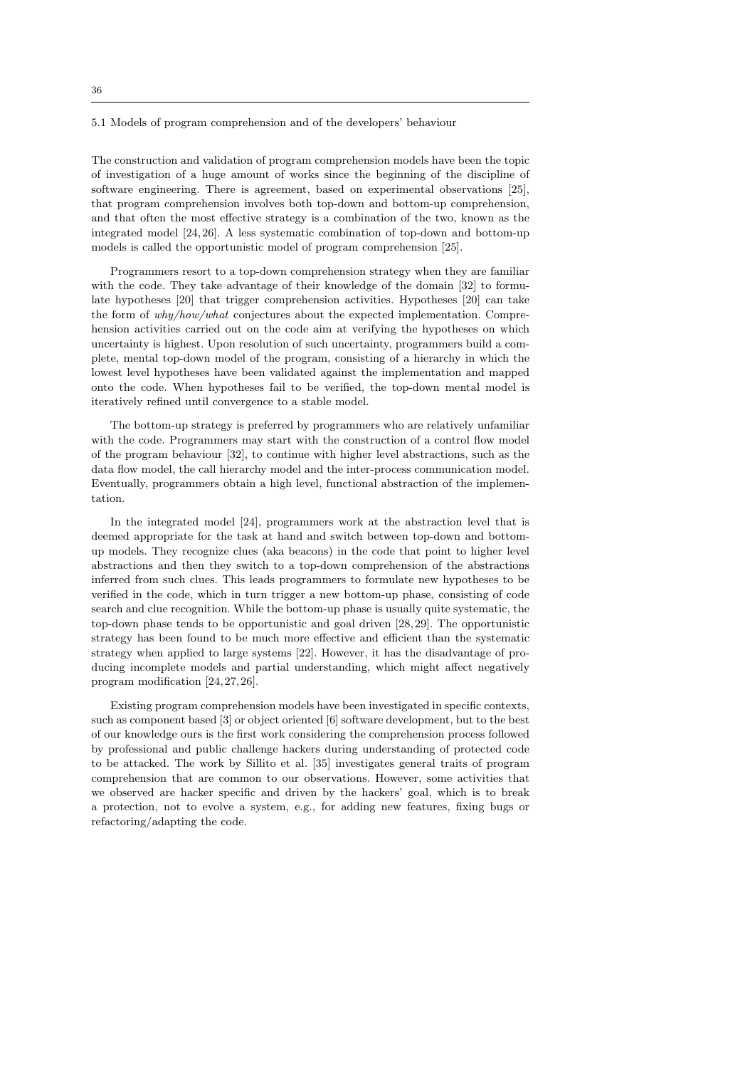### 5.1 Models of program comprehension and of the developers' behaviour

The construction and validation of program comprehension models have been the topic of investigation of a huge amount of works since the beginning of the discipline of software engineering. There is agreement, based on experimental observations [25], that program comprehension involves both top-down and bottom-up comprehension, and that often the most effective strategy is a combination of the two, known as the integrated model [24, 26]. A less systematic combination of top-down and bottom-up models is called the opportunistic model of program comprehension [25].

Programmers resort to a top-down comprehension strategy when they are familiar with the code. They take advantage of their knowledge of the domain [32] to formulate hypotheses [20] that trigger comprehension activities. Hypotheses [20] can take the form of why/how/what conjectures about the expected implementation. Comprehension activities carried out on the code aim at verifying the hypotheses on which uncertainty is highest. Upon resolution of such uncertainty, programmers build a complete, mental top-down model of the program, consisting of a hierarchy in which the lowest level hypotheses have been validated against the implementation and mapped onto the code. When hypotheses fail to be verified, the top-down mental model is iteratively refined until convergence to a stable model.

The bottom-up strategy is preferred by programmers who are relatively unfamiliar with the code. Programmers may start with the construction of a control flow model of the program behaviour [32], to continue with higher level abstractions, such as the data flow model, the call hierarchy model and the inter-process communication model. Eventually, programmers obtain a high level, functional abstraction of the implementation.

In the integrated model [24], programmers work at the abstraction level that is deemed appropriate for the task at hand and switch between top-down and bottomup models. They recognize clues (aka beacons) in the code that point to higher level abstractions and then they switch to a top-down comprehension of the abstractions inferred from such clues. This leads programmers to formulate new hypotheses to be verified in the code, which in turn trigger a new bottom-up phase, consisting of code search and clue recognition. While the bottom-up phase is usually quite systematic, the top-down phase tends to be opportunistic and goal driven [28,29]. The opportunistic strategy has been found to be much more effective and efficient than the systematic strategy when applied to large systems [22]. However, it has the disadvantage of producing incomplete models and partial understanding, which might affect negatively program modification [24, 27, 26].

Existing program comprehension models have been investigated in specific contexts, such as component based [3] or object oriented [6] software development, but to the best of our knowledge ours is the first work considering the comprehension process followed by professional and public challenge hackers during understanding of protected code to be attacked. The work by Sillito et al. [35] investigates general traits of program comprehension that are common to our observations. However, some activities that we observed are hacker specific and driven by the hackers' goal, which is to break a protection, not to evolve a system, e.g., for adding new features, fixing bugs or refactoring/adapting the code.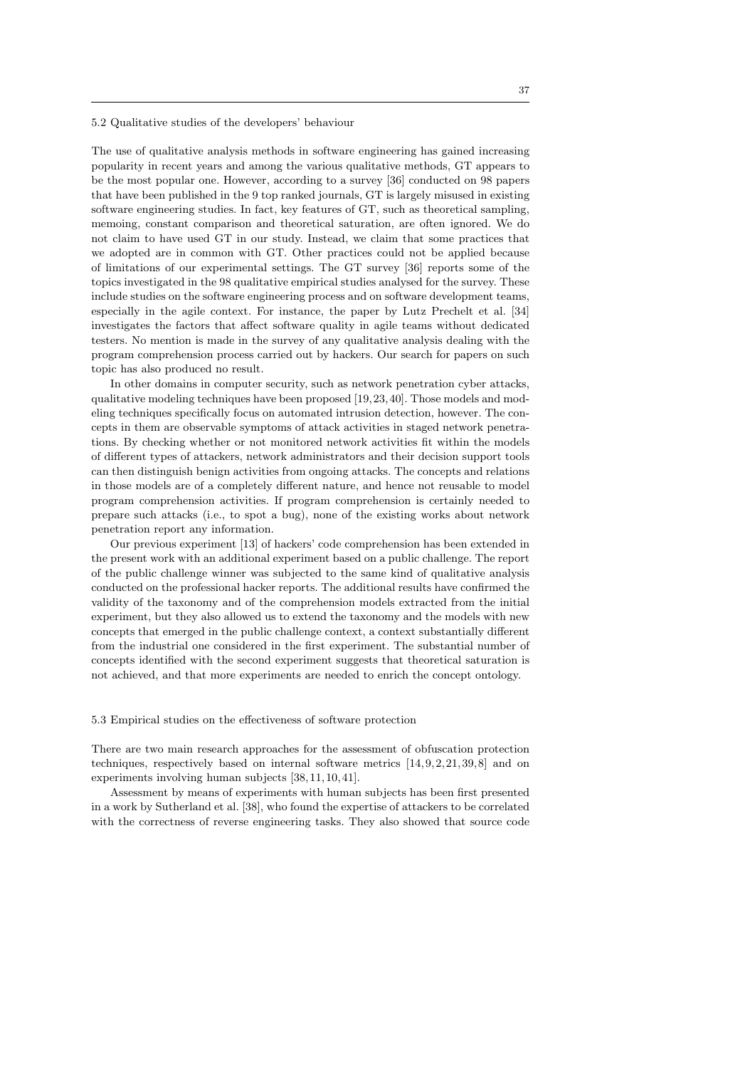### 5.2 Qualitative studies of the developers' behaviour

The use of qualitative analysis methods in software engineering has gained increasing popularity in recent years and among the various qualitative methods, GT appears to be the most popular one. However, according to a survey [36] conducted on 98 papers that have been published in the 9 top ranked journals, GT is largely misused in existing software engineering studies. In fact, key features of GT, such as theoretical sampling, memoing, constant comparison and theoretical saturation, are often ignored. We do not claim to have used GT in our study. Instead, we claim that some practices that we adopted are in common with GT. Other practices could not be applied because of limitations of our experimental settings. The GT survey [36] reports some of the topics investigated in the 98 qualitative empirical studies analysed for the survey. These include studies on the software engineering process and on software development teams, especially in the agile context. For instance, the paper by Lutz Prechelt et al. [34] investigates the factors that affect software quality in agile teams without dedicated testers. No mention is made in the survey of any qualitative analysis dealing with the program comprehension process carried out by hackers. Our search for papers on such topic has also produced no result.

In other domains in computer security, such as network penetration cyber attacks, qualitative modeling techniques have been proposed [19, 23, 40]. Those models and modeling techniques specifically focus on automated intrusion detection, however. The concepts in them are observable symptoms of attack activities in staged network penetrations. By checking whether or not monitored network activities fit within the models of different types of attackers, network administrators and their decision support tools can then distinguish benign activities from ongoing attacks. The concepts and relations in those models are of a completely different nature, and hence not reusable to model program comprehension activities. If program comprehension is certainly needed to prepare such attacks (i.e., to spot a bug), none of the existing works about network penetration report any information.

Our previous experiment [13] of hackers' code comprehension has been extended in the present work with an additional experiment based on a public challenge. The report of the public challenge winner was subjected to the same kind of qualitative analysis conducted on the professional hacker reports. The additional results have confirmed the validity of the taxonomy and of the comprehension models extracted from the initial experiment, but they also allowed us to extend the taxonomy and the models with new concepts that emerged in the public challenge context, a context substantially different from the industrial one considered in the first experiment. The substantial number of concepts identified with the second experiment suggests that theoretical saturation is not achieved, and that more experiments are needed to enrich the concept ontology.

### 5.3 Empirical studies on the effectiveness of software protection

There are two main research approaches for the assessment of obfuscation protection techniques, respectively based on internal software metrics  $[14, 9, 2, 21, 39, 8]$  and on experiments involving human subjects [38, 11, 10, 41].

Assessment by means of experiments with human subjects has been first presented in a work by Sutherland et al. [38], who found the expertise of attackers to be correlated with the correctness of reverse engineering tasks. They also showed that source code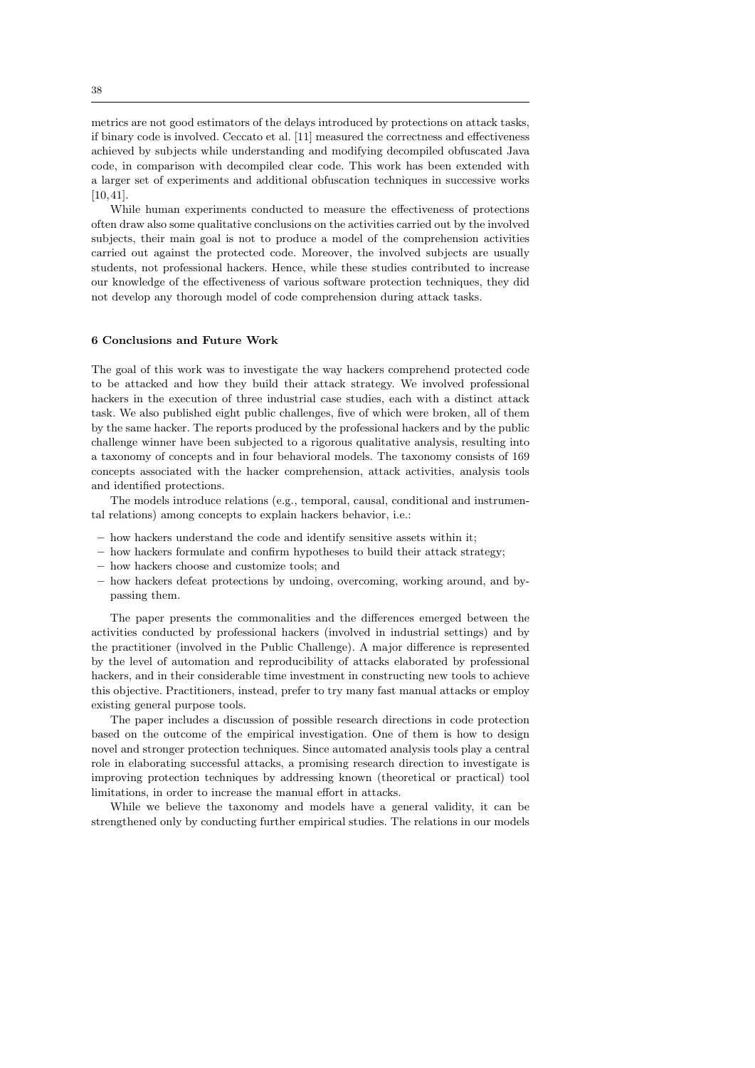metrics are not good estimators of the delays introduced by protections on attack tasks, if binary code is involved. Ceccato et al. [11] measured the correctness and effectiveness achieved by subjects while understanding and modifying decompiled obfuscated Java code, in comparison with decompiled clear code. This work has been extended with a larger set of experiments and additional obfuscation techniques in successive works [10, 41].

While human experiments conducted to measure the effectiveness of protections often draw also some qualitative conclusions on the activities carried out by the involved subjects, their main goal is not to produce a model of the comprehension activities carried out against the protected code. Moreover, the involved subjects are usually students, not professional hackers. Hence, while these studies contributed to increase our knowledge of the effectiveness of various software protection techniques, they did not develop any thorough model of code comprehension during attack tasks.

### 6 Conclusions and Future Work

The goal of this work was to investigate the way hackers comprehend protected code to be attacked and how they build their attack strategy. We involved professional hackers in the execution of three industrial case studies, each with a distinct attack task. We also published eight public challenges, five of which were broken, all of them by the same hacker. The reports produced by the professional hackers and by the public challenge winner have been subjected to a rigorous qualitative analysis, resulting into a taxonomy of concepts and in four behavioral models. The taxonomy consists of 169 concepts associated with the hacker comprehension, attack activities, analysis tools and identified protections.

The models introduce relations (e.g., temporal, causal, conditional and instrumental relations) among concepts to explain hackers behavior, i.e.:

- how hackers understand the code and identify sensitive assets within it;
- how hackers formulate and confirm hypotheses to build their attack strategy;
- how hackers choose and customize tools; and
- how hackers defeat protections by undoing, overcoming, working around, and bypassing them.

The paper presents the commonalities and the differences emerged between the activities conducted by professional hackers (involved in industrial settings) and by the practitioner (involved in the Public Challenge). A major difference is represented by the level of automation and reproducibility of attacks elaborated by professional hackers, and in their considerable time investment in constructing new tools to achieve this objective. Practitioners, instead, prefer to try many fast manual attacks or employ existing general purpose tools.

The paper includes a discussion of possible research directions in code protection based on the outcome of the empirical investigation. One of them is how to design novel and stronger protection techniques. Since automated analysis tools play a central role in elaborating successful attacks, a promising research direction to investigate is improving protection techniques by addressing known (theoretical or practical) tool limitations, in order to increase the manual effort in attacks.

While we believe the taxonomy and models have a general validity, it can be strengthened only by conducting further empirical studies. The relations in our models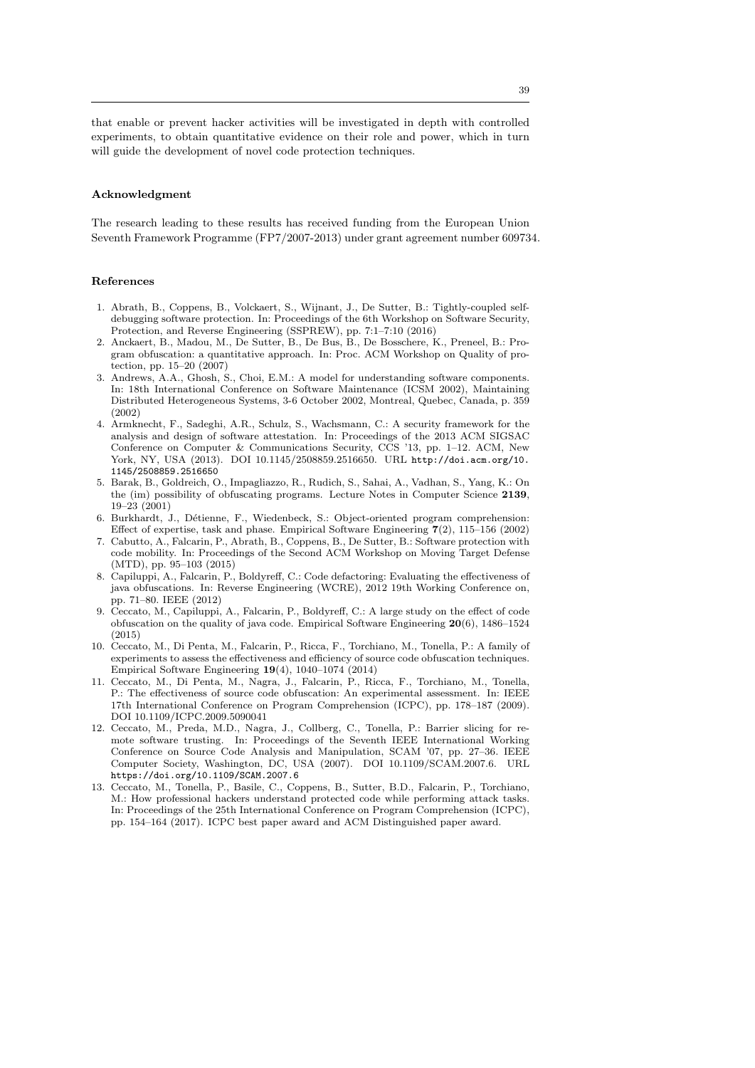that enable or prevent hacker activities will be investigated in depth with controlled experiments, to obtain quantitative evidence on their role and power, which in turn will guide the development of novel code protection techniques.

#### Acknowledgment

The research leading to these results has received funding from the European Union Seventh Framework Programme (FP7/2007-2013) under grant agreement number 609734.

## References

- 1. Abrath, B., Coppens, B., Volckaert, S., Wijnant, J., De Sutter, B.: Tightly-coupled selfdebugging software protection. In: Proceedings of the 6th Workshop on Software Security, Protection, and Reverse Engineering (SSPREW), pp. 7:1–7:10 (2016)
- 2. Anckaert, B., Madou, M., De Sutter, B., De Bus, B., De Bosschere, K., Preneel, B.: Program obfuscation: a quantitative approach. In: Proc. ACM Workshop on Quality of protection, pp. 15–20 (2007)
- 3. Andrews, A.A., Ghosh, S., Choi, E.M.: A model for understanding software components. In: 18th International Conference on Software Maintenance (ICSM 2002), Maintaining Distributed Heterogeneous Systems, 3-6 October 2002, Montreal, Quebec, Canada, p. 359 (2002)
- 4. Armknecht, F., Sadeghi, A.R., Schulz, S., Wachsmann, C.: A security framework for the analysis and design of software attestation. In: Proceedings of the 2013 ACM SIGSAC Conference on Computer & Communications Security, CCS '13, pp. 1–12. ACM, New York, NY, USA (2013). DOI 10.1145/2508859.2516650. URL http://doi.acm.org/10. 1145/2508859 2516650
- 5. Barak, B., Goldreich, O., Impagliazzo, R., Rudich, S., Sahai, A., Vadhan, S., Yang, K.: On the (im) possibility of obfuscating programs. Lecture Notes in Computer Science 2139, 19–23 (2001)
- 6. Burkhardt, J., Détienne, F., Wiedenbeck, S.: Object-oriented program comprehension: Effect of expertise, task and phase. Empirical Software Engineering 7(2), 115–156 (2002)
- 7. Cabutto, A., Falcarin, P., Abrath, B., Coppens, B., De Sutter, B.: Software protection with code mobility. In: Proceedings of the Second ACM Workshop on Moving Target Defense (MTD), pp. 95–103 (2015)
- 8. Capiluppi, A., Falcarin, P., Boldyreff, C.: Code defactoring: Evaluating the effectiveness of java obfuscations. In: Reverse Engineering (WCRE), 2012 19th Working Conference on, pp. 71–80. IEEE (2012)
- 9. Ceccato, M., Capiluppi, A., Falcarin, P., Boldyreff, C.: A large study on the effect of code obfuscation on the quality of java code. Empirical Software Engineering  $20(6)$ , 1486–1524 (2015)
- 10. Ceccato, M., Di Penta, M., Falcarin, P., Ricca, F., Torchiano, M., Tonella, P.: A family of experiments to assess the effectiveness and efficiency of source code obfuscation techniques. Empirical Software Engineering 19(4), 1040–1074 (2014)
- 11. Ceccato, M., Di Penta, M., Nagra, J., Falcarin, P., Ricca, F., Torchiano, M., Tonella, P.: The effectiveness of source code obfuscation: An experimental assessment. In: IEEE 17th International Conference on Program Comprehension (ICPC), pp. 178–187 (2009). DOI 10.1109/ICPC.2009.5090041
- 12. Ceccato, M., Preda, M.D., Nagra, J., Collberg, C., Tonella, P.: Barrier slicing for remote software trusting. In: Proceedings of the Seventh IEEE International Working Conference on Source Code Analysis and Manipulation, SCAM '07, pp. 27-36. IEEE Computer Society, Washington, DC, USA (2007). DOI 10.1109/SCAM.2007.6. URL https://doi.org/10.1109/SCAM.2007.6
- 13. Ceccato, M., Tonella, P., Basile, C., Coppens, B., Sutter, B.D., Falcarin, P., Torchiano, M.: How professional hackers understand protected code while performing attack tasks. In: Proceedings of the 25th International Conference on Program Comprehension (ICPC), pp. 154–164 (2017). ICPC best paper award and ACM Distinguished paper award.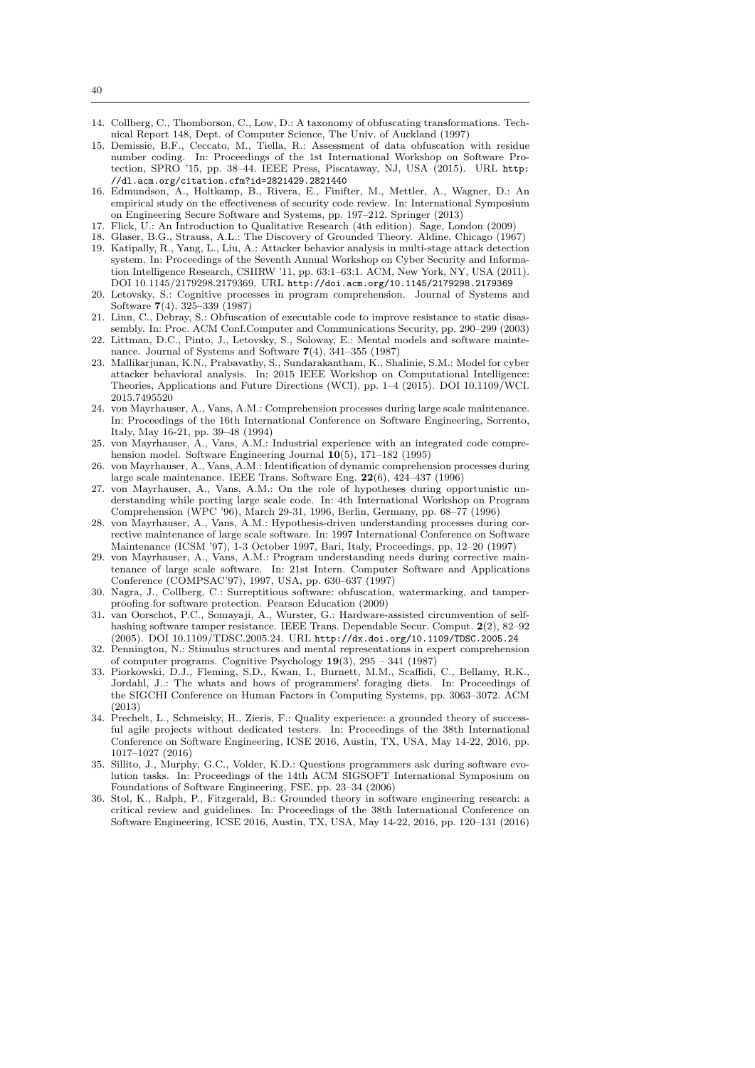- 14. Collberg, C., Thomborson, C., Low, D.: A taxonomy of obfuscating transformations. Technical Report 148, Dept. of Computer Science, The Univ. of Auckland (1997)
- 15. Demissie, B.F., Ceccato, M., Tiella, R.: Assessment of data obfuscation with residue number coding. In: Proceedings of the 1st International Workshop on Software Protection, SPRO '15, pp. 38–44. IEEE Press, Piscataway, NJ, USA (2015). URL http: //dl.acm.org/citation.cfm?id=2821429.2821440
- 16. Edmundson, A., Holtkamp, B., Rivera, E., Finifter, M., Mettler, A., Wagner, D.: An empirical study on the effectiveness of security code review. In: International Symposium on Engineering Secure Software and Systems, pp. 197–212. Springer (2013)
- 17. Flick, U.: An Introduction to Qualitative Research (4th edition). Sage, London (2009)
- 18. Glaser, B.G., Strauss, A.L.: The Discovery of Grounded Theory. Aldine, Chicago (1967) 19. Katipally, R., Yang, L., Liu, A.: Attacker behavior analysis in multi-stage attack detection system. In: Proceedings of the Seventh Annual Workshop on Cyber Security and Information Intelligence Research, CSIIRW '11, pp. 63:1–63:1. ACM, New York, NY, USA (2011). DOI 10.1145/2179298.2179369. URL http://doi.acm.org/10.1145/2179298.2179369
- 20. Letovsky, S.: Cognitive processes in program comprehension. Journal of Systems and Software 7(4), 325–339 (1987)
- 21. Linn, C., Debray, S.: Obfuscation of executable code to improve resistance to static disassembly. In: Proc. ACM Conf.Computer and Communications Security, pp. 290–299 (2003)
- 22. Littman, D.C., Pinto, J., Letovsky, S., Soloway, E.: Mental models and software maintenance. Journal of Systems and Software 7(4), 341–355 (1987)
- 23. Mallikarjunan, K.N., Prabavathy, S., Sundarakantham, K., Shalinie, S.M.: Model for cyber attacker behavioral analysis. In: 2015 IEEE Workshop on Computational Intelligence: Theories, Applications and Future Directions (WCI), pp. 1–4 (2015). DOI 10.1109/WCI. 2015.7495520
- 24. von Mayrhauser, A., Vans, A.M.: Comprehension processes during large scale maintenance. In: Proceedings of the 16th International Conference on Software Engineering, Sorrento, Italy, May 16-21, pp. 39–48 (1994)
- 25. von Mayrhauser, A., Vans, A.M.: Industrial experience with an integrated code comprehension model. Software Engineering Journal 10(5), 171–182 (1995)
- 26. von Mayrhauser, A., Vans, A.M.: Identification of dynamic comprehension processes during large scale maintenance. IEEE Trans. Software Eng. 22(6), 424–437 (1996)
- 27. von Mayrhauser, A., Vans, A.M.: On the role of hypotheses during opportunistic understanding while porting large scale code. In: 4th International Workshop on Program Comprehension (WPC '96), March 29-31, 1996, Berlin, Germany, pp. 68–77 (1996)
- 28. von Mayrhauser, A., Vans, A.M.: Hypothesis-driven understanding processes during corrective maintenance of large scale software. In: 1997 International Conference on Software Maintenance (ICSM '97), 1-3 October 1997, Bari, Italy, Proceedings, pp. 12–20 (1997)
- 29. von Mayrhauser, A., Vans, A.M.: Program understanding needs during corrective maintenance of large scale software. In: 21st Intern. Computer Software and Applications Conference (COMPSAC'97), 1997, USA, pp. 630–637 (1997)
- 30. Nagra, J., Collberg, C.: Surreptitious software: obfuscation, watermarking, and tamperproofing for software protection. Pearson Education (2009)
- 31. van Oorschot, P.C., Somayaji, A., Wurster, G.: Hardware-assisted circumvention of selfhashing software tamper resistance. IEEE Trans. Dependable Secur. Comput. 2(2), 82–92 (2005). DOI 10.1109/TDSC.2005.24. URL http://dx.doi.org/10.1109/TDSC.2005.24
- 32. Pennington, N.: Stimulus structures and mental representations in expert comprehension of computer programs. Cognitive Psychology 19(3), 295 – 341 (1987)
- 33. Piorkowski, D.J., Fleming, S.D., Kwan, I., Burnett, M.M., Scaffidi, C., Bellamy, R.K., Jordahl, J..: The whats and hows of programmers' foraging diets. In: Proceedings of the SIGCHI Conference on Human Factors in Computing Systems, pp. 3063–3072. ACM (2013)
- 34. Prechelt, L., Schmeisky, H., Zieris, F.: Quality experience: a grounded theory of successful agile projects without dedicated testers. In: Proceedings of the 38th International Conference on Software Engineering, ICSE 2016, Austin, TX, USA, May 14-22, 2016, pp. 1017–1027 (2016)
- 35. Sillito, J., Murphy, G.C., Volder, K.D.: Questions programmers ask during software evolution tasks. In: Proceedings of the 14th ACM SIGSOFT International Symposium on Foundations of Software Engineering, FSE, pp. 23–34 (2006)
- 36. Stol, K., Ralph, P., Fitzgerald, B.: Grounded theory in software engineering research: a critical review and guidelines. In: Proceedings of the 38th International Conference on Software Engineering, ICSE 2016, Austin, TX, USA, May 14-22, 2016, pp. 120–131 (2016)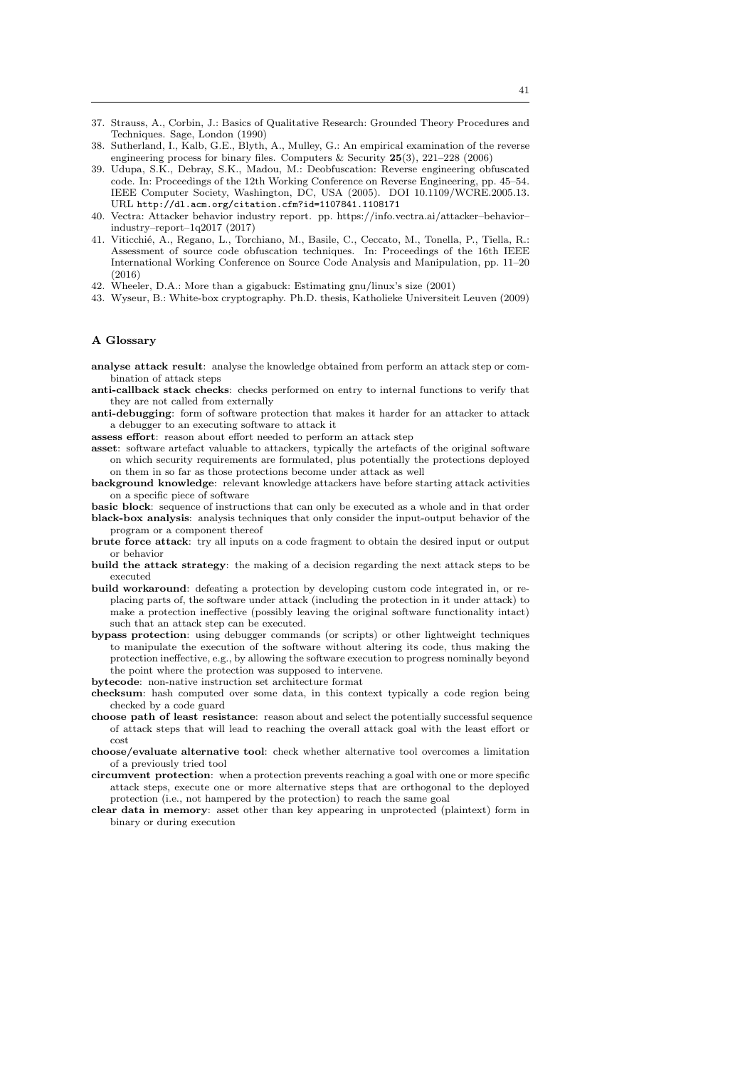- 37. Strauss, A., Corbin, J.: Basics of Qualitative Research: Grounded Theory Procedures and Techniques. Sage, London (1990)
- 38. Sutherland, I., Kalb, G.E., Blyth, A., Mulley, G.: An empirical examination of the reverse engineering process for binary files. Computers & Security 25(3), 221–228 (2006)
- 39. Udupa, S.K., Debray, S.K., Madou, M.: Deobfuscation: Reverse engineering obfuscated code. In: Proceedings of the 12th Working Conference on Reverse Engineering, pp. 45–54. IEEE Computer Society, Washington, DC, USA (2005). DOI 10.1109/WCRE.2005.13. URL http://dl.acm.org/citation.cfm?id=1107841.1108171
- 40. Vectra: Attacker behavior industry report. pp. https://info.vectra.ai/attacker–behavior– industry–report–1q2017 (2017)
- 41. Viticchi´e, A., Regano, L., Torchiano, M., Basile, C., Ceccato, M., Tonella, P., Tiella, R.: Assessment of source code obfuscation techniques. In: Proceedings of the 16th IEEE International Working Conference on Source Code Analysis and Manipulation, pp. 11–20  $(2016)$
- 42. Wheeler, D.A.: More than a gigabuck: Estimating gnu/linux's size (2001)
- 43. Wyseur, B.: White-box cryptography. Ph.D. thesis, Katholieke Universiteit Leuven (2009)

## A Glossary

- analyse attack result: analyse the knowledge obtained from perform an attack step or combination of attack steps
- anti-callback stack checks: checks performed on entry to internal functions to verify that they are not called from externally
- anti-debugging: form of software protection that makes it harder for an attacker to attack a debugger to an executing software to attack it
- assess effort: reason about effort needed to perform an attack step
- asset: software artefact valuable to attackers, typically the artefacts of the original software on which security requirements are formulated, plus potentially the protections deployed on them in so far as those protections become under attack as well
- background knowledge: relevant knowledge attackers have before starting attack activities on a specific piece of software
- basic block: sequence of instructions that can only be executed as a whole and in that order black-box analysis: analysis techniques that only consider the input-output behavior of the program or a component thereof
- brute force attack: try all inputs on a code fragment to obtain the desired input or output or behavior
- build the attack strategy: the making of a decision regarding the next attack steps to be executed
- build workaround: defeating a protection by developing custom code integrated in, or replacing parts of, the software under attack (including the protection in it under attack) to make a protection ineffective (possibly leaving the original software functionality intact) such that an attack step can be executed.
- bypass protection: using debugger commands (or scripts) or other lightweight techniques to manipulate the execution of the software without altering its code, thus making the protection ineffective, e.g., by allowing the software execution to progress nominally beyond the point where the protection was supposed to intervene.
- bytecode: non-native instruction set architecture format
- checksum: hash computed over some data, in this context typically a code region being checked by a code guard
- choose path of least resistance: reason about and select the potentially successful sequence of attack steps that will lead to reaching the overall attack goal with the least effort or cost
- choose/evaluate alternative tool: check whether alternative tool overcomes a limitation of a previously tried tool
- circumvent protection: when a protection prevents reaching a goal with one or more specific attack steps, execute one or more alternative steps that are orthogonal to the deployed protection (i.e., not hampered by the protection) to reach the same goal
- clear data in memory: asset other than key appearing in unprotected (plaintext) form in binary or during execution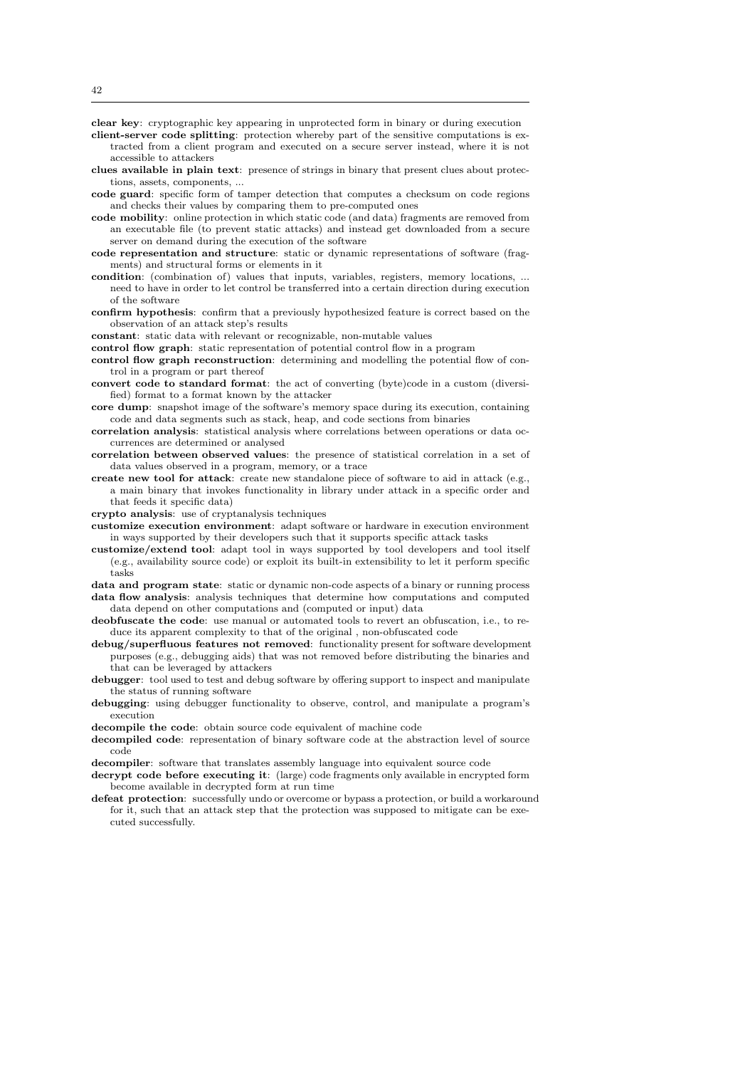clear key: cryptographic key appearing in unprotected form in binary or during execution

- client-server code splitting: protection whereby part of the sensitive computations is extracted from a client program and executed on a secure server instead, where it is not accessible to attackers
- clues available in plain text: presence of strings in binary that present clues about protections, assets, components,
- code guard: specific form of tamper detection that computes a checksum on code regions and checks their values by comparing them to pre-computed ones
- code mobility: online protection in which static code (and data) fragments are removed from an executable file (to prevent static attacks) and instead get downloaded from a secure server on demand during the execution of the software
- code representation and structure: static or dynamic representations of software (fragments) and structural forms or elements in it
- condition: (combination of) values that inputs, variables, registers, memory locations, ... need to have in order to let control be transferred into a certain direction during execution of the software
- confirm hypothesis: confirm that a previously hypothesized feature is correct based on the observation of an attack step's results

constant: static data with relevant or recognizable, non-mutable values

- control flow graph: static representation of potential control flow in a program
- control flow graph reconstruction: determining and modelling the potential flow of control in a program or part thereof
- convert code to standard format: the act of converting (byte)code in a custom (diversified) format to a format known by the attacker
- core dump: snapshot image of the software's memory space during its execution, containing code and data segments such as stack, heap, and code sections from binaries
- correlation analysis: statistical analysis where correlations between operations or data occurrences are determined or analysed
- correlation between observed values: the presence of statistical correlation in a set of data values observed in a program, memory, or a trace
- create new tool for attack: create new standalone piece of software to aid in attack (e.g., a main binary that invokes functionality in library under attack in a specific order and that feeds it specific data)

crypto analysis: use of cryptanalysis techniques

- customize execution environment: adapt software or hardware in execution environment in ways supported by their developers such that it supports specific attack tasks
- customize/extend tool: adapt tool in ways supported by tool developers and tool itself (e.g., availability source code) or exploit its built-in extensibility to let it perform specific tasks

data and program state: static or dynamic non-code aspects of a binary or running process data flow analysis: analysis techniques that determine how computations and computed data depend on other computations and (computed or input) data

deobfuscate the code: use manual or automated tools to revert an obfuscation, i.e., to reduce its apparent complexity to that of the original , non-obfuscated code

- debug/superfluous features not removed: functionality present for software development purposes (e.g., debugging aids) that was not removed before distributing the binaries and that can be leveraged by attackers
- debugger: tool used to test and debug software by offering support to inspect and manipulate the status of running software
- debugging: using debugger functionality to observe, control, and manipulate a program's execution
- decompile the code: obtain source code equivalent of machine code
- decompiled code: representation of binary software code at the abstraction level of source code
- decompiler: software that translates assembly language into equivalent source code
- decrypt code before executing it: (large) code fragments only available in encrypted form become available in decrypted form at run time
- defeat protection: successfully undo or overcome or bypass a protection, or build a workaround for it, such that an attack step that the protection was supposed to mitigate can be executed successfully.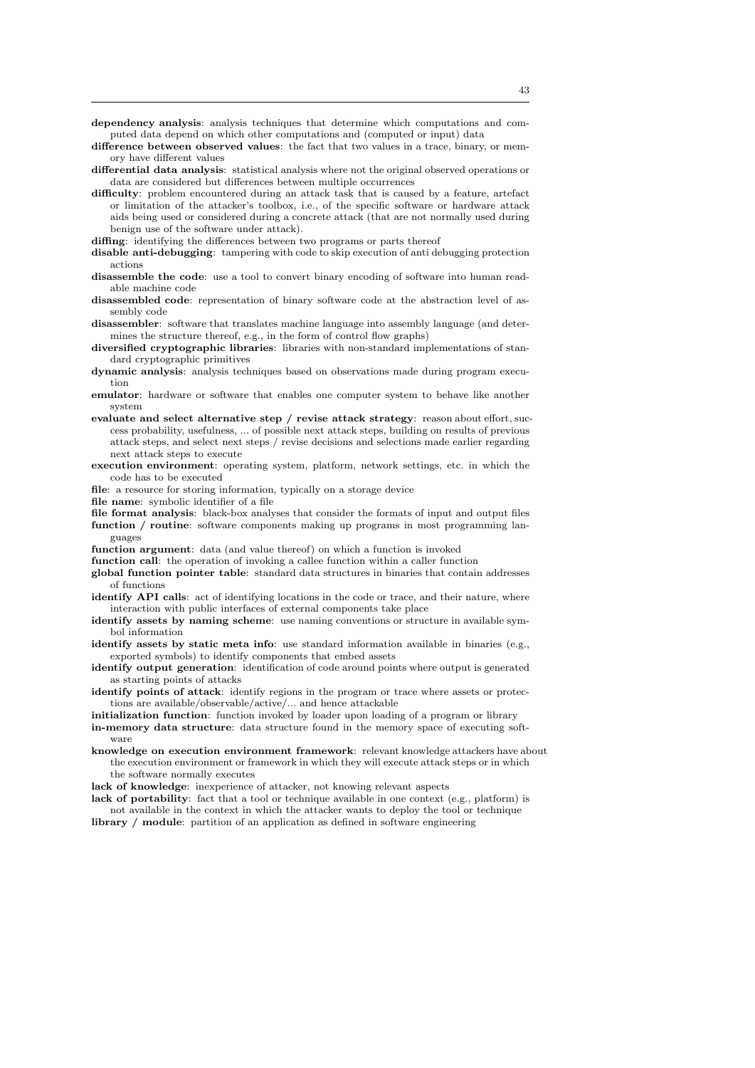dependency analysis: analysis techniques that determine which computations and computed data depend on which other computations and (computed or input) data

- difference between observed values: the fact that two values in a trace, binary, or memory have different values
- differential data analysis: statistical analysis where not the original observed operations or data are considered but differences between multiple occurrences
- difficulty: problem encountered during an attack task that is caused by a feature, artefact or limitation of the attacker's toolbox, i.e., of the specific software or hardware attack aids being used or considered during a concrete attack (that are not normally used during benign use of the software under attack).
- diffing: identifying the differences between two programs or parts thereof
- disable anti-debugging: tampering with code to skip execution of anti debugging protection actions
- disassemble the code: use a tool to convert binary encoding of software into human readable machine code
- disassembled code: representation of binary software code at the abstraction level of assembly code
- disassembler: software that translates machine language into assembly language (and determines the structure thereof, e.g., in the form of control flow graphs)
- diversified cryptographic libraries: libraries with non-standard implementations of standard cryptographic primitives
- dynamic analysis: analysis techniques based on observations made during program execution
- emulator: hardware or software that enables one computer system to behave like another system
- evaluate and select alternative step / revise attack strategy: reason about effort, success probability, usefulness, ... of possible next attack steps, building on results of previous attack steps, and select next steps / revise decisions and selections made earlier regarding next attack steps to execute
- execution environment: operating system, platform, network settings, etc. in which the code has to be executed
- file: a resource for storing information, typically on a storage device
- file name: symbolic identifier of a file
- file format analysis: black-box analyses that consider the formats of input and output files function / routine: software components making up programs in most programming languages
- function argument: data (and value thereof) on which a function is invoked
- function call: the operation of invoking a callee function within a caller function
- global function pointer table: standard data structures in binaries that contain addresses of functions
- identify API calls: act of identifying locations in the code or trace, and their nature, where interaction with public interfaces of external components take place
- identify assets by naming scheme: use naming conventions or structure in available symbol information
- identify assets by static meta info: use standard information available in binaries (e.g., exported symbols) to identify components that embed assets
- identify output generation: identification of code around points where output is generated as starting points of attacks
- identify points of attack: identify regions in the program or trace where assets or protections are available/observable/active/... and hence attackable
- initialization function: function invoked by loader upon loading of a program or library
- in-memory data structure: data structure found in the memory space of executing software
- knowledge on execution environment framework: relevant knowledge attackers have about the execution environment or framework in which they will execute attack steps or in which the software normally executes
- lack of knowledge: inexperience of attacker, not knowing relevant aspects
- lack of portability: fact that a tool or technique available in one context (e.g., platform) is not available in the context in which the attacker wants to deploy the tool or technique
- library / module: partition of an application as defined in software engineering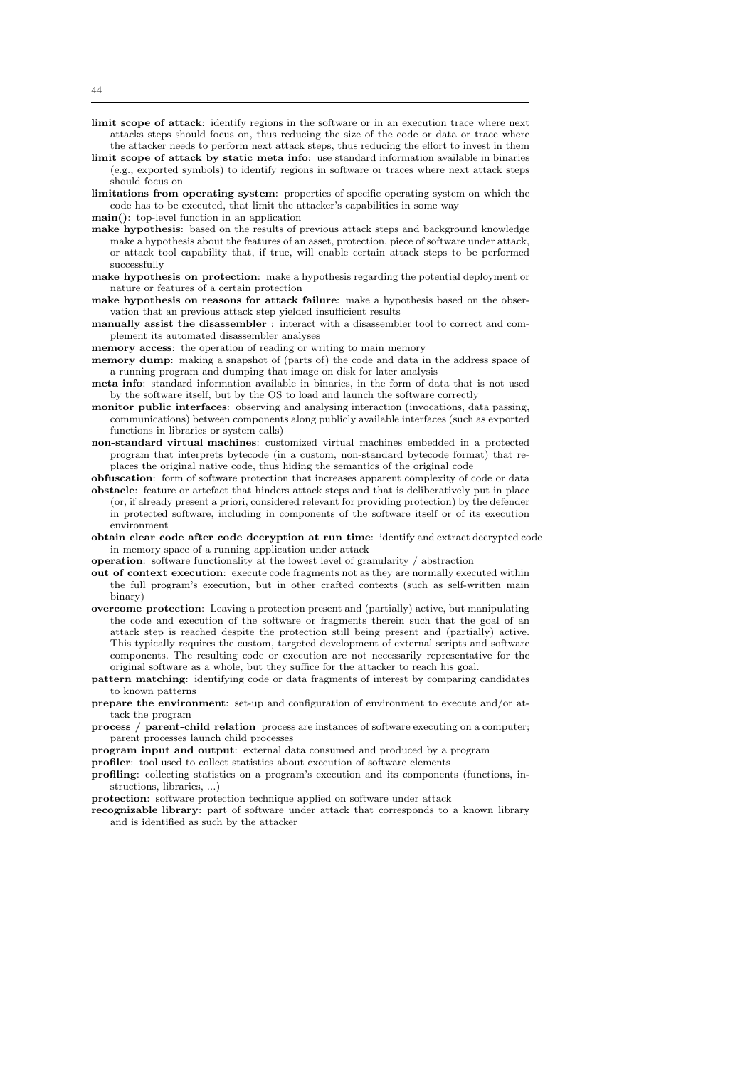- limit scope of attack: identify regions in the software or in an execution trace where next attacks steps should focus on, thus reducing the size of the code or data or trace where the attacker needs to perform next attack steps, thus reducing the effort to invest in them
- limit scope of attack by static meta info: use standard information available in binaries (e.g., exported symbols) to identify regions in software or traces where next attack steps should focus on
- limitations from operating system: properties of specific operating system on which the code has to be executed, that limit the attacker's capabilities in some way
- main(): top-level function in an application
- make hypothesis: based on the results of previous attack steps and background knowledge make a hypothesis about the features of an asset, protection, piece of software under attack, or attack tool capability that, if true, will enable certain attack steps to be performed successfully
- make hypothesis on protection: make a hypothesis regarding the potential deployment or nature or features of a certain protection
- make hypothesis on reasons for attack failure: make a hypothesis based on the observation that an previous attack step yielded insufficient results
- manually assist the disassembler : interact with a disassembler tool to correct and complement its automated disassembler analyses
- memory access: the operation of reading or writing to main memory
- memory dump: making a snapshot of (parts of) the code and data in the address space of a running program and dumping that image on disk for later analysis
- meta info: standard information available in binaries, in the form of data that is not used by the software itself, but by the OS to load and launch the software correctly
- monitor public interfaces: observing and analysing interaction (invocations, data passing, communications) between components along publicly available interfaces (such as exported functions in libraries or system calls)
- non-standard virtual machines: customized virtual machines embedded in a protected program that interprets bytecode (in a custom, non-standard bytecode format) that replaces the original native code, thus hiding the semantics of the original code
- obfuscation: form of software protection that increases apparent complexity of code or data obstacle: feature or artefact that hinders attack steps and that is deliberatively put in place (or, if already present a priori, considered relevant for providing protection) by the defender in protected software, including in components of the software itself or of its execution environment
- obtain clear code after code decryption at run time: identify and extract decrypted code in memory space of a running application under attack
- operation: software functionality at the lowest level of granularity / abstraction
- out of context execution: execute code fragments not as they are normally executed within the full program's execution, but in other crafted contexts (such as self-written main binary)
- overcome protection: Leaving a protection present and (partially) active, but manipulating the code and execution of the software or fragments therein such that the goal of an attack step is reached despite the protection still being present and (partially) active. This typically requires the custom, targeted development of external scripts and software components. The resulting code or execution are not necessarily representative for the original software as a whole, but they suffice for the attacker to reach his goal.
- pattern matching: identifying code or data fragments of interest by comparing candidates to known patterns
- prepare the environment: set-up and configuration of environment to execute and/or attack the program
- process / parent-child relation process are instances of software executing on a computer; parent processes launch child processes
- program input and output: external data consumed and produced by a program
- profiler: tool used to collect statistics about execution of software elements
- profiling: collecting statistics on a program's execution and its components (functions, instructions, libraries, ...)
- protection: software protection technique applied on software under attack
- recognizable library: part of software under attack that corresponds to a known library and is identified as such by the attacker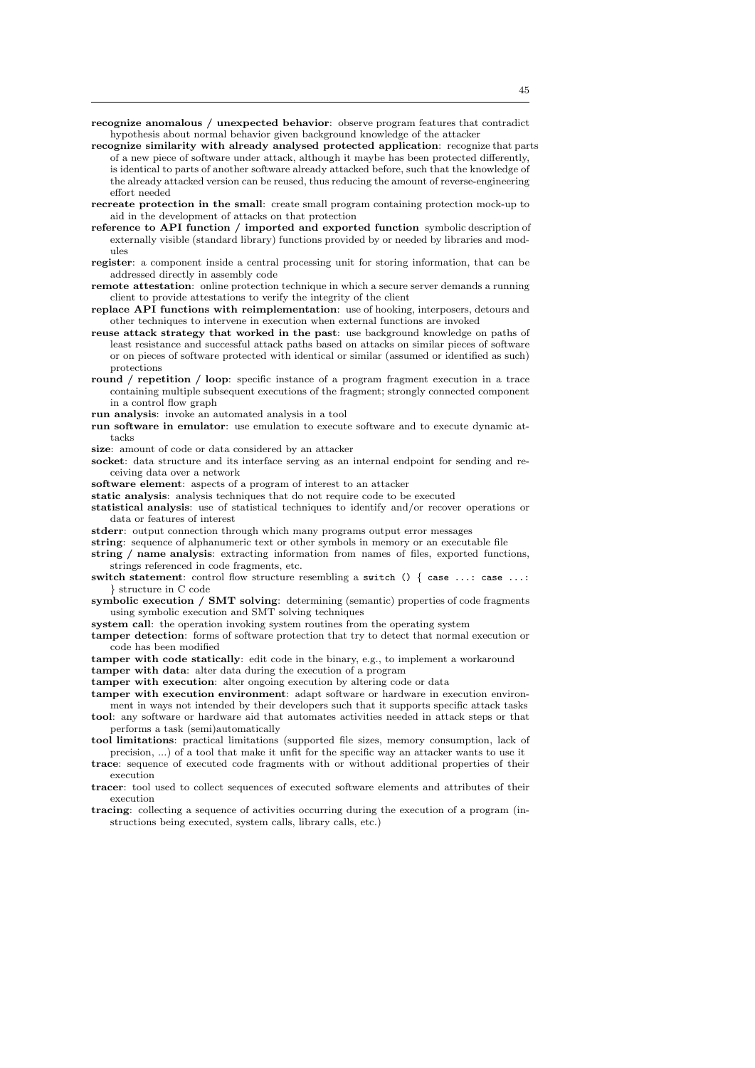recognize anomalous / unexpected behavior: observe program features that contradict hypothesis about normal behavior given background knowledge of the attacker

- recognize similarity with already analysed protected application: recognize that parts of a new piece of software under attack, although it maybe has been protected differently, is identical to parts of another software already attacked before, such that the knowledge of the already attacked version can be reused, thus reducing the amount of reverse-engineering effort needed
- recreate protection in the small: create small program containing protection mock-up to aid in the development of attacks on that protection
- reference to API function / imported and exported function symbolic description of externally visible (standard library) functions provided by or needed by libraries and modules
- register: a component inside a central processing unit for storing information, that can be addressed directly in assembly code
- remote attestation: online protection technique in which a secure server demands a running client to provide attestations to verify the integrity of the client
- replace API functions with reimplementation: use of hooking, interposers, detours and other techniques to intervene in execution when external functions are invoked
- reuse attack strategy that worked in the past: use background knowledge on paths of least resistance and successful attack paths based on attacks on similar pieces of software or on pieces of software protected with identical or similar (assumed or identified as such) protections
- round / repetition / loop: specific instance of a program fragment execution in a trace containing multiple subsequent executions of the fragment; strongly connected component in a control flow graph
- run analysis: invoke an automated analysis in a tool
- run software in emulator: use emulation to execute software and to execute dynamic attacks
- size: amount of code or data considered by an attacker
- socket: data structure and its interface serving as an internal endpoint for sending and receiving data over a network
- software element: aspects of a program of interest to an attacker
- static analysis: analysis techniques that do not require code to be executed
- statistical analysis: use of statistical techniques to identify and/or recover operations or data or features of interest
- stderr: output connection through which many programs output error messages
- string: sequence of alphanumeric text or other symbols in memory or an executable file
- string / name analysis: extracting information from names of files, exported functions, strings referenced in code fragments, etc.
- switch statement: control flow structure resembling a switch () { case ...: case ...: } structure in C code
- symbolic execution / SMT solving: determining (semantic) properties of code fragments using symbolic execution and SMT solving techniques
- system call: the operation invoking system routines from the operating system
- tamper detection: forms of software protection that try to detect that normal execution or code has been modified
- tamper with code statically: edit code in the binary, e.g., to implement a workaround
- tamper with data: alter data during the execution of a program
- tamper with execution: alter ongoing execution by altering code or data
- tamper with execution environment: adapt software or hardware in execution environment in ways not intended by their developers such that it supports specific attack tasks tool: any software or hardware aid that automates activities needed in attack steps or that
- performs a task (semi)automatically tool limitations: practical limitations (supported file sizes, memory consumption, lack of
- precision, ...) of a tool that make it unfit for the specific way an attacker wants to use it
- trace: sequence of executed code fragments with or without additional properties of their execution
- tracer: tool used to collect sequences of executed software elements and attributes of their execution
- tracing: collecting a sequence of activities occurring during the execution of a program (instructions being executed, system calls, library calls, etc.)